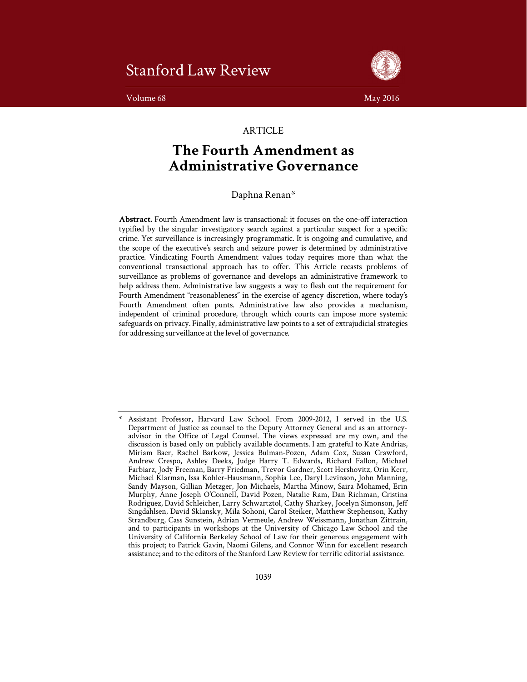# Stanford Law Review

Volume 68 May 2016



# **ARTICLE**

# **The Fourth Amendment as Administrative Governance**

Daphna Renan\*

**Abstract.** Fourth Amendment law is transactional: it focuses on the one-off interaction typified by the singular investigatory search against a particular suspect for a specific crime. Yet surveillance is increasingly programmatic. It is ongoing and cumulative, and the scope of the executive's search and seizure power is determined by administrative practice. Vindicating Fourth Amendment values today requires more than what the conventional transactional approach has to offer. This Article recasts problems of surveillance as problems of governance and develops an administrative framework to help address them. Administrative law suggests a way to flesh out the requirement for Fourth Amendment "reasonableness" in the exercise of agency discretion, where today's Fourth Amendment often punts. Administrative law also provides a mechanism, independent of criminal procedure, through which courts can impose more systemic safeguards on privacy. Finally, administrative law points to a set of extrajudicial strategies for addressing surveillance at the level of governance.

Assistant Professor, Harvard Law School. From 2009-2012, I served in the U.S. Department of Justice as counsel to the Deputy Attorney General and as an attorneyadvisor in the Office of Legal Counsel. The views expressed are my own, and the discussion is based only on publicly available documents. I am grateful to Kate Andrias, Miriam Baer, Rachel Barkow, Jessica Bulman-Pozen, Adam Cox, Susan Crawford, Andrew Crespo, Ashley Deeks, Judge Harry T. Edwards, Richard Fallon, Michael Farbiarz, Jody Freeman, Barry Friedman, Trevor Gardner, Scott Hershovitz, Orin Kerr, Michael Klarman, Issa Kohler-Hausmann, Sophia Lee, Daryl Levinson, John Manning, Sandy Mayson, Gillian Metzger, Jon Michaels, Martha Minow, Saira Mohamed, Erin Murphy, Anne Joseph O'Connell, David Pozen, Natalie Ram, Dan Richman, Cristina Rodriguez, David Schleicher, Larry Schwartztol, Cathy Sharkey, Jocelyn Simonson, Jeff Singdahlsen, David Sklansky, Mila Sohoni, Carol Steiker, Matthew Stephenson, Kathy Strandburg, Cass Sunstein, Adrian Vermeule, Andrew Weissmann, Jonathan Zittrain, and to participants in workshops at the University of Chicago Law School and the University of California Berkeley School of Law for their generous engagement with this project; to Patrick Gavin, Naomi Gilens, and Connor Winn for excellent research assistance; and to the editors of the Stanford Law Review for terrific editorial assistance.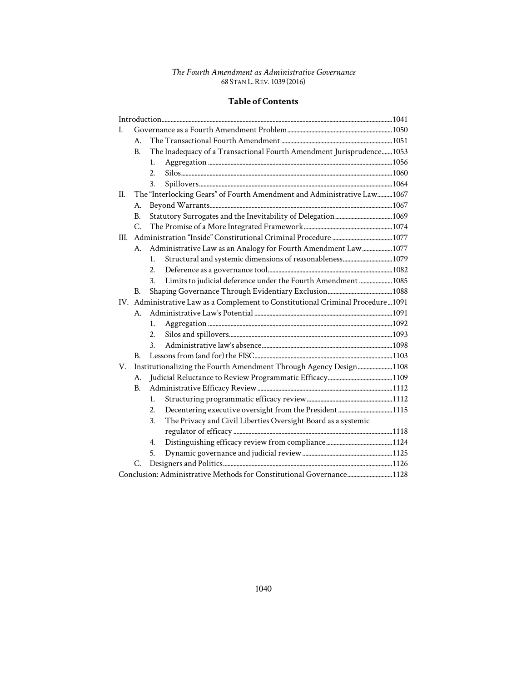# **Table of Contents**

| L                                                                     |                                                                                 |                  |                                                                       |  |
|-----------------------------------------------------------------------|---------------------------------------------------------------------------------|------------------|-----------------------------------------------------------------------|--|
|                                                                       | А.                                                                              |                  |                                                                       |  |
|                                                                       | <b>B.</b>                                                                       |                  | The Inadequacy of a Transactional Fourth Amendment Jurisprudence 1053 |  |
|                                                                       |                                                                                 | 1.               |                                                                       |  |
|                                                                       |                                                                                 | $\overline{2}$ . |                                                                       |  |
|                                                                       |                                                                                 | 3.               |                                                                       |  |
| II.                                                                   | The "Interlocking Gears" of Fourth Amendment and Administrative Law1067         |                  |                                                                       |  |
|                                                                       | А.                                                                              |                  |                                                                       |  |
|                                                                       | <b>B.</b>                                                                       |                  |                                                                       |  |
|                                                                       | C.                                                                              |                  |                                                                       |  |
| III.                                                                  |                                                                                 |                  |                                                                       |  |
|                                                                       | A.                                                                              |                  | Administrative Law as an Analogy for Fourth Amendment Law 1077        |  |
|                                                                       |                                                                                 | 1.               |                                                                       |  |
|                                                                       |                                                                                 | 2.               |                                                                       |  |
|                                                                       |                                                                                 | 3.               | Limits to judicial deference under the Fourth Amendment  1085         |  |
|                                                                       | В.                                                                              |                  |                                                                       |  |
|                                                                       | IV. Administrative Law as a Complement to Constitutional Criminal Procedure1091 |                  |                                                                       |  |
|                                                                       | $A_{-}$                                                                         |                  |                                                                       |  |
|                                                                       |                                                                                 | 1.               |                                                                       |  |
|                                                                       |                                                                                 | 2.               |                                                                       |  |
|                                                                       |                                                                                 | $\mathbf{3}$ .   |                                                                       |  |
|                                                                       | В.                                                                              |                  |                                                                       |  |
| V.                                                                    | Institutionalizing the Fourth Amendment Through Agency Design 1108              |                  |                                                                       |  |
|                                                                       | A.                                                                              |                  |                                                                       |  |
|                                                                       | B.                                                                              |                  |                                                                       |  |
|                                                                       |                                                                                 | 1.               |                                                                       |  |
|                                                                       |                                                                                 | 2.               |                                                                       |  |
|                                                                       |                                                                                 | 3.               | The Privacy and Civil Liberties Oversight Board as a systemic         |  |
|                                                                       |                                                                                 |                  |                                                                       |  |
|                                                                       |                                                                                 | 4.               |                                                                       |  |
|                                                                       |                                                                                 | 5.               |                                                                       |  |
|                                                                       | C.                                                                              |                  |                                                                       |  |
| Conclusion: Administrative Methods for Constitutional Governance 1128 |                                                                                 |                  |                                                                       |  |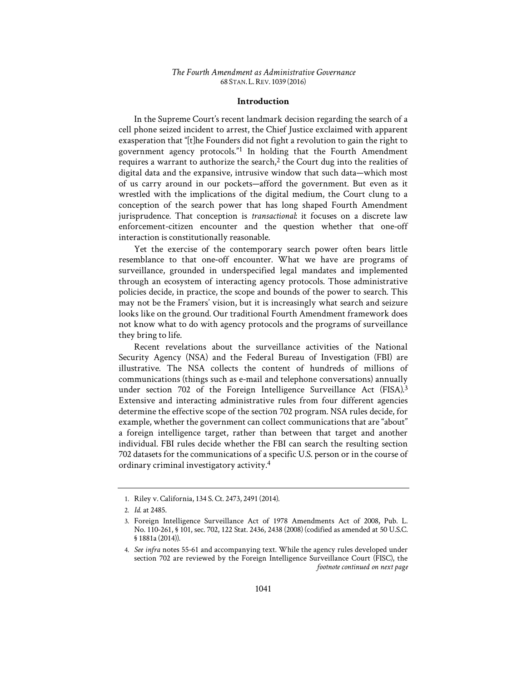# **Introduction**

In the Supreme Court's recent landmark decision regarding the search of a cell phone seized incident to arrest, the Chief Justice exclaimed with apparent exasperation that "[t]he Founders did not fight a revolution to gain the right to government agency protocols."1 In holding that the Fourth Amendment requires a warrant to authorize the search, $2$  the Court dug into the realities of digital data and the expansive, intrusive window that such data—which most of us carry around in our pockets—afford the government. But even as it wrestled with the implications of the digital medium, the Court clung to a conception of the search power that has long shaped Fourth Amendment jurisprudence. That conception is *transactional*: it focuses on a discrete law enforcement-citizen encounter and the question whether that one-off interaction is constitutionally reasonable.

Yet the exercise of the contemporary search power often bears little resemblance to that one-off encounter. What we have are programs of surveillance, grounded in underspecified legal mandates and implemented through an ecosystem of interacting agency protocols. Those administrative policies decide, in practice, the scope and bounds of the power to search. This may not be the Framers' vision, but it is increasingly what search and seizure looks like on the ground. Our traditional Fourth Amendment framework does not know what to do with agency protocols and the programs of surveillance they bring to life.

Recent revelations about the surveillance activities of the National Security Agency (NSA) and the Federal Bureau of Investigation (FBI) are illustrative. The NSA collects the content of hundreds of millions of communications (things such as e-mail and telephone conversations) annually under section 702 of the Foreign Intelligence Surveillance Act (FISA).<sup>3</sup> Extensive and interacting administrative rules from four different agencies determine the effective scope of the section 702 program. NSA rules decide, for example, whether the government can collect communications that are "about" a foreign intelligence target, rather than between that target and another individual. FBI rules decide whether the FBI can search the resulting section 702 datasets for the communications of a specific U.S. person or in the course of ordinary criminal investigatory activity.4

<sup>1.</sup> Riley v. California, 134 S. Ct. 2473, 2491 (2014).

<sup>2.</sup> *Id.* at 2485.

<sup>3.</sup> Foreign Intelligence Surveillance Act of 1978 Amendments Act of 2008, Pub. L. No. 110-261, § 101, sec. 702, 122 Stat. 2436, 2438 (2008) (codified as amended at 50 U.S.C. § 1881a (2014)).

<sup>4.</sup> *See infra* notes 55-61 and accompanying text. While the agency rules developed under section 702 are reviewed by the Foreign Intelligence Surveillance Court (FISC), the *footnote continued on next page*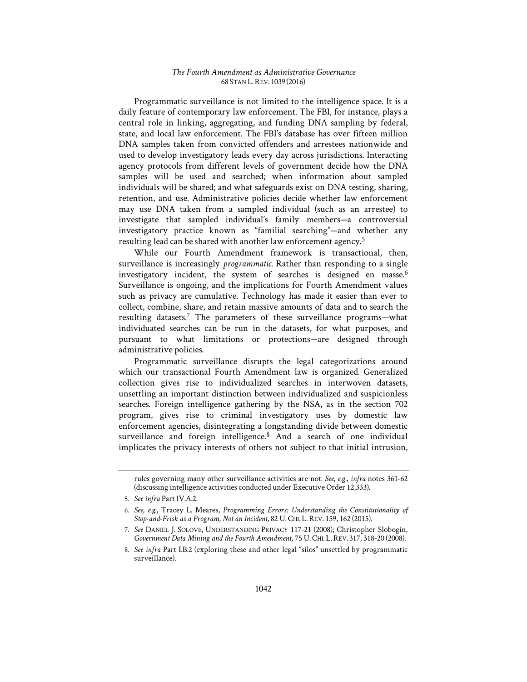Programmatic surveillance is not limited to the intelligence space. It is a daily feature of contemporary law enforcement. The FBI, for instance, plays a central role in linking, aggregating, and funding DNA sampling by federal, state, and local law enforcement. The FBI's database has over fifteen million DNA samples taken from convicted offenders and arrestees nationwide and used to develop investigatory leads every day across jurisdictions. Interacting agency protocols from different levels of government decide how the DNA samples will be used and searched; when information about sampled individuals will be shared; and what safeguards exist on DNA testing, sharing, retention, and use. Administrative policies decide whether law enforcement may use DNA taken from a sampled individual (such as an arrestee) to investigate that sampled individual's family members—a controversial investigatory practice known as "familial searching"—and whether any resulting lead can be shared with another law enforcement agency.5

While our Fourth Amendment framework is transactional, then, surveillance is increasingly *programmatic*. Rather than responding to a single investigatory incident, the system of searches is designed en masse.<sup>6</sup> Surveillance is ongoing, and the implications for Fourth Amendment values such as privacy are cumulative. Technology has made it easier than ever to collect, combine, share, and retain massive amounts of data and to search the resulting datasets.7 The parameters of these surveillance programs—what individuated searches can be run in the datasets, for what purposes, and pursuant to what limitations or protections—are designed through administrative policies.

Programmatic surveillance disrupts the legal categorizations around which our transactional Fourth Amendment law is organized. Generalized collection gives rise to individualized searches in interwoven datasets, unsettling an important distinction between individualized and suspicionless searches. Foreign intelligence gathering by the NSA, as in the section 702 program, gives rise to criminal investigatory uses by domestic law enforcement agencies, disintegrating a longstanding divide between domestic surveillance and foreign intelligence.<sup>8</sup> And a search of one individual implicates the privacy interests of others not subject to that initial intrusion,

rules governing many other surveillance activities are not. *See, e.g.*, *infra* notes 361-62 (discussing intelligence activities conducted under Executive Order 12,333).

<sup>5.</sup> *See infra* Part IV.A.2.

<sup>6.</sup> See, e.g., Tracey L. Meares, Programming Errors: Understanding the Constitutionality of *Stop-and-Frisk as a Program, Not an Incident*, 82 U. CHI. L.REV. 159, 162 (2015).

<sup>7.</sup> *See* DANIEL J. SOLOVE, UNDERSTANDING PRIVACY 117-21 (2008); Christopher Slobogin, *Government Data Mining and the Fourth Amendment*, 75 U. CHI. L.REV. 317, 318-20 (2008).

<sup>8.</sup> *See infra* Part I.B.2 (exploring these and other legal "silos" unsettled by programmatic surveillance).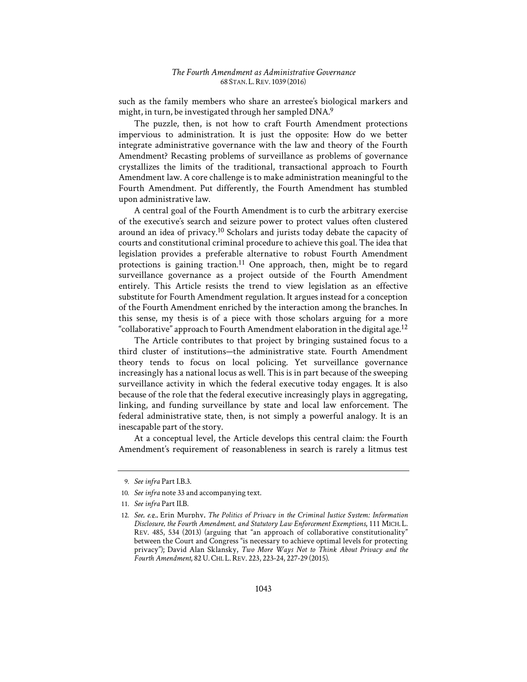such as the family members who share an arrestee's biological markers and might, in turn, be investigated through her sampled DNA.9

The puzzle, then, is not how to craft Fourth Amendment protections impervious to administration. It is just the opposite: How do we better integrate administrative governance with the law and theory of the Fourth Amendment? Recasting problems of surveillance as problems of governance crystallizes the limits of the traditional, transactional approach to Fourth Amendment law. A core challenge is to make administration meaningful to the Fourth Amendment. Put differently, the Fourth Amendment has stumbled upon administrative law.

A central goal of the Fourth Amendment is to curb the arbitrary exercise of the executive's search and seizure power to protect values often clustered around an idea of privacy.10 Scholars and jurists today debate the capacity of courts and constitutional criminal procedure to achieve this goal. The idea that legislation provides a preferable alternative to robust Fourth Amendment protections is gaining traction.<sup>11</sup> One approach, then, might be to regard surveillance governance as a project outside of the Fourth Amendment entirely. This Article resists the trend to view legislation as an effective substitute for Fourth Amendment regulation. It argues instead for a conception of the Fourth Amendment enriched by the interaction among the branches. In this sense, my thesis is of a piece with those scholars arguing for a more "collaborative" approach to Fourth Amendment elaboration in the digital age.<sup>12</sup>

The Article contributes to that project by bringing sustained focus to a third cluster of institutions—the administrative state. Fourth Amendment theory tends to focus on local policing. Yet surveillance governance increasingly has a national locus as well. This is in part because of the sweeping surveillance activity in which the federal executive today engages. It is also because of the role that the federal executive increasingly plays in aggregating, linking, and funding surveillance by state and local law enforcement. The federal administrative state, then, is not simply a powerful analogy. It is an inescapable part of the story.

At a conceptual level, the Article develops this central claim: the Fourth Amendment's requirement of reasonableness in search is rarely a litmus test

<sup>9.</sup> *See infra* Part I.B.3.

<sup>10.</sup> *See infra* note 33 and accompanying text.

<sup>11.</sup> *See infra* Part II.B.

<sup>12.</sup> See, e.g., Erin Murphy, *The Politics of Privacy in the Criminal Justice System: Information Disclosure, the Fourth Amendment, and Statutory Law Enforcement Exemptions*, 111 MICH. L. REV. 485, 534 (2013) (arguing that "an approach of collaborative constitutionality" between the Court and Congress "is necessary to achieve optimal levels for protecting privacy"); David Alan Sklansky, *Two More Ways Not to Think About Privacy and the Fourth Amendment*, 82U.CHI. L.REV. 223, 223-24, 227-29 (2015).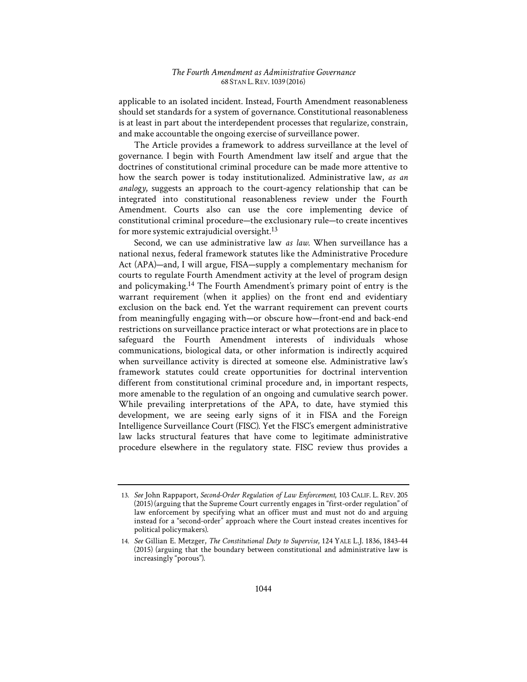applicable to an isolated incident. Instead, Fourth Amendment reasonableness should set standards for a system of governance. Constitutional reasonableness is at least in part about the interdependent processes that regularize, constrain, and make accountable the ongoing exercise of surveillance power.

The Article provides a framework to address surveillance at the level of governance. I begin with Fourth Amendment law itself and argue that the doctrines of constitutional criminal procedure can be made more attentive to how the search power is today institutionalized. Administrative law, *as an analogy*, suggests an approach to the court-agency relationship that can be integrated into constitutional reasonableness review under the Fourth Amendment. Courts also can use the core implementing device of constitutional criminal procedure—the exclusionary rule—to create incentives for more systemic extrajudicial oversight.13

Second, we can use administrative law *as law*. When surveillance has a national nexus, federal framework statutes like the Administrative Procedure Act (APA)—and, I will argue, FISA—supply a complementary mechanism for courts to regulate Fourth Amendment activity at the level of program design and policymaking.14 The Fourth Amendment's primary point of entry is the warrant requirement (when it applies) on the front end and evidentiary exclusion on the back end. Yet the warrant requirement can prevent courts from meaningfully engaging with—or obscure how—front-end and back-end restrictions on surveillance practice interact or what protections are in place to safeguard the Fourth Amendment interests of individuals whose communications, biological data, or other information is indirectly acquired when surveillance activity is directed at someone else. Administrative law's framework statutes could create opportunities for doctrinal intervention different from constitutional criminal procedure and, in important respects, more amenable to the regulation of an ongoing and cumulative search power. While prevailing interpretations of the APA, to date, have stymied this development, we are seeing early signs of it in FISA and the Foreign Intelligence Surveillance Court (FISC). Yet the FISC's emergent administrative law lacks structural features that have come to legitimate administrative procedure elsewhere in the regulatory state. FISC review thus provides a

<sup>13.</sup> *See* John Rappaport, *Second-Order Regulation of Law Enforcement*, 103 CALIF. L. REV. 205 (2015) (arguing that the Supreme Court currently engages in "first-order regulation" of law enforcement by specifying what an officer must and must not do and arguing instead for a "second-order" approach where the Court instead creates incentives for political policymakers).

<sup>14.</sup> *See* Gillian E. Metzger, *The Constitutional Duty to Supervise*, 124 YALE L.J. 1836, 1843-44 (2015) (arguing that the boundary between constitutional and administrative law is increasingly "porous").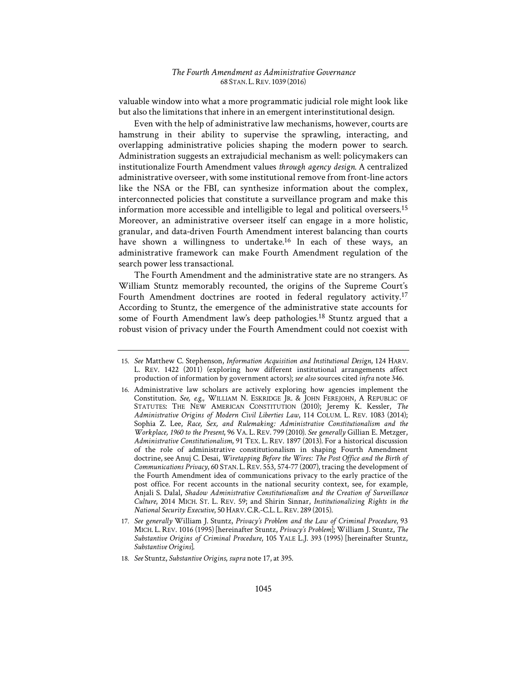valuable window into what a more programmatic judicial role might look like but also the limitations that inhere in an emergent interinstitutional design.

Even with the help of administrative law mechanisms, however, courts are hamstrung in their ability to supervise the sprawling, interacting, and overlapping administrative policies shaping the modern power to search. Administration suggests an extrajudicial mechanism as well: policymakers can institutionalize Fourth Amendment values *through agency design*. A centralized administrative overseer, with some institutional remove from front-line actors like the NSA or the FBI, can synthesize information about the complex, interconnected policies that constitute a surveillance program and make this information more accessible and intelligible to legal and political overseers.15 Moreover, an administrative overseer itself can engage in a more holistic, granular, and data-driven Fourth Amendment interest balancing than courts have shown a willingness to undertake.<sup>16</sup> In each of these ways, an administrative framework can make Fourth Amendment regulation of the search power less transactional.

The Fourth Amendment and the administrative state are no strangers. As William Stuntz memorably recounted, the origins of the Supreme Court's Fourth Amendment doctrines are rooted in federal regulatory activity.<sup>17</sup> According to Stuntz, the emergence of the administrative state accounts for some of Fourth Amendment law's deep pathologies.<sup>18</sup> Stuntz argued that a robust vision of privacy under the Fourth Amendment could not coexist with

<sup>15.</sup> *See* Matthew C. Stephenson, *Information Acquisition and Institutional Design*, 124 HARV. L. REV. 1422 (2011) (exploring how different institutional arrangements affect production of information by government actors); *see also* sources cited *infra* note 346.

<sup>16.</sup> Administrative law scholars are actively exploring how agencies implement the Constitution. *See, e.g.*, WILLIAM N. ESKRIDGE JR. & JOHN FEREJOHN, A REPUBLIC OF STATUTES: THE NEW AMERICAN CONSTITUTION (2010); Jeremy K. Kessler, *The Administrative Origins of Modern Civil Liberties Law*, 114 COLUM. L. REV. 1083 (2014); Sophia Z. Lee, *Race, Sex, and Rulemaking: Administrative Constitutionalism and the Workplace, 1960 to the Present*, 96 VA. L. REV. 799 (2010). *See generally* Gillian E. Metzger, *Administrative Constitutionalism*, 91 TEX. L. REV. 1897 (2013). For a historical discussion of the role of administrative constitutionalism in shaping Fourth Amendment doctrine, see Anuj C. Desai, *Wiretapping Before the Wires: The Post Office and the Birth of Communications Privacy*, 60 STAN. L.REV. 553, 574-77 (2007), tracing the development of the Fourth Amendment idea of communications privacy to the early practice of the post office. For recent accounts in the national security context, see, for example, Anjali S. Dalal, *Shadow Administrative Constitutionalism and the Creation of Surveillance Culture*, 2014 MICH. ST. L. REV. 59; and Shirin Sinnar, *Institutionalizing Rights in the National Security Executive*, 50 HARV.C.R.-C.L. L.REV. 289 (2015).

<sup>17.</sup> *See generally* William J. Stuntz, *Privacy's Problem and the Law of Criminal Procedure*, 93 MICH. L. REV. 1016 (1995) [hereinafter Stuntz, *Privacy's Problem*]; William J. Stuntz, *The Substantive Origins of Criminal Procedure*, 105 YALE L.J. 393 (1995) [hereinafter Stuntz, *Substantive Origins*].

<sup>18.</sup> *See* Stuntz, *Substantive Origins*, *supra* note 17, at 395.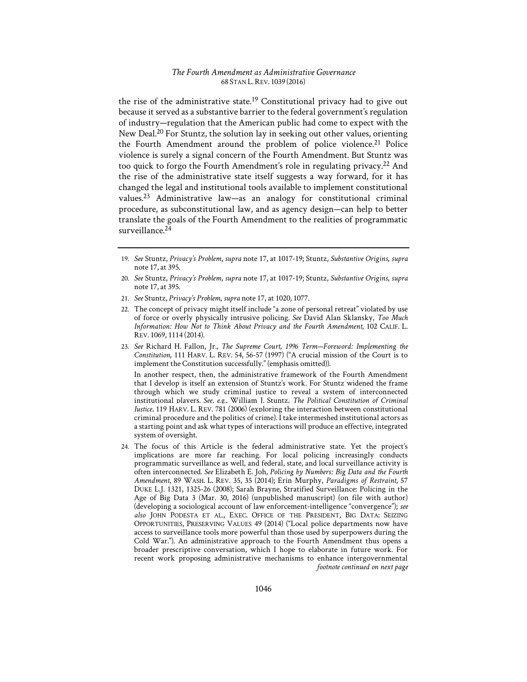the rise of the administrative state.<sup>19</sup> Constitutional privacy had to give out because it served as a substantive barrier to the federal government's regulation of industry—regulation that the American public had come to expect with the New Deal.<sup>20</sup> For Stuntz, the solution lay in seeking out other values, orienting the Fourth Amendment around the problem of police violence.<sup>21</sup> Police violence is surely a signal concern of the Fourth Amendment. But Stuntz was too quick to forgo the Fourth Amendment's role in regulating privacy.22 And the rise of the administrative state itself suggests a way forward, for it has changed the legal and institutional tools available to implement constitutional values.23 Administrative law—as an analogy for constitutional criminal procedure, as subconstitutional law, and as agency design—can help to better translate the goals of the Fourth Amendment to the realities of programmatic surveillance<sup>24</sup>

- 20. *See* Stuntz, *Privacy's Problem*, *supra* note 17, at 1017-19; Stuntz, *Substantive Origins*, *supra* note 17, at 395.
- 21. *See* Stuntz, *Privacy's Problem*, *supra* note 17, at 1020, 1077.
- 22. The concept of privacy might itself include "a zone of personal retreat" violated by use of force or overly physically intrusive policing. *See* David Alan Sklansky, *Too Much Information1: How Not to Think About Privacy and the Fourth Amendment*, 102 CALIF. L. REV. 1069, 1114 (2014).
- 23. See Richard H. Fallon, Jr., *The Supreme Court, 1996 Term-Foreword: Implementing the Constitution*, 111 HARV. L. REV. 54, 56-57 (1997) ("A crucial mission of the Court is to implement the Constitution successfully." (emphasis omitted)).

In another respect, then, the administrative framework of the Fourth Amendment that I develop is itself an extension of Stuntz's work. For Stuntz widened the frame through which we study criminal justice to reveal a system of interconnected institutional players. *See, e.g.*, William J. Stuntz, *The Political Constitution of Criminal Justice*, 119 HARV. L. REV. 781 (2006) (exploring the interaction between constitutional criminal procedure and the politics of crime). I take intermeshed institutional actors as a starting point and ask what types of interactions will produce an effective, integrated system of oversight.

24. The focus of this Article is the federal administrative state. Yet the project's implications are more far reaching. For local policing increasingly conducts programmatic surveillance as well, and federal, state, and local surveillance activity is often interconnected. See Elizabeth E. Joh, Policing by Numbers: Big Data and the Fourth *Amendment*, 89 WASH. L. REV. 35, 35 (2014); Erin Murphy, *Paradigms of Restraint*, 57 DUKE L.J. 1321, 1325-26 (2008); Sarah Brayne, Stratified Surveillance: Policing in the Age of Big Data 3 (Mar. 30, 2016) (unpublished manuscript) (on file with author) (developing a sociological account of law enforcement-intelligence "convergence"); *see also* JOHN PODESTA ET AL., EXEC. OFFICE OF THE PRESIDENT, BIG DATA: SEIZING OPPORTUNITIES, PRESERVING VALUES 49 (2014) ("Local police departments now have access to surveillance tools more powerful than those used by superpowers during the Cold War."). An administrative approach to the Fourth Amendment thus opens a broader prescriptive conversation, which I hope to elaborate in future work. For recent work proposing administrative mechanisms to enhance intergovernmental *footnote continued on next page* 

<sup>19.</sup> *See* Stuntz, *Privacy's Problem*, *supra* note 17, at 1017-19; Stuntz, *Substantive Origins*, *supra* note 17, at 395.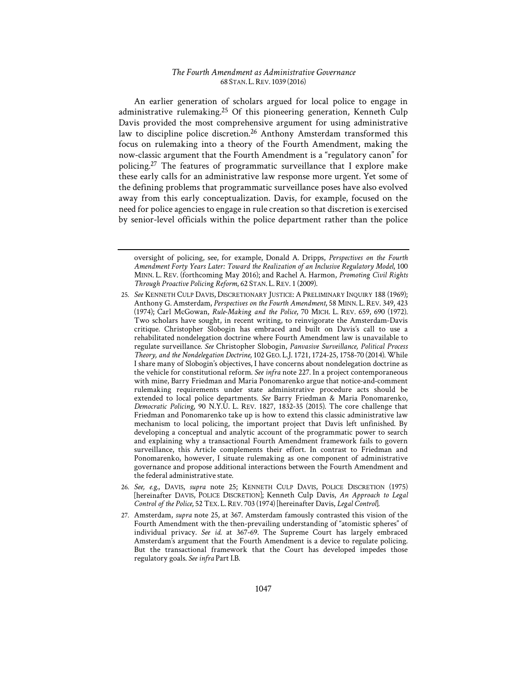An earlier generation of scholars argued for local police to engage in administrative rulemaking.<sup>25</sup> Of this pioneering generation, Kenneth Culp Davis provided the most comprehensive argument for using administrative law to discipline police discretion.<sup>26</sup> Anthony Amsterdam transformed this focus on rulemaking into a theory of the Fourth Amendment, making the now-classic argument that the Fourth Amendment is a "regulatory canon" for policing.27 The features of programmatic surveillance that I explore make these early calls for an administrative law response more urgent. Yet some of the defining problems that programmatic surveillance poses have also evolved away from this early conceptualization. Davis, for example, focused on the need for police agencies to engage in rule creation so that discretion is exercised by senior-level officials within the police department rather than the police

oversight of policing, see, for example, Donald A. Dripps, *Perspectives on the Fourth*  Amendment Forty Years Later: Toward the Realization of an Inclusive Regulatory Model, 100 MINN. L. REV. (forthcoming May 2016); and Rachel A. Harmon, *Promoting Civil Rights Through Proactive Policing Reform*, 62 STAN. L.REV. 1 (2009).

<sup>25.</sup> *See* KENNETH CULP DAVIS, DISCRETIONARY JUSTICE: A PRELIMINARY INQUIRY 188 (1969); Anthony G. Amsterdam, *Perspectives on the Fourth Amendment*, 58 MINN. L.REV. 349, 423 (1974); Carl McGowan, *Rule-Making and the Police*, 70 MICH. L. REV. 659, 690 (1972). Two scholars have sought, in recent writing, to reinvigorate the Amsterdam-Davis critique. Christopher Slobogin has embraced and built on Davis's call to use a rehabilitated nondelegation doctrine where Fourth Amendment law is unavailable to regulate surveillance. *See* Christopher Slobogin, *Panvasive Surveillance, Political Process Theory, and the Nondelegation Doctrine*, 102 GEO. L.J. 1721, 1724-25, 1758-70 (2014). While I share many of Slobogin's objectives, I have concerns about nondelegation doctrine as the vehicle for constitutional reform. *See infra* note 227. In a project contemporaneous with mine, Barry Friedman and Maria Ponomarenko argue that notice-and-comment rulemaking requirements under state administrative procedure acts should be extended to local police departments. *See* Barry Friedman & Maria Ponomarenko, *Democratic Policing*, 90 N.Y.U. L. REV. 1827, 1832-35 (2015). The core challenge that Friedman and Ponomarenko take up is how to extend this classic administrative law mechanism to local policing, the important project that Davis left unfinished. By developing a conceptual and analytic account of the programmatic power to search and explaining why a transactional Fourth Amendment framework fails to govern surveillance, this Article complements their effort. In contrast to Friedman and Ponomarenko, however, I situate rulemaking as one component of administrative governance and propose additional interactions between the Fourth Amendment and the federal administrative state.

<sup>26.</sup> *See, e.g.*, DAVIS, *supra* note 25; KENNETH CULP DAVIS, POLICE DISCRETION (1975) [hereinafter DAVIS, POLICE DISCRETION]; Kenneth Culp Davis, *An Approach to Legal Control of the Police*, 52 TEX. L.REV. 703 (1974) [hereinafter Davis, *Legal Control*].

<sup>27.</sup> Amsterdam, *supra* note 25, at 367. Amsterdam famously contrasted this vision of the Fourth Amendment with the then-prevailing understanding of "atomistic spheres" of individual privacy. *See id.* at 367-69. The Supreme Court has largely embraced Amsterdam's argument that the Fourth Amendment is a device to regulate policing. But the transactional framework that the Court has developed impedes those regulatory goals. *See infra* Part I.B.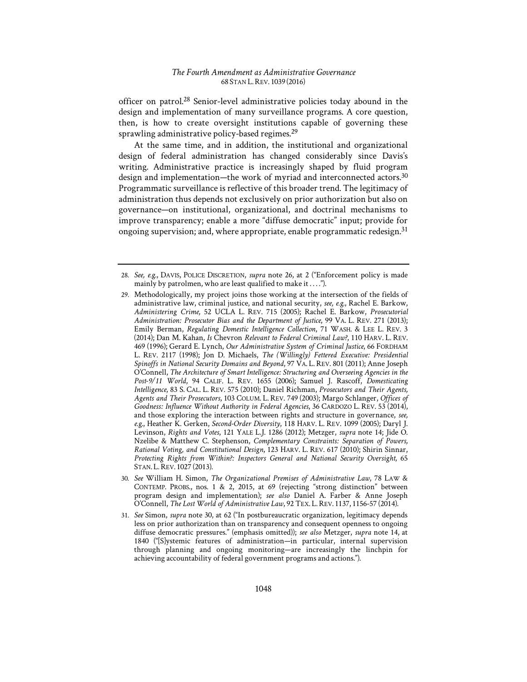officer on patrol.28 Senior-level administrative policies today abound in the design and implementation of many surveillance programs. A core question, then, is how to create oversight institutions capable of governing these sprawling administrative policy-based regimes.<sup>29</sup>

At the same time, and in addition, the institutional and organizational design of federal administration has changed considerably since Davis's writing. Administrative practice is increasingly shaped by fluid program design and implementation—the work of myriad and interconnected actors.30 Programmatic surveillance is reflective of this broader trend. The legitimacy of administration thus depends not exclusively on prior authorization but also on governance—on institutional, organizational, and doctrinal mechanisms to improve transparency; enable a more "diffuse democratic" input; provide for ongoing supervision; and, where appropriate, enable programmatic redesign.<sup>31</sup>

<sup>28.</sup> *See, e.g.*, DAVIS, POLICE DISCRETION, *supra* note 26, at 2 ("Enforcement policy is made mainly by patrolmen, who are least qualified to make it . . . .").

<sup>29.</sup> Methodologically, my project joins those working at the intersection of the fields of administrative law, criminal justice, and national security, *see, e.g.*, Rachel E. Barkow, *Administering Crime*, 52 UCLA L. REV. 715 (2005); Rachel E. Barkow, *Prosecutorial*  Administration: Prosecutor Bias and the Department of Justice, 99 VA. L. REV. 271 (2013); Emily Berman, *Regulating Domestic Intelligence Collection*, 71 WASH. & LEE L. REV. 3 (2014); Dan M. Kahan, *Is* Chevron *Relevant to Federal Criminal Law?*, 110 HARV. L. REV. 469 (1996); Gerard E. Lynch, *Our Administrative System of Criminal Justice*, 66 FORDHAM L. REV. 2117 (1998); Jon D. Michaels, *The (Willingly) Fettered Executive: Presidential Spinoffs in National Security Domains and Beyond*, 97 VA. L. REV. 801 (2011); Anne Joseph O'Connell, *The Architecture of Smart Intelligence: Structuring and Overseeing Agencies in the Post-9/11 World*, 94 CALIF. L. REV. 1655 (2006); Samuel J. Rascoff, *Domesticating Intelligence*, 83 S. CAL. L. REV. 575 (2010); Daniel Richman, *Prosecutors and Their Agents, Agents and Their Prosecutors*, 103 COLUM. L. REV. 749 (2003); Margo Schlanger, *Offices of*  Goodness: Influence Without Authority in Federal Agencies, 36 CARDOZO L. REV. 53 (2014), and those exploring the interaction between rights and structure in governance, *see, e.g.*, Heather K. Gerken, *Second-Order Diversity*, 118 HARV. L. REV. 1099 (2005); Daryl J. Levinson, *Rights and Votes*, 121 YALE L.J. 1286 (2012); Metzger, *supra* note 14; Jide O. Nzelibe & Matthew C. Stephenson, *Complementary Constraints: Separation of Powers*, *Rational Voting, and Constitutional Design*, 123 HARV. L. REV. 617 (2010); Shirin Sinnar, Protecting Rights from Within?: Inspectors General and National Security Oversight, 65 STAN. L.REV. 1027 (2013).

<sup>30.</sup> *See* William H. Simon, *The Organizational Premises of Administrative Law*, 78 LAW & CONTEMP. PROBS., nos. 1 & 2, 2015, at 69 (rejecting "strong distinction" between program design and implementation); *see also* Daniel A. Farber & Anne Joseph O'Connell, *The Lost World of Administrative Law*, 92 TEX. L.REV. 1137, 1156-57 (2014).

<sup>31.</sup> *See* Simon, *supra* note 30, at 62 ("In postbureaucratic organization, legitimacy depends less on prior authorization than on transparency and consequent openness to ongoing diffuse democratic pressures." (emphasis omitted)); *see also* Metzger, *supra* note 14, at 1840 ("[S]ystemic features of administration—in particular, internal supervision through planning and ongoing monitoring—are increasingly the linchpin for achieving accountability of federal government programs and actions.").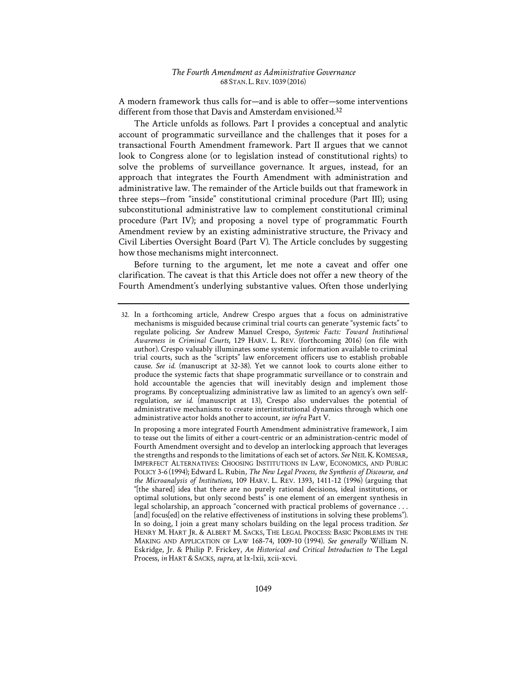A modern framework thus calls for—and is able to offer—some interventions different from those that Davis and Amsterdam envisioned.<sup>32</sup>

The Article unfolds as follows. Part I provides a conceptual and analytic account of programmatic surveillance and the challenges that it poses for a transactional Fourth Amendment framework. Part II argues that we cannot look to Congress alone (or to legislation instead of constitutional rights) to solve the problems of surveillance governance. It argues, instead, for an approach that integrates the Fourth Amendment with administration and administrative law. The remainder of the Article builds out that framework in three steps—from "inside" constitutional criminal procedure (Part III); using subconstitutional administrative law to complement constitutional criminal procedure (Part IV); and proposing a novel type of programmatic Fourth Amendment review by an existing administrative structure, the Privacy and Civil Liberties Oversight Board (Part V). The Article concludes by suggesting how those mechanisms might interconnect.

Before turning to the argument, let me note a caveat and offer one clarification. The caveat is that this Article does not offer a new theory of the Fourth Amendment's underlying substantive values. Often those underlying

<sup>32.</sup> In a forthcoming article, Andrew Crespo argues that a focus on administrative mechanisms is misguided because criminal trial courts can generate "systemic facts" to regulate policing. See Andrew Manuel Crespo, Systemic Facts: Toward Institutional *Awareness in Criminal Courts*, 129 HARV. L. REV. (forthcoming 2016) (on file with author). Crespo valuably illuminates some systemic information available to criminal trial courts, such as the "scripts" law enforcement officers use to establish probable cause. *See id.* (manuscript at 32-38). Yet we cannot look to courts alone either to produce the systemic facts that shape programmatic surveillance or to constrain and hold accountable the agencies that will inevitably design and implement those programs. By conceptualizing administrative law as limited to an agency's own selfregulation, *see id.* (manuscript at 13), Crespo also undervalues the potential of administrative mechanisms to create interinstitutional dynamics through which one administrative actor holds another to account, *see infra* Part V.

In proposing a more integrated Fourth Amendment administrative framework, I aim to tease out the limits of either a court-centric or an administration-centric model of Fourth Amendment oversight and to develop an interlocking approach that leverages the strengths and responds to the limitations of each set of actors. *See* NEIL K.KOMESAR, IMPERFECT ALTERNATIVES: CHOOSING INSTITUTIONS IN LAW, ECONOMICS, AND PUBLIC POLICY 3-6 (1994); Edward L. Rubin, *The New Legal Process, the Synthesis of Discourse, and the Microanalysis of Institutions*, 109 HARV. L. REV. 1393, 1411-12 (1996) (arguing that "[the shared] idea that there are no purely rational decisions, ideal institutions, or optimal solutions, but only second bests" is one element of an emergent synthesis in legal scholarship, an approach "concerned with practical problems of governance . . . [and] focus[ed] on the relative effectiveness of institutions in solving these problems"). In so doing, I join a great many scholars building on the legal process tradition. *See*  HENRY M. HART JR. & ALBERT M. SACKS, THE LEGAL PROCESS: BASIC PROBLEMS IN THE MAKING AND APPLICATION OF LAW 168-74, 1009-10 (1994). *See generally* William N. Eskridge, Jr. & Philip P. Frickey, *An Historical and Critical Introduction to* The Legal Process, in HART & SACKS, *supra*, at lx-lxii, xcii-xcvi.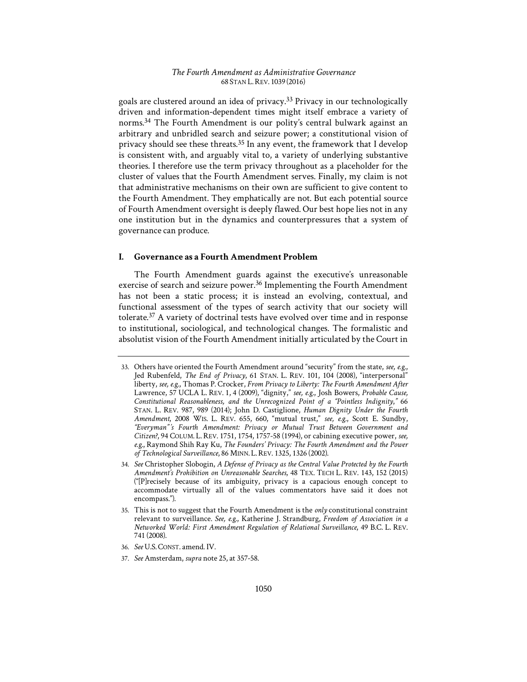goals are clustered around an idea of privacy.33 Privacy in our technologically driven and information-dependent times might itself embrace a variety of norms.34 The Fourth Amendment is our polity's central bulwark against an arbitrary and unbridled search and seizure power; a constitutional vision of privacy should see these threats.35 In any event, the framework that I develop is consistent with, and arguably vital to, a variety of underlying substantive theories. I therefore use the term privacy throughout as a placeholder for the cluster of values that the Fourth Amendment serves. Finally, my claim is not that administrative mechanisms on their own are sufficient to give content to the Fourth Amendment. They emphatically are not. But each potential source of Fourth Amendment oversight is deeply flawed. Our best hope lies not in any one institution but in the dynamics and counterpressures that a system of governance can produce.

# **I. Governance as a Fourth Amendment Problem**

The Fourth Amendment guards against the executive's unreasonable exercise of search and seizure power.<sup>36</sup> Implementing the Fourth Amendment has not been a static process; it is instead an evolving, contextual, and functional assessment of the types of search activity that our society will tolerate.37 A variety of doctrinal tests have evolved over time and in response to institutional, sociological, and technological changes. The formalistic and absolutist vision of the Fourth Amendment initially articulated by the Court in

- 36. *See* U.S. CONST. amend. IV.
- 37. *See* Amsterdam, *supra* note 25, at 357-58.

<sup>33.</sup> Others have oriented the Fourth Amendment around "security" from the state, *see, e.g.*, Jed Rubenfeld, *The End of Privacy*, 61 STAN. L. REV. 101, 104 (2008), "interpersonal" liberty, see, e.g., Thomas P. Crocker, *From Privacy to Liberty: The Fourth Amendment After* Lawrence, 57 UCLA L. REV. 1, 4 (2009), "dignity," *see, e.g.*, Josh Bowers, *Probable Cause, Constitutional Reasonableness, and the Unrecognized Point of a "Pointless Indignity*,*"* 66 STAN. L. REV. 987, 989 (2014); John D. Castiglione, *Human Dignity Under the Fourth Amendment*, 2008 WIS. L. REV. 655, 660, "mutual trust," *see, e.g.*, Scott E. Sundby, "Everyman"'s Fourth Amendment: Privacy or Mutual Trust Between Government and *Citizen?*, 94 COLUM. L. REV. 1751, 1754, 1757-58 (1994), or cabining executive power, *see,*  e.g., Raymond Shih Ray Ku, *The Founders' Privacy: The Fourth Amendment and the Power of Technological Surveillance*, 86 MINN. L.REV. 1325, 1326 (2002).

<sup>34.</sup> *See* Christopher Slobogin, *A Defense of Privacy as the Central Value Protected by the Fourth Amendment's Prohibition on Unreasonable Searches*, 48 TEX. TECH L. REV. 143, 152 (2015) ("[P]recisely because of its ambiguity, privacy is a capacious enough concept to accommodate virtually all of the values commentators have said it does not encompass.").

<sup>35.</sup> This is not to suggest that the Fourth Amendment is the *only* constitutional constraint relevant to surveillance. *See, e.g.*, Katherine J. Strandburg, *Freedom of Association in a Networked World1: First Amendment Regulation of Relational Surveillance*, 49 B.C. L. REV. 741 (2008).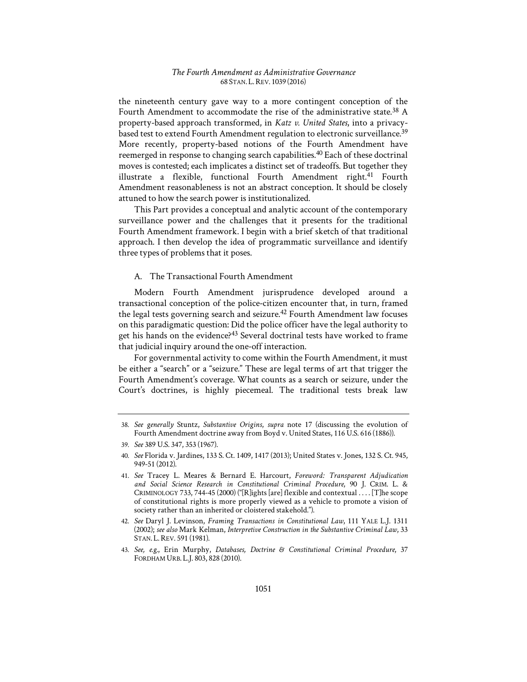the nineteenth century gave way to a more contingent conception of the Fourth Amendment to accommodate the rise of the administrative state.<sup>38</sup> A property-based approach transformed, in *Katz v. United States*, into a privacybased test to extend Fourth Amendment regulation to electronic surveillance.<sup>39</sup> More recently, property-based notions of the Fourth Amendment have reemerged in response to changing search capabilities.<sup>40</sup> Each of these doctrinal moves is contested; each implicates a distinct set of tradeoffs. But together they illustrate a flexible, functional Fourth Amendment right.41 Fourth Amendment reasonableness is not an abstract conception. It should be closely attuned to how the search power is institutionalized.

This Part provides a conceptual and analytic account of the contemporary surveillance power and the challenges that it presents for the traditional Fourth Amendment framework. I begin with a brief sketch of that traditional approach. I then develop the idea of programmatic surveillance and identify three types of problems that it poses.

# A. The Transactional Fourth Amendment

Modern Fourth Amendment jurisprudence developed around a transactional conception of the police-citizen encounter that, in turn, framed the legal tests governing search and seizure.<sup>42</sup> Fourth Amendment law focuses on this paradigmatic question: Did the police officer have the legal authority to get his hands on the evidence?<sup>43</sup> Several doctrinal tests have worked to frame that judicial inquiry around the one-off interaction.

For governmental activity to come within the Fourth Amendment, it must be either a "search" or a "seizure." These are legal terms of art that trigger the Fourth Amendment's coverage. What counts as a search or seizure, under the Court's doctrines, is highly piecemeal. The traditional tests break law

<sup>38.</sup> *See generally* Stuntz, *Substantive Origins*, *supra* note 17 (discussing the evolution of Fourth Amendment doctrine away from Boyd v. United States, 116 U.S. 616 (1886)).

<sup>39.</sup> *See* 389 U.S. 347, 353 (1967).

<sup>40.</sup> *See* Florida v. Jardines, 133 S. Ct. 1409, 1417 (2013); United States v. Jones, 132 S. Ct. 945, 949-51 (2012).

<sup>41.</sup> *See* Tracey L. Meares & Bernard E. Harcourt, *Foreword1: Transparent Adjudication and Social Science Research in Constitutional Criminal Procedure*, 90 J. CRIM. L. & CRIMINOLOGY 733, 744-45 (2000) ("[R]ights [are] flexible and contextual . . . . [T]he scope of constitutional rights is more properly viewed as a vehicle to promote a vision of society rather than an inherited or cloistered stakehold.").

<sup>42.</sup> *See* Daryl J. Levinson, *Framing Transactions in Constitutional Law*, 111 YALE L.J. 1311 (2002); *see also* Mark Kelman, *Interpretive Construction in the Substantive Criminal Law*, 33 STAN. L.REV. 591 (1981).

<sup>43.</sup> *See, e.g.*, Erin Murphy, *Databases, Doctrine & Constitutional Criminal Procedure*, 37 FORDHAM URB. L.J. 803, 828 (2010).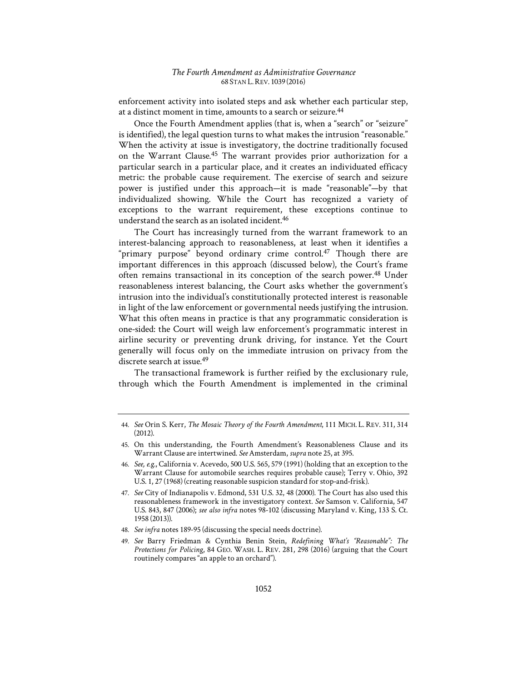enforcement activity into isolated steps and ask whether each particular step, at a distinct moment in time, amounts to a search or seizure.<sup>44</sup>

Once the Fourth Amendment applies (that is, when a "search" or "seizure" is identified), the legal question turns to what makes the intrusion "reasonable." When the activity at issue is investigatory, the doctrine traditionally focused on the Warrant Clause.45 The warrant provides prior authorization for a particular search in a particular place, and it creates an individuated efficacy metric: the probable cause requirement. The exercise of search and seizure power is justified under this approach—it is made "reasonable"—by that individualized showing. While the Court has recognized a variety of exceptions to the warrant requirement, these exceptions continue to understand the search as an isolated incident.<sup>46</sup>

The Court has increasingly turned from the warrant framework to an interest-balancing approach to reasonableness, at least when it identifies a "primary purpose" beyond ordinary crime control.<sup>47</sup> Though there are important differences in this approach (discussed below), the Court's frame often remains transactional in its conception of the search power.48 Under reasonableness interest balancing, the Court asks whether the government's intrusion into the individual's constitutionally protected interest is reasonable in light of the law enforcement or governmental needs justifying the intrusion. What this often means in practice is that any programmatic consideration is one-sided: the Court will weigh law enforcement's programmatic interest in airline security or preventing drunk driving, for instance. Yet the Court generally will focus only on the immediate intrusion on privacy from the discrete search at issue.49

The transactional framework is further reified by the exclusionary rule, through which the Fourth Amendment is implemented in the criminal

48. *See infra* notes 189-95 (discussing the special needs doctrine).

<sup>44.</sup> *See* Orin S. Kerr, *The Mosaic Theory of the Fourth Amendment*, 111 MICH. L. REV. 311, 314 (2012).

<sup>45.</sup> On this understanding, the Fourth Amendment's Reasonableness Clause and its Warrant Clause are intertwined. *See* Amsterdam, *supra* note 25, at 395.

<sup>46.</sup> *See, e.g.*, California v. Acevedo, 500 U.S. 565, 579 (1991) (holding that an exception to the Warrant Clause for automobile searches requires probable cause); Terry v. Ohio, 392 U.S. 1, 27 (1968) (creating reasonable suspicion standard for stop-and-frisk).

<sup>47.</sup> *See* City of Indianapolis v. Edmond, 531 U.S. 32, 48 (2000). The Court has also used this reasonableness framework in the investigatory context. *See* Samson v. California, 547 U.S. 843, 847 (2006); *see also infra* notes 98-102 (discussing Maryland v. King, 133 S. Ct. 1958 (2013)).

<sup>49.</sup> See Barry Friedman & Cynthia Benin Stein, *Redefining What's "Reasonable": The Protections for Policing*, 84 GEO. WASH. L. REV. 281, 298 (2016) (arguing that the Court routinely compares "an apple to an orchard").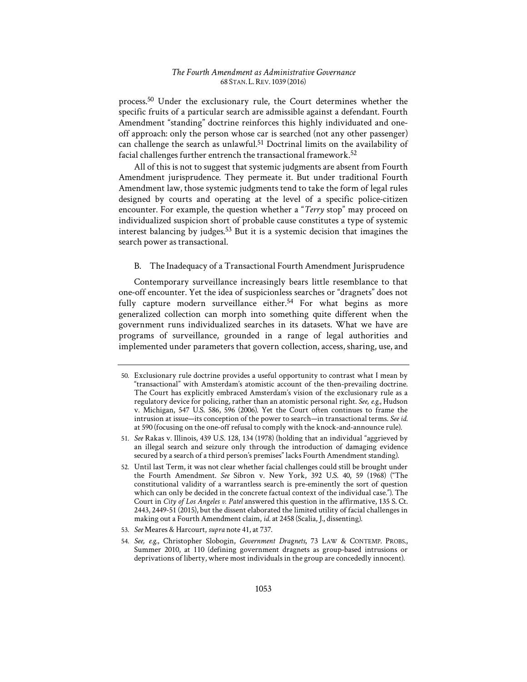process.50 Under the exclusionary rule, the Court determines whether the specific fruits of a particular search are admissible against a defendant. Fourth Amendment "standing" doctrine reinforces this highly individuated and oneoff approach: only the person whose car is searched (not any other passenger) can challenge the search as unlawful.51 Doctrinal limits on the availability of facial challenges further entrench the transactional framework.52

All of this is not to suggest that systemic judgments are absent from Fourth Amendment jurisprudence. They permeate it. But under traditional Fourth Amendment law, those systemic judgments tend to take the form of legal rules designed by courts and operating at the level of a specific police-citizen encounter. For example, the question whether a "*Terry* stop" may proceed on individualized suspicion short of probable cause constitutes a type of systemic interest balancing by judges. $53$  But it is a systemic decision that imagines the search power as transactional.

# B. The Inadequacy of a Transactional Fourth Amendment Jurisprudence

Contemporary surveillance increasingly bears little resemblance to that one-off encounter. Yet the idea of suspicionless searches or "dragnets" does not fully capture modern surveillance either.<sup>54</sup> For what begins as more generalized collection can morph into something quite different when the government runs individualized searches in its datasets. What we have are programs of surveillance, grounded in a range of legal authorities and implemented under parameters that govern collection, access, sharing, use, and

53. *See* Meares & Harcourt, *supra* note 41, at 737.

<sup>50.</sup> Exclusionary rule doctrine provides a useful opportunity to contrast what I mean by "transactional" with Amsterdam's atomistic account of the then-prevailing doctrine. The Court has explicitly embraced Amsterdam's vision of the exclusionary rule as a regulatory device for policing, rather than an atomistic personal right. *See, e.g.*, Hudson v. Michigan, 547 U.S. 586, 596 (2006). Yet the Court often continues to frame the intrusion at issue—its conception of the power to search—in transactional terms. *See id.* at 590 (focusing on the one-off refusal to comply with the knock-and-announce rule).

<sup>51.</sup> *See* Rakas v. Illinois, 439 U.S. 128, 134 (1978) (holding that an individual "aggrieved by an illegal search and seizure only through the introduction of damaging evidence secured by a search of a third person's premises" lacks Fourth Amendment standing).

<sup>52.</sup> Until last Term, it was not clear whether facial challenges could still be brought under the Fourth Amendment. *See* Sibron v. New York, 392 U.S. 40, 59 (1968) ("The constitutional validity of a warrantless search is pre-eminently the sort of question which can only be decided in the concrete factual context of the individual case."). The Court in *City of Los Angeles v. Patel* answered this question in the affirmative, 135 S. Ct. 2443, 2449-51 (2015), but the dissent elaborated the limited utility of facial challenges in making out a Fourth Amendment claim, *id.* at 2458 (Scalia, J., dissenting).

<sup>54.</sup> *See, e.g.*, Christopher Slobogin, *Government Dragnets*, 73 LAW & CONTEMP. PROBS., Summer 2010, at 110 (defining government dragnets as group-based intrusions or deprivations of liberty, where most individuals in the group are concededly innocent).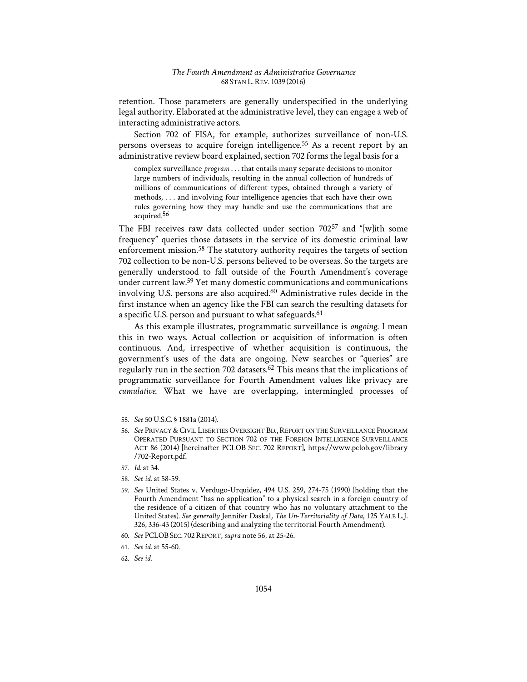retention. Those parameters are generally underspecified in the underlying legal authority. Elaborated at the administrative level, they can engage a web of interacting administrative actors.

Section 702 of FISA, for example, authorizes surveillance of non-U.S. persons overseas to acquire foreign intelligence.55 As a recent report by an administrative review board explained, section 702 forms the legal basis for a

complex surveillance *program* . . . that entails many separate decisions to monitor large numbers of individuals, resulting in the annual collection of hundreds of millions of communications of different types, obtained through a variety of methods, . . . and involving four intelligence agencies that each have their own rules governing how they may handle and use the communications that are acquired.<sup>56</sup>

The FBI receives raw data collected under section 70257 and "[w]ith some frequency" queries those datasets in the service of its domestic criminal law enforcement mission.58 The statutory authority requires the targets of section 702 collection to be non-U.S. persons believed to be overseas. So the targets are generally understood to fall outside of the Fourth Amendment's coverage under current law.59 Yet many domestic communications and communications involving U.S. persons are also acquired.<sup>60</sup> Administrative rules decide in the first instance when an agency like the FBI can search the resulting datasets for a specific U.S. person and pursuant to what safeguards.<sup>61</sup>

As this example illustrates, programmatic surveillance is *ongoing*. I mean this in two ways. Actual collection or acquisition of information is often continuous. And, irrespective of whether acquisition is continuous, the government's uses of the data are ongoing. New searches or "queries" are regularly run in the section 702 datasets.62 This means that the implications of programmatic surveillance for Fourth Amendment values like privacy are *cumulative*. What we have are overlapping, intermingled processes of

<sup>55.</sup> *See* 50 U.S.C. § 1881a (2014).

<sup>56.</sup> *See* PRIVACY & CIVIL LIBERTIES OVERSIGHT BD., REPORT ON THE SURVEILLANCE PROGRAM OPERATED PURSUANT TO SECTION 702 OF THE FOREIGN INTELLIGENCE SURVEILLANCE ACT 86 (2014) [hereinafter PCLOB SEC. 702 REPORT], https://www.pclob.gov/library /702-Report.pdf.

<sup>57.</sup> *Id.* at 34.

<sup>58.</sup> *See id.* at 58-59.

<sup>59.</sup> *See* United States v. Verdugo-Urquidez, 494 U.S. 259, 274-75 (1990) (holding that the Fourth Amendment "has no application" to a physical search in a foreign country of the residence of a citizen of that country who has no voluntary attachment to the United States). *See generally* Jennifer Daskal, *The Un-Territoriality of Data*, 125 YALE L.J. 326, 336-43 (2015) (describing and analyzing the territorial Fourth Amendment).

<sup>60.</sup> *See* PCLOB SEC. 702REPORT, *supra* note 56, at 25-26.

<sup>61.</sup> *See id.* at 55-60.

<sup>62.</sup> *See id.*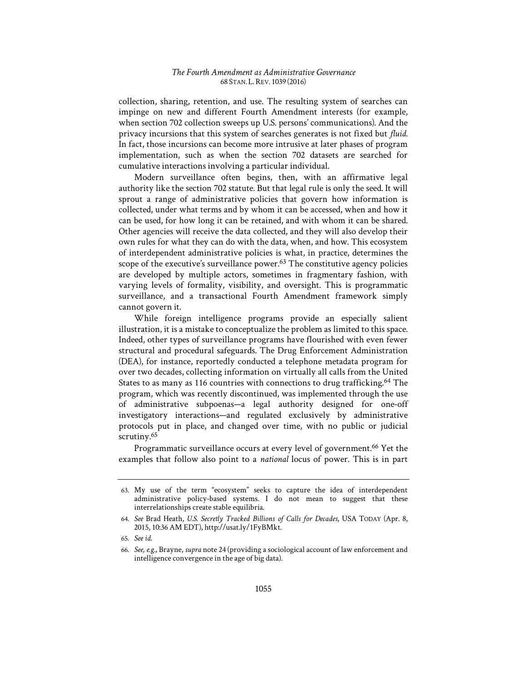collection, sharing, retention, and use. The resulting system of searches can impinge on new and different Fourth Amendment interests (for example, when section 702 collection sweeps up U.S. persons' communications). And the privacy incursions that this system of searches generates is not fixed but *fluid*. In fact, those incursions can become more intrusive at later phases of program implementation, such as when the section 702 datasets are searched for cumulative interactions involving a particular individual.

Modern surveillance often begins, then, with an affirmative legal authority like the section 702 statute. But that legal rule is only the seed. It will sprout a range of administrative policies that govern how information is collected, under what terms and by whom it can be accessed, when and how it can be used, for how long it can be retained, and with whom it can be shared. Other agencies will receive the data collected, and they will also develop their own rules for what they can do with the data, when, and how. This ecosystem of interdependent administrative policies is what, in practice, determines the scope of the executive's surveillance power.<sup>63</sup> The constitutive agency policies are developed by multiple actors, sometimes in fragmentary fashion, with varying levels of formality, visibility, and oversight. This is programmatic surveillance, and a transactional Fourth Amendment framework simply cannot govern it.

While foreign intelligence programs provide an especially salient illustration, it is a mistake to conceptualize the problem as limited to this space. Indeed, other types of surveillance programs have flourished with even fewer structural and procedural safeguards. The Drug Enforcement Administration (DEA), for instance, reportedly conducted a telephone metadata program for over two decades, collecting information on virtually all calls from the United States to as many as 116 countries with connections to drug trafficking.<sup>64</sup> The program, which was recently discontinued, was implemented through the use of administrative subpoenas—a legal authority designed for one-off investigatory interactions—and regulated exclusively by administrative protocols put in place, and changed over time, with no public or judicial scrutiny.<sup>65</sup>

Programmatic surveillance occurs at every level of government.<sup>66</sup> Yet the examples that follow also point to a *national* locus of power. This is in part

<sup>63.</sup> My use of the term "ecosystem" seeks to capture the idea of interdependent administrative policy-based systems. I do not mean to suggest that these interrelationships create stable equilibria.

<sup>64.</sup> *See* Brad Heath, *U.S. Secretly Tracked Billions of Calls for Decades*, USA TODAY (Apr. 8, 2015, 10:36 AM EDT), http://usat.ly/1FyBMkt.

<sup>65.</sup> *See id.* 

<sup>66.</sup> *See, e.g.*, Brayne, *supra* note 24 (providing a sociological account of law enforcement and intelligence convergence in the age of big data).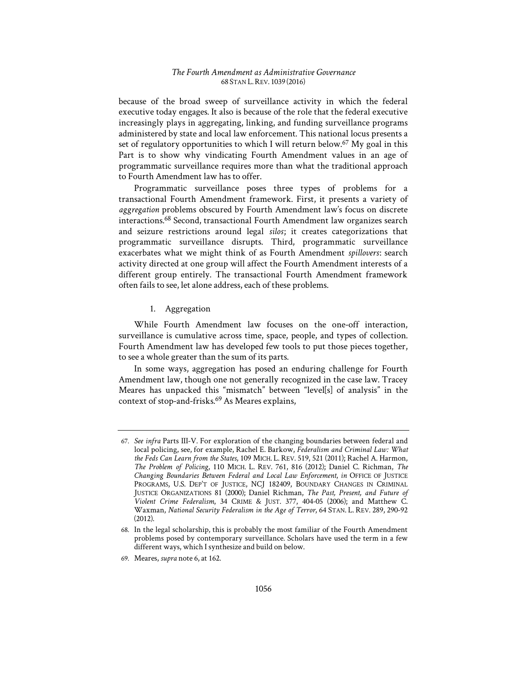because of the broad sweep of surveillance activity in which the federal executive today engages. It also is because of the role that the federal executive increasingly plays in aggregating, linking, and funding surveillance programs administered by state and local law enforcement. This national locus presents a set of regulatory opportunities to which I will return below.<sup>67</sup> My goal in this Part is to show why vindicating Fourth Amendment values in an age of programmatic surveillance requires more than what the traditional approach to Fourth Amendment law has to offer.

Programmatic surveillance poses three types of problems for a transactional Fourth Amendment framework. First, it presents a variety of *aggregation* problems obscured by Fourth Amendment law's focus on discrete interactions.68 Second, transactional Fourth Amendment law organizes search and seizure restrictions around legal silos; it creates categorizations that programmatic surveillance disrupts. Third, programmatic surveillance exacerbates what we might think of as Fourth Amendment *spillovers*: search activity directed at one group will affect the Fourth Amendment interests of a different group entirely. The transactional Fourth Amendment framework often fails to see, let alone address, each of these problems.

# 1. Aggregation

While Fourth Amendment law focuses on the one-off interaction, surveillance is cumulative across time, space, people, and types of collection. Fourth Amendment law has developed few tools to put those pieces together, to see a whole greater than the sum of its parts.

In some ways, aggregation has posed an enduring challenge for Fourth Amendment law, though one not generally recognized in the case law. Tracey Meares has unpacked this "mismatch" between "level[s] of analysis" in the context of stop-and-frisks.69 As Meares explains,

<sup>67.</sup> *See infra* Parts III-V. For exploration of the changing boundaries between federal and local policing, see, for example, Rachel E. Barkow, *Federalism and Criminal Law: What the Feds Can Learn from the States*, 109 MICH. L. REV. 519, 521 (2011); Rachel A. Harmon, *The Problem of Policing*, 110 MICH. L. REV. 761, 816 (2012); Daniel C. Richman, *The Changing Boundaries Between Federal and Local Law Enforcement*, *in* OFFICE OF JUSTICE PROGRAMS, U.S. DEP'T OF JUSTICE, NCJ 182409, BOUNDARY CHANGES IN CRIMINAL JUSTICE ORGANIZATIONS 81 (2000); Daniel Richman, *The Past, Present, and Future of Violent Crime Federalism*, 34 CRIME & JUST. 377, 404-05 (2006); and Matthew C. Waxman, *National Security Federalism in the Age of Terror*, 64 STAN. L. REV. 289, 290-92  $(2012)$ .

<sup>68.</sup> In the legal scholarship, this is probably the most familiar of the Fourth Amendment problems posed by contemporary surveillance. Scholars have used the term in a few different ways, which I synthesize and build on below.

<sup>69.</sup> Meares, *supra* note 6, at 162.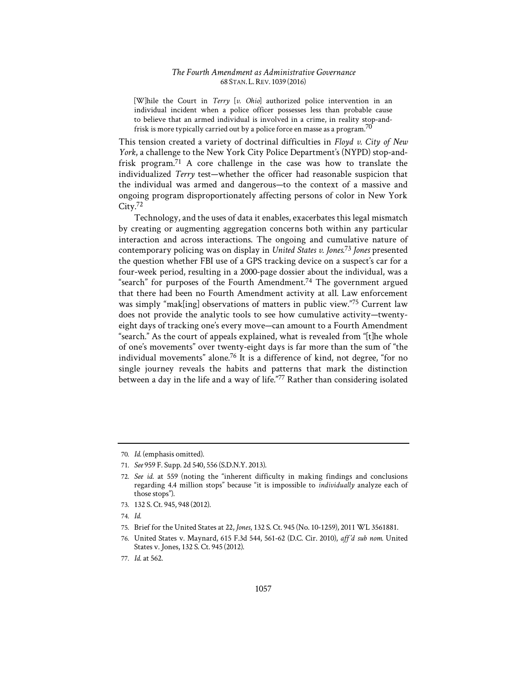[W]hile the Court in *Terry* [*v. Ohio*] authorized police intervention in an individual incident when a police officer possesses less than probable cause to believe that an armed individual is involved in a crime, in reality stop-andfrisk is more typically carried out by a police force en masse as a program.<sup>70</sup>

This tension created a variety of doctrinal difficulties in *Floyd v. City of New York*, a challenge to the New York City Police Department's (NYPD) stop-andfrisk program.71 A core challenge in the case was how to translate the individualized *Terry* test—whether the officer had reasonable suspicion that the individual was armed and dangerous—to the context of a massive and ongoing program disproportionately affecting persons of color in New York City.<sup>72</sup>

Technology, and the uses of data it enables, exacerbates this legal mismatch by creating or augmenting aggregation concerns both within any particular interaction and across interactions. The ongoing and cumulative nature of contemporary policing was on display in *United States v. Jones*. <sup>73</sup> *Jones* presented the question whether FBI use of a GPS tracking device on a suspect's car for a four-week period, resulting in a 2000-page dossier about the individual, was a "search" for purposes of the Fourth Amendment.<sup>74</sup> The government argued that there had been no Fourth Amendment activity at all. Law enforcement was simply "mak[ing] observations of matters in public view."75 Current law does not provide the analytic tools to see how cumulative activity—twentyeight days of tracking one's every move—can amount to a Fourth Amendment "search." As the court of appeals explained, what is revealed from "[t]he whole of one's movements" over twenty-eight days is far more than the sum of "the individual movements" alone.76 It is a difference of kind, not degree, "for no single journey reveals the habits and patterns that mark the distinction between a day in the life and a way of life."77 Rather than considering isolated

- 73. 132 S. Ct. 945, 948 (2012).
- 74. *Id.*
- 75. Brief for the United States at 22, *Jones*, 132 S. Ct. 945 (No. 10-1259), 2011 WL 3561881.

<sup>70.</sup> *Id.* (emphasis omitted).

<sup>71.</sup> *See* 959 F. Supp. 2d 540, 556 (S.D.N.Y. 2013).

<sup>72.</sup> *See id.* at 559 (noting the "inherent difficulty in making findings and conclusions regarding 4.4 million stops" because "it is impossible to *individually* analyze each of those stops").

<sup>76.</sup> United States v. Maynard, 615 F.3d 544, 561-62 (D.C. Cir. 2010), aff'd sub nom. United States v. Jones, 132 S. Ct. 945 (2012).

<sup>77.</sup> *Id.* at 562.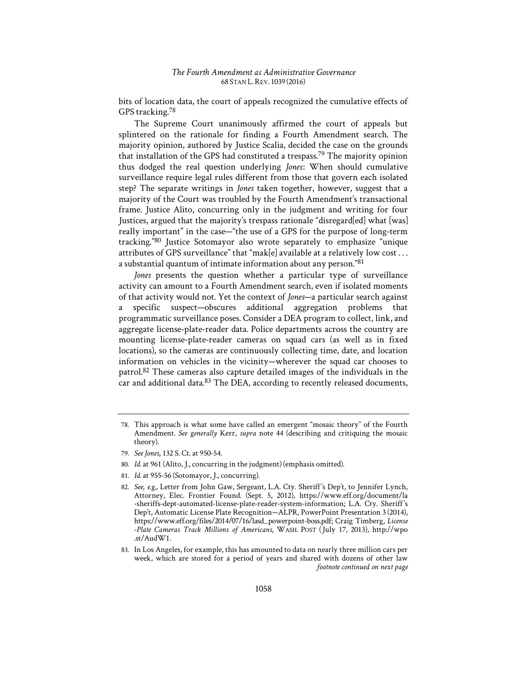bits of location data, the court of appeals recognized the cumulative effects of GPS tracking.78

The Supreme Court unanimously affirmed the court of appeals but splintered on the rationale for finding a Fourth Amendment search. The majority opinion, authored by Justice Scalia, decided the case on the grounds that installation of the GPS had constituted a trespass.79 The majority opinion thus dodged the real question underlying *Jones*: When should cumulative surveillance require legal rules different from those that govern each isolated step? The separate writings in *Jones* taken together, however, suggest that a majority of the Court was troubled by the Fourth Amendment's transactional frame. Justice Alito, concurring only in the judgment and writing for four Justices, argued that the majority's trespass rationale "disregard[ed] what [was] really important" in the case—"the use of a GPS for the purpose of long-term tracking."80 Justice Sotomayor also wrote separately to emphasize "unique attributes of GPS surveillance" that "mak[e] available at a relatively low cost . . . a substantial quantum of intimate information about any person."81

*Jones* presents the question whether a particular type of surveillance activity can amount to a Fourth Amendment search, even if isolated moments of that activity would not. Yet the context of *Jones*—a particular search against specific suspect-obscures additional aggregation problems that programmatic surveillance poses. Consider a DEA program to collect, link, and aggregate license-plate-reader data. Police departments across the country are mounting license-plate-reader cameras on squad cars (as well as in fixed locations), so the cameras are continuously collecting time, date, and location information on vehicles in the vicinity—wherever the squad car chooses to patrol.82 These cameras also capture detailed images of the individuals in the car and additional data.<sup>83</sup> The DEA, according to recently released documents,

- 80. *Id.* at 961 (Alito, J., concurring in the judgment) (emphasis omitted).
- 81. *Id.* at 955-56 (Sotomayor, J., concurring).

<sup>78.</sup> This approach is what some have called an emergent "mosaic theory" of the Fourth Amendment. *See generally* Kerr, *supra* note 44 (describing and critiquing the mosaic theory).

<sup>79.</sup> *See Jones*, 132 S. Ct. at 950-54.

<sup>82.</sup> See, e.g., Letter from John Gaw, Sergeant, L.A. Cty. Sheriff's Dep't, to Jennifer Lynch, Attorney, Elec. Frontier Found. (Sept. 5, 2012), https://www.eff.org/document/la -sheriffs-dept-automated-license-plate-reader-system-information; L.A. Cty. Sheriff's Dep't, Automatic License Plate Recognition—ALPR, PowerPoint Presentation 3 (2014), https://www.eff.org/files/2014/07/16/lasd\_powerpoint-boss.pdf; Craig Timberg, *License -Plate Cameras Track Millions of Americans*, WASH. POST (1July 17, 2013), http://wpo .st/AudW1.

<sup>83.</sup> In Los Angeles, for example, this has amounted to data on nearly three million cars per week, which are stored for a period of years and shared with dozens of other law *footnote continued on next page*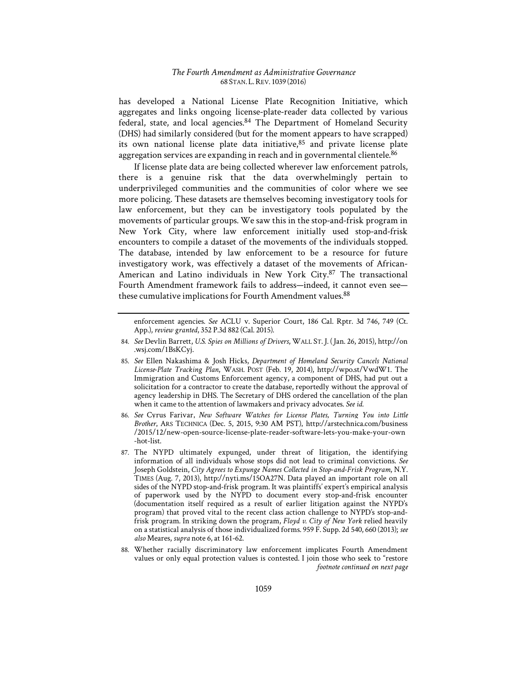has developed a National License Plate Recognition Initiative, which aggregates and links ongoing license-plate-reader data collected by various federal, state, and local agencies.84 The Department of Homeland Security (DHS) had similarly considered (but for the moment appears to have scrapped) its own national license plate data initiative, 85 and private license plate aggregation services are expanding in reach and in governmental clientele.<sup>86</sup>

If license plate data are being collected wherever law enforcement patrols, there is a genuine risk that the data overwhelmingly pertain to underprivileged communities and the communities of color where we see more policing. These datasets are themselves becoming investigatory tools for law enforcement, but they can be investigatory tools populated by the movements of particular groups. We saw this in the stop-and-frisk program in New York City, where law enforcement initially used stop-and-frisk encounters to compile a dataset of the movements of the individuals stopped. The database, intended by law enforcement to be a resource for future investigatory work, was effectively a dataset of the movements of African-American and Latino individuals in New York City.<sup>87</sup> The transactional Fourth Amendment framework fails to address—indeed, it cannot even see these cumulative implications for Fourth Amendment values.<sup>88</sup>

enforcement agencies. *See* ACLU v. Superior Court, 186 Cal. Rptr. 3d 746, 749 (Ct. App.), *review granted*, 352 P.3d 882 (Cal. 2015).

<sup>84.</sup> *See* Devlin Barrett, *U.S. Spies on Millions of Drivers*, WALL ST.J. (1Jan. 26, 2015), http://on .wsj.com/1BsKCyj.

<sup>85.</sup> *See* Ellen Nakashima & Josh Hicks, *Department of Homeland Security Cancels National License-Plate Tracking Plan*, WASH. POST (Feb. 19, 2014), http://wpo.st/VwdW1. The Immigration and Customs Enforcement agency, a component of DHS, had put out a solicitation for a contractor to create the database, reportedly without the approval of agency leadership in DHS. The Secretary of DHS ordered the cancellation of the plan when it came to the attention of lawmakers and privacy advocates. *See id.*

<sup>86.</sup> *See* Cyrus Farivar, *New Software Watches for License Plates, Turning You into Little Brother*, ARS TECHNICA (Dec. 5, 2015, 9:30 AM PST), http://arstechnica.com/business /2015/12/new-open-source-license-plate-reader-software-lets-you-make-your-own -hot-list.

<sup>87.</sup> The NYPD ultimately expunged, under threat of litigation, the identifying information of all individuals whose stops did not lead to criminal convictions. *See*  Joseph Goldstein, *City Agrees to Expunge Names Collected in Stop-and-Frisk Program*, N.Y. TIMES (Aug. 7, 2013), http://nyti.ms/15OA27N. Data played an important role on all sides of the NYPD stop-and-frisk program. It was plaintiffs' expert's empirical analysis of paperwork used by the NYPD to document every stop-and-frisk encounter (documentation itself required as a result of earlier litigation against the NYPD's program) that proved vital to the recent class action challenge to NYPD's stop-andfrisk program. In striking down the program, *Floyd v. City of New York* relied heavily on a statistical analysis of those individualized forms. 959 F. Supp. 2d 540, 660 (2013); *see also* Meares, *supra* note 6, at 161-62.

<sup>88.</sup> Whether racially discriminatory law enforcement implicates Fourth Amendment values or only equal protection values is contested. I join those who seek to "restore *footnote continued on next page*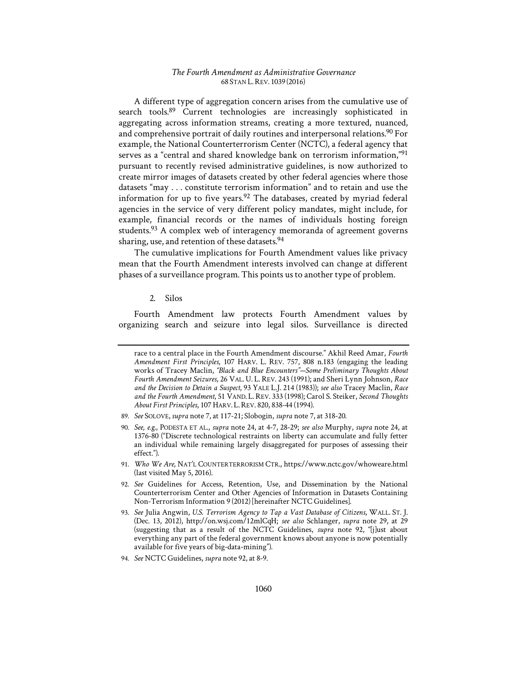A different type of aggregation concern arises from the cumulative use of search tools.89 Current technologies are increasingly sophisticated in aggregating across information streams, creating a more textured, nuanced, and comprehensive portrait of daily routines and interpersonal relations.<sup>90</sup> For example, the National Counterterrorism Center (NCTC), a federal agency that serves as a "central and shared knowledge bank on terrorism information,"<sup>91</sup> pursuant to recently revised administrative guidelines, is now authorized to create mirror images of datasets created by other federal agencies where those datasets "may . . . constitute terrorism information" and to retain and use the information for up to five years.<sup>92</sup> The databases, created by myriad federal agencies in the service of very different policy mandates, might include, for example, financial records or the names of individuals hosting foreign students.<sup>93</sup> A complex web of interagency memoranda of agreement governs sharing, use, and retention of these datasets.<sup>94</sup>

The cumulative implications for Fourth Amendment values like privacy mean that the Fourth Amendment interests involved can change at different phases of a surveillance program. This points us to another type of problem.

# 2. Silos

Fourth Amendment law protects Fourth Amendment values by organizing search and seizure into legal silos. Surveillance is directed

race to a central place in the Fourth Amendment discourse." Akhil Reed Amar, *Fourth Amendment First Principles*, 107 HARV. L. REV. 757, 808 n.183 (engaging the leading works of Tracey Maclin, *"Black and Blue Encounters"—Some Preliminary Thoughts About Fourth Amendment Seizures*, 26 VAL. U. L. REV. 243 (1991); and Sheri Lynn Johnson, *Race and the Decision to Detain a Suspect*, 93 YALE L.J. 214 (1983)); *see also* Tracey Maclin, *Race and the Fourth Amendment*, 51 VAND. L. REV. 333 (1998); Carol S. Steiker, *Second Thoughts About First Principles*, 107 HARV. L.REV. 820, 838-44 (1994).

<sup>89.</sup> *See* SOLOVE,*supra* note 7, at 117-21; Slobogin, *supra* note 7, at 318-20.

<sup>90.</sup> *See, e.g.*, PODESTA ET AL., *supra* note 24, at 4-7, 28-29; *see also* Murphy, *supra* note 24, at 1376-80 ("Discrete technological restraints on liberty can accumulate and fully fetter an individual while remaining largely disaggregated for purposes of assessing their effect.").

<sup>91.</sup> *Who We Are*, NAT'L COUNTERTERRORISM CTR., https://www.nctc.gov/whoweare.html (last visited May 5, 2016).

<sup>92.</sup> *See* Guidelines for Access, Retention, Use, and Dissemination by the National Counterterrorism Center and Other Agencies of Information in Datasets Containing Non-Terrorism Information 9 (2012) [hereinafter NCTC Guidelines].

<sup>93.</sup> *See* Julia Angwin, *U.S. Terrorism Agency to Tap a Vast Database of Citizens*, WALL. ST. J. (Dec. 13, 2012), http://on.wsj.com/12mlCqH; *see also* Schlanger, *supra* note 29, at 29 (suggesting that as a result of the NCTC Guidelines, *supra* note 92, "[j]ust about everything any part of the federal government knows about anyone is now potentially available for five years of big-data-mining").

<sup>94.</sup> *See* NCTC Guidelines, *supra* note 92, at 8-9.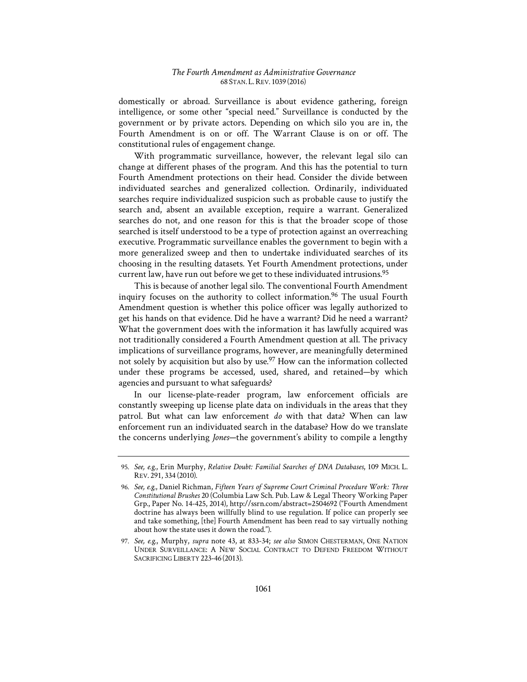domestically or abroad. Surveillance is about evidence gathering, foreign intelligence, or some other "special need." Surveillance is conducted by the government or by private actors. Depending on which silo you are in, the Fourth Amendment is on or off. The Warrant Clause is on or off. The constitutional rules of engagement change.

With programmatic surveillance, however, the relevant legal silo can change at different phases of the program. And this has the potential to turn Fourth Amendment protections on their head. Consider the divide between individuated searches and generalized collection. Ordinarily, individuated searches require individualized suspicion such as probable cause to justify the search and, absent an available exception, require a warrant. Generalized searches do not, and one reason for this is that the broader scope of those searched is itself understood to be a type of protection against an overreaching executive. Programmatic surveillance enables the government to begin with a more generalized sweep and then to undertake individuated searches of its choosing in the resulting datasets. Yet Fourth Amendment protections, under current law, have run out before we get to these individuated intrusions.<sup>95</sup>

This is because of another legal silo. The conventional Fourth Amendment inquiry focuses on the authority to collect information.<sup>96</sup> The usual Fourth Amendment question is whether this police officer was legally authorized to get his hands on that evidence. Did he have a warrant? Did he need a warrant? What the government does with the information it has lawfully acquired was not traditionally considered a Fourth Amendment question at all. The privacy implications of surveillance programs, however, are meaningfully determined not solely by acquisition but also by use.<sup>97</sup> How can the information collected under these programs be accessed, used, shared, and retained—by which agencies and pursuant to what safeguards?

In our license-plate-reader program, law enforcement officials are constantly sweeping up license plate data on individuals in the areas that they patrol. But what can law enforcement *do* with that data? When can law enforcement run an individuated search in the database? How do we translate the concerns underlying *Jones*—the government's ability to compile a lengthy

<sup>95.</sup> See, e.g., Erin Murphy, *Relative Doubt: Familial Searches of DNA Databases*, 109 MICH. L. REV. 291, 334 (2010).

<sup>96.</sup> See, e.g., Daniel Richman, Fifteen Years of Supreme Court Criminal Procedure Work: Three *Constitutional Brushes* 20 (Columbia Law Sch. Pub. Law & Legal Theory Working Paper Grp., Paper No. 14-425, 2014), http://ssrn.com/abstract=2504692 ("Fourth Amendment doctrine has always been willfully blind to use regulation. If police can properly see and take something, [the] Fourth Amendment has been read to say virtually nothing about how the state uses it down the road.").

<sup>97.</sup> *See, e.g.*, Murphy, *supra* note 43, at 833-34; *see also* SIMON CHESTERMAN, ONE NATION UNDER SURVEILLANCE: A NEW SOCIAL CONTRACT TO DEFEND FREEDOM WITHOUT SACRIFICING LIBERTY 223-46 (2013).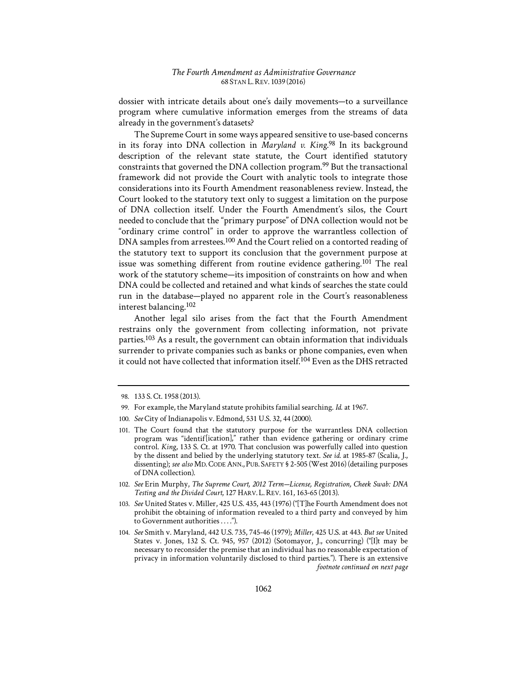dossier with intricate details about one's daily movements—to a surveillance program where cumulative information emerges from the streams of data already in the government's datasets?

The Supreme Court in some ways appeared sensitive to use-based concerns in its foray into DNA collection in *Maryland v. King*. 98 In its background description of the relevant state statute, the Court identified statutory constraints that governed the DNA collection program.99 But the transactional framework did not provide the Court with analytic tools to integrate those considerations into its Fourth Amendment reasonableness review. Instead, the Court looked to the statutory text only to suggest a limitation on the purpose of DNA collection itself. Under the Fourth Amendment's silos, the Court needed to conclude that the "primary purpose" of DNA collection would not be "ordinary crime control" in order to approve the warrantless collection of DNA samples from arrestees.<sup>100</sup> And the Court relied on a contorted reading of the statutory text to support its conclusion that the government purpose at issue was something different from routine evidence gathering.<sup>101</sup> The real work of the statutory scheme—its imposition of constraints on how and when DNA could be collected and retained and what kinds of searches the state could run in the database—played no apparent role in the Court's reasonableness interest balancing.102

Another legal silo arises from the fact that the Fourth Amendment restrains only the government from collecting information, not private parties.<sup>103</sup> As a result, the government can obtain information that individuals surrender to private companies such as banks or phone companies, even when it could not have collected that information itself.104 Even as the DHS retracted

<sup>98. 133</sup> S. Ct. 1958 (2013).

<sup>99.</sup> For example, the Maryland statute prohibits familial searching. *Id.* at 1967.

<sup>100.</sup> *See* City of Indianapolis v. Edmond, 531 U.S. 32, 44 (2000).

<sup>101.</sup> The Court found that the statutory purpose for the warrantless DNA collection program was "identif-[ication]," rather than evidence gathering or ordinary crime control. *King*, 133 S. Ct. at 1970. That conclusion was powerfully called into question by the dissent and belied by the underlying statutory text. *See id.* at 1985-87 (Scalia, J., dissenting); *see also* MD. CODE ANN., PUB. SAFETY § 2-505 (West 2016) (detailing purposes of DNA collection).

<sup>102.</sup> See Erin Murphy, The Supreme Court, 2012 Term-License, Registration, Cheek Swab: DNA *Testing and the Divided Court*, 127 HARV. L.REV. 161, 163-65 (2013).

<sup>103.</sup> *See* United States v. Miller, 425 U.S. 435, 443 (1976) ("[T]he Fourth Amendment does not prohibit the obtaining of information revealed to a third party and conveyed by him to Government authorities . . . .").

<sup>104.</sup> *See* Smith v. Maryland, 442 U.S. 735, 745-46 (1979); *Miller*, 425 U.S. at 443. *But see* United States v. Jones, 132 S. Ct. 945, 957 (2012) (Sotomayor, J., concurring) ("[I]t may be necessary to reconsider the premise that an individual has no reasonable expectation of privacy in information voluntarily disclosed to third parties."). There is an extensive *footnote continued on next page*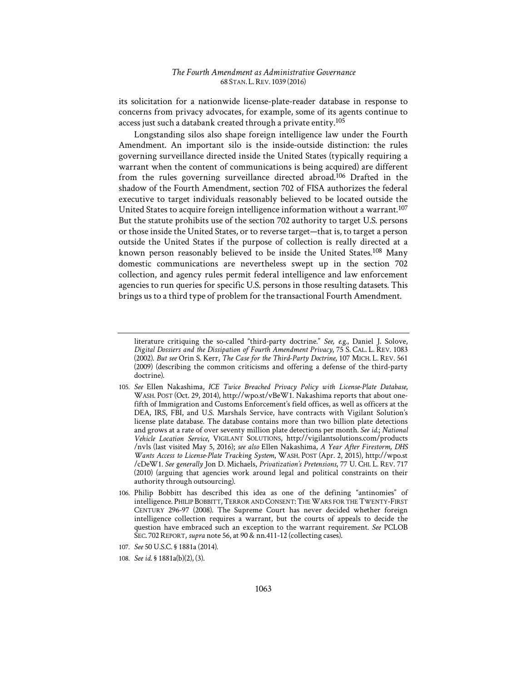its solicitation for a nationwide license-plate-reader database in response to concerns from privacy advocates, for example, some of its agents continue to access just such a databank created through a private entity.105

Longstanding silos also shape foreign intelligence law under the Fourth Amendment. An important silo is the inside-outside distinction: the rules governing surveillance directed inside the United States (typically requiring a warrant when the content of communications is being acquired) are different from the rules governing surveillance directed abroad.106 Drafted in the shadow of the Fourth Amendment, section 702 of FISA authorizes the federal executive to target individuals reasonably believed to be located outside the United States to acquire foreign intelligence information without a warrant.107 But the statute prohibits use of the section 702 authority to target U.S. persons or those inside the United States, or to reverse target—that is, to target a person outside the United States if the purpose of collection is really directed at a known person reasonably believed to be inside the United States.108 Many domestic communications are nevertheless swept up in the section 702 collection, and agency rules permit federal intelligence and law enforcement agencies to run queries for specific U.S. persons in those resulting datasets. This brings us to a third type of problem for the transactional Fourth Amendment.

literature critiquing the so-called "third-party doctrine." *See, e.g.*, Daniel J. Solove, *Digital Dossiers and the Dissipation of Fourth Amendment Privacy*, 75 S. CAL. L. REV. 1083 (2002). *But see* Orin S. Kerr, *The Case for the Third-Party Doctrine*, 107 MICH. L. REV. 561 (2009) (describing the common criticisms and offering a defense of the third-party doctrine).

<sup>105.</sup> *See* Ellen Nakashima, *ICE Twice Breached Privacy Policy with License-Plate Database*, WASH. POST (Oct. 29, 2014), http://wpo.st/vBeW1. Nakashima reports that about onefifth of Immigration and Customs Enforcement's field offices, as well as officers at the DEA, IRS, FBI, and U.S. Marshals Service, have contracts with Vigilant Solution's license plate database. The database contains more than two billion plate detections and grows at a rate of over seventy million plate detections per month. *See id.*; *National Vehicle Location Service*, VIGILANT SOLUTIONS, http://vigilantsolutions.com/products /nvls (last visited May 5, 2016); *see also* Ellen Nakashima, *A Year After Firestorm, DHS Wants Access to License-Plate Tracking System*, WASH. POST (Apr. 2, 2015), http://wpo.st /cDeW1. *See generally* Jon D. Michaels, *Privatization's Pretensions*, 77 U. CHI. L. REV. 717 (2010) (arguing that agencies work around legal and political constraints on their authority through outsourcing).

<sup>106.</sup> Philip Bobbitt has described this idea as one of the defining "antinomies" of intelligence. PHILIP BOBBITT, TERROR AND CONSENT:THE WARS FOR THE TWENTY-FIRST CENTURY 296-97 (2008). The Supreme Court has never decided whether foreign intelligence collection requires a warrant, but the courts of appeals to decide the question have embraced such an exception to the warrant requirement. *See* PCLOB SEC. 702REPORT, *supra* note 56, at 90 & nn.411-12 (collecting cases).

<sup>107.</sup> *See* 50 U.S.C. § 1881a (2014).

<sup>108.</sup> *See id.* § 1881a(b)(2), (3).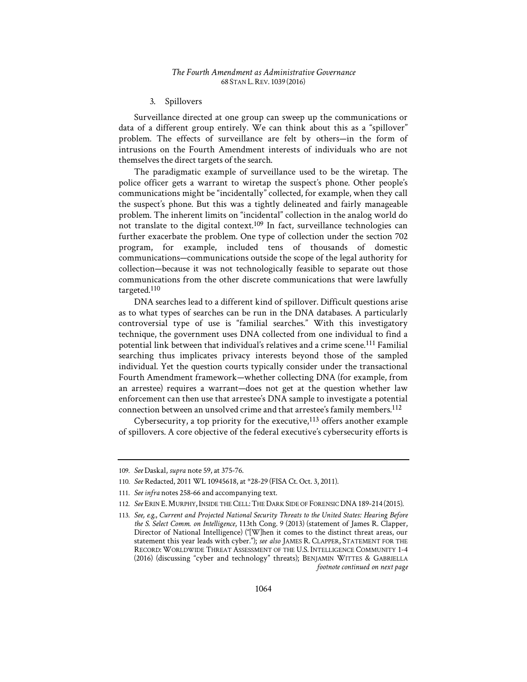#### 3. Spillovers

Surveillance directed at one group can sweep up the communications or data of a different group entirely. We can think about this as a "spillover" problem. The effects of surveillance are felt by others—in the form of intrusions on the Fourth Amendment interests of individuals who are not themselves the direct targets of the search.

The paradigmatic example of surveillance used to be the wiretap. The police officer gets a warrant to wiretap the suspect's phone. Other people's communications might be "incidentally" collected, for example, when they call the suspect's phone. But this was a tightly delineated and fairly manageable problem. The inherent limits on "incidental" collection in the analog world do not translate to the digital context.<sup>109</sup> In fact, surveillance technologies can further exacerbate the problem. One type of collection under the section 702 program, for example, included tens of thousands of domestic communications—communications outside the scope of the legal authority for collection—because it was not technologically feasible to separate out those communications from the other discrete communications that were lawfully targeted.110

DNA searches lead to a different kind of spillover. Difficult questions arise as to what types of searches can be run in the DNA databases. A particularly controversial type of use is "familial searches." With this investigatory technique, the government uses DNA collected from one individual to find a potential link between that individual's relatives and a crime scene.111 Familial searching thus implicates privacy interests beyond those of the sampled individual. Yet the question courts typically consider under the transactional Fourth Amendment framework—whether collecting DNA (for example, from an arrestee) requires a warrant—does not get at the question whether law enforcement can then use that arrestee's DNA sample to investigate a potential connection between an unsolved crime and that arrestee's family members.112

Cybersecurity, a top priority for the executive, $113$  offers another example of spillovers. A core objective of the federal executive's cybersecurity efforts is

<sup>109.</sup> *See* Daskal, *supra* note 59, at 375-76.

<sup>110.</sup> *See* Redacted, 2011 WL 10945618, at \*28-29 (FISA Ct. Oct. 3, 2011).

<sup>111.</sup> *See infra* notes 258-66 and accompanying text.

<sup>112.</sup> *See* ERIN E. MURPHY, INSIDE THE CELL:THE DARK SIDE OF FORENSIC DNA189-214 (2015).

<sup>113.</sup> See, e.g., Current and Projected National Security Threats to the United States: Hearing Before *the S. Select Comm. on Intelligence*, 113th Cong. 9 (2013) (statement of James R. Clapper, Director of National Intelligence) ("[W]hen it comes to the distinct threat areas, our statement this year leads with cyber."); *see also* JAMES R. CLAPPER, STATEMENT FOR THE RECORD: WORLDWIDE THREAT ASSESSMENT OF THE U.S. INTELLIGENCE COMMUNITY 1-4 (2016) (discussing "cyber and technology" threats); BENJAMIN WITTES & GABRIELLA *footnote continued on next page*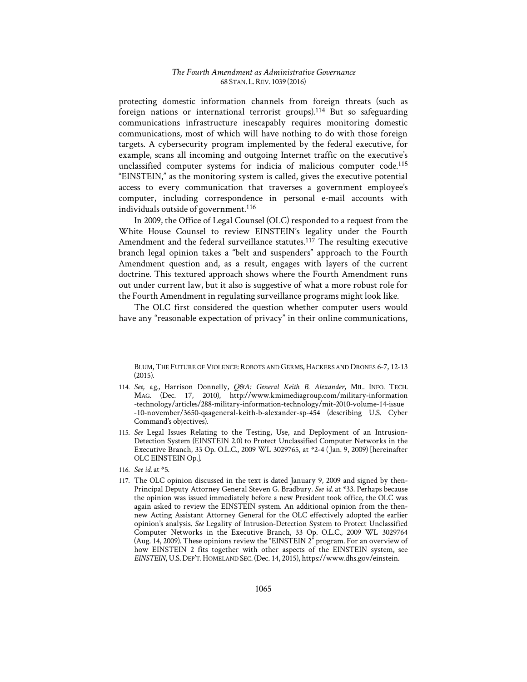protecting domestic information channels from foreign threats (such as foreign nations or international terrorist groups).114 But so safeguarding communications infrastructure inescapably requires monitoring domestic communications, most of which will have nothing to do with those foreign targets. A cybersecurity program implemented by the federal executive, for example, scans all incoming and outgoing Internet traffic on the executive's unclassified computer systems for indicia of malicious computer code.115 "EINSTEIN," as the monitoring system is called, gives the executive potential access to every communication that traverses a government employee's computer, including correspondence in personal e-mail accounts with individuals outside of government.116

In 2009, the Office of Legal Counsel (OLC) responded to a request from the White House Counsel to review EINSTEIN's legality under the Fourth Amendment and the federal surveillance statutes.<sup>117</sup> The resulting executive branch legal opinion takes a "belt and suspenders" approach to the Fourth Amendment question and, as a result, engages with layers of the current doctrine. This textured approach shows where the Fourth Amendment runs out under current law, but it also is suggestive of what a more robust role for the Fourth Amendment in regulating surveillance programs might look like.

The OLC first considered the question whether computer users would have any "reasonable expectation of privacy" in their online communications,

BLUM, THE FUTURE OF VIOLENCE: ROBOTS AND GERMS, HACKERS AND DRONES 6-7, 12-13 (2015).

<sup>114.</sup> *See, e.g.*, Harrison Donnelly, *Q&A1: General Keith B. Alexander*, MIL. INFO. TECH. MAG. (Dec. 17, 2010), http://www.kmimediagroup.com/military-information -technology/articles/288-military-information-technology/mit-2010-volume-14-issue -10-november/3650-qaageneral-keith-b-alexander-sp-454 (describing U.S. Cyber Command's objectives).

<sup>115.</sup> *See* Legal Issues Relating to the Testing, Use, and Deployment of an Intrusion-Detection System (EINSTEIN 2.0) to Protect Unclassified Computer Networks in the Executive Branch, 33 Op. O.L.C., 2009 WL 3029765, at \*2-4 (1Jan. 9, 2009) [hereinafter OLC EINSTEIN Op.].

<sup>116.</sup> *See id.* at \*5.

<sup>117.</sup> The OLC opinion discussed in the text is dated January 9, 2009 and signed by then-Principal Deputy Attorney General Steven G. Bradbury. *See id.* at \*33. Perhaps because the opinion was issued immediately before a new President took office, the OLC was again asked to review the EINSTEIN system. An additional opinion from the thennew Acting Assistant Attorney General for the OLC effectively adopted the earlier opinion's analysis. *See* Legality of Intrusion-Detection System to Protect Unclassified Computer Networks in the Executive Branch, 33 Op. O.L.C., 2009 WL 3029764 (Aug. 14, 2009). These opinions review the "EINSTEIN 2" program. For an overview of how EINSTEIN 2 fits together with other aspects of the EINSTEIN system, see *EINSTEIN*, U.S.DEP'T.HOMELAND SEC. (Dec. 14, 2015), https://www.dhs.gov/einstein.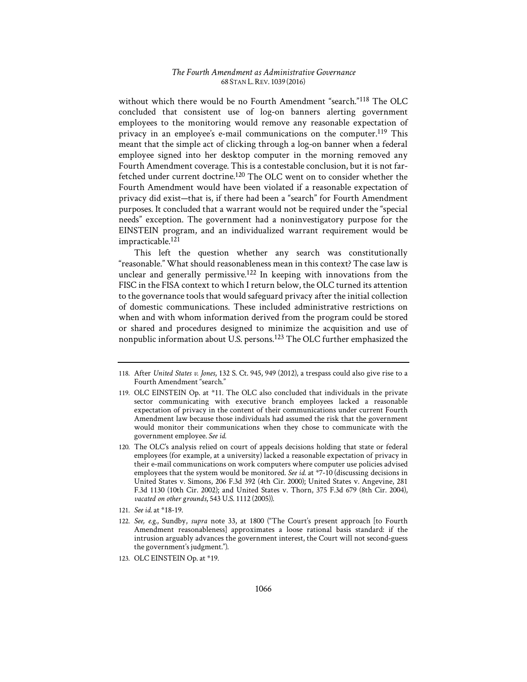without which there would be no Fourth Amendment "search."118 The OLC concluded that consistent use of log-on banners alerting government employees to the monitoring would remove any reasonable expectation of privacy in an employee's e-mail communications on the computer.<sup>119</sup> This meant that the simple act of clicking through a log-on banner when a federal employee signed into her desktop computer in the morning removed any Fourth Amendment coverage. This is a contestable conclusion, but it is not farfetched under current doctrine.120 The OLC went on to consider whether the Fourth Amendment would have been violated if a reasonable expectation of privacy did exist—that is, if there had been a "search" for Fourth Amendment purposes. It concluded that a warrant would not be required under the "special needs" exception. The government had a noninvestigatory purpose for the EINSTEIN program, and an individualized warrant requirement would be impracticable.121

This left the question whether any search was constitutionally "reasonable." What should reasonableness mean in this context? The case law is unclear and generally permissive.<sup>122</sup> In keeping with innovations from the FISC in the FISA context to which I return below, the OLC turned its attention to the governance tools that would safeguard privacy after the initial collection of domestic communications. These included administrative restrictions on when and with whom information derived from the program could be stored or shared and procedures designed to minimize the acquisition and use of nonpublic information about U.S. persons.123 The OLC further emphasized the

<sup>118.</sup> After *United States v. Jones*, 132 S. Ct. 945, 949 (2012), a trespass could also give rise to a Fourth Amendment "search."

<sup>119.</sup> OLC EINSTEIN Op. at \*11. The OLC also concluded that individuals in the private sector communicating with executive branch employees lacked a reasonable expectation of privacy in the content of their communications under current Fourth Amendment law because those individuals had assumed the risk that the government would monitor their communications when they chose to communicate with the government employee. *See id.*

<sup>120.</sup> The OLC's analysis relied on court of appeals decisions holding that state or federal employees (for example, at a university) lacked a reasonable expectation of privacy in their e-mail communications on work computers where computer use policies advised employees that the system would be monitored. *See id.* at \*7-10 (discussing decisions in United States v. Simons, 206 F.3d 392 (4th Cir. 2000); United States v. Angevine, 281 F.3d 1130 (10th Cir. 2002); and United States v. Thorn, 375 F.3d 679 (8th Cir. 2004), *vacated on other grounds*, 543 U.S. 1112 (2005)).

<sup>121.</sup> *See id.* at \*18-19.

<sup>122.</sup> *See, e.g.*, Sundby, *supra* note 33, at 1800 ("The Court's present approach [to Fourth Amendment reasonableness] approximates a loose rational basis standard: if the intrusion arguably advances the government interest, the Court will not second-guess the government's judgment.").

<sup>123.</sup> OLC EINSTEIN Op. at \*19.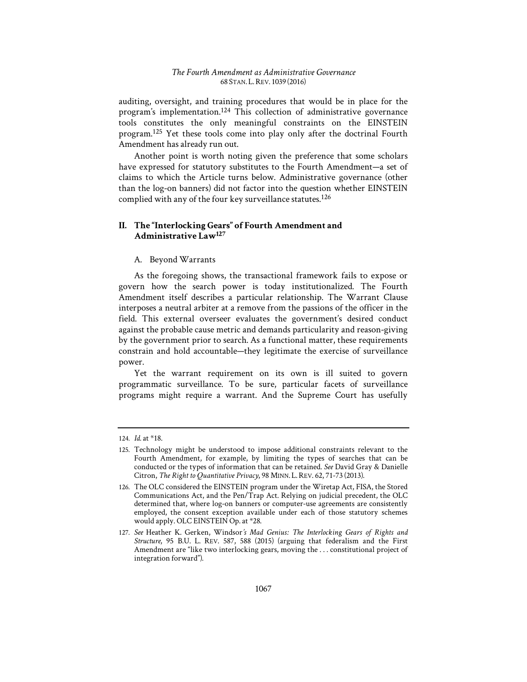auditing, oversight, and training procedures that would be in place for the program's implementation.124 This collection of administrative governance tools constitutes the only meaningful constraints on the EINSTEIN program.125 Yet these tools come into play only after the doctrinal Fourth Amendment has already run out.

Another point is worth noting given the preference that some scholars have expressed for statutory substitutes to the Fourth Amendment—a set of claims to which the Article turns below. Administrative governance (other than the log-on banners) did not factor into the question whether EINSTEIN complied with any of the four key surveillance statutes.126

# **II. The "Interlocking Gears" of Fourth Amendment and Administrative Law127**

# A. Beyond Warrants

As the foregoing shows, the transactional framework fails to expose or govern how the search power is today institutionalized. The Fourth Amendment itself describes a particular relationship. The Warrant Clause interposes a neutral arbiter at a remove from the passions of the officer in the field. This external overseer evaluates the government's desired conduct against the probable cause metric and demands particularity and reason-giving by the government prior to search. As a functional matter, these requirements constrain and hold accountable—they legitimate the exercise of surveillance power.

Yet the warrant requirement on its own is ill suited to govern programmatic surveillance. To be sure, particular facets of surveillance programs might require a warrant. And the Supreme Court has usefully

<sup>124.</sup> *Id.* at \*18.

<sup>125.</sup> Technology might be understood to impose additional constraints relevant to the Fourth Amendment, for example, by limiting the types of searches that can be conducted or the types of information that can be retained. *See* David Gray & Danielle Citron, *The Right to Quantitative Privacy*, 98 MINN. L.REV. 62, 71-73 (2013).

<sup>126.</sup> The OLC considered the EINSTEIN program under the Wiretap Act, FISA, the Stored Communications Act, and the Pen/Trap Act. Relying on judicial precedent, the OLC determined that, where log-on banners or computer-use agreements are consistently employed, the consent exception available under each of those statutory schemes would apply. OLC EINSTEIN Op. at \*28.

<sup>127.</sup> See Heather K. Gerken, Windsor's Mad Genius: The Interlocking Gears of Rights and *Structure*, 95 B.U. L. REV. 587, 588 (2015) (arguing that federalism and the First Amendment are "like two interlocking gears, moving the . . . constitutional project of integration forward").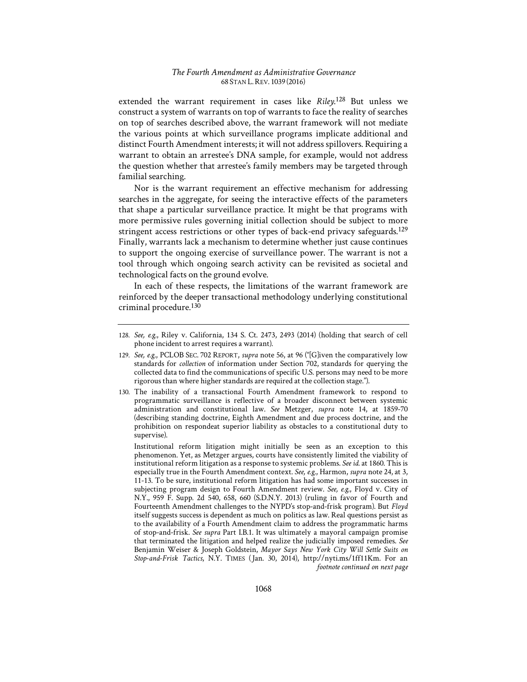extended the warrant requirement in cases like *Riley*. 128 But unless we construct a system of warrants on top of warrants to face the reality of searches on top of searches described above, the warrant framework will not mediate the various points at which surveillance programs implicate additional and distinct Fourth Amendment interests; it will not address spillovers. Requiring a warrant to obtain an arrestee's DNA sample, for example, would not address the question whether that arrestee's family members may be targeted through familial searching.

Nor is the warrant requirement an effective mechanism for addressing searches in the aggregate, for seeing the interactive effects of the parameters that shape a particular surveillance practice. It might be that programs with more permissive rules governing initial collection should be subject to more stringent access restrictions or other types of back-end privacy safeguards.<sup>129</sup> Finally, warrants lack a mechanism to determine whether just cause continues to support the ongoing exercise of surveillance power. The warrant is not a tool through which ongoing search activity can be revisited as societal and technological facts on the ground evolve.

In each of these respects, the limitations of the warrant framework are reinforced by the deeper transactional methodology underlying constitutional criminal procedure.130

130. The inability of a transactional Fourth Amendment framework to respond to programmatic surveillance is reflective of a broader disconnect between systemic administration and constitutional law. *See* Metzger, *supra* note 14, at 1859-70 (describing standing doctrine, Eighth Amendment and due process doctrine, and the prohibition on respondeat superior liability as obstacles to a constitutional duty to supervise).

Institutional reform litigation might initially be seen as an exception to this phenomenon. Yet, as Metzger argues, courts have consistently limited the viability of institutional reform litigation as a response to systemic problems. *See id.* at 1860. This is especially true in the Fourth Amendment context. *See, e.g.*, Harmon, *supra* note 24, at 3, 11-13. To be sure, institutional reform litigation has had some important successes in subjecting program design to Fourth Amendment review. *See, e.g.*, Floyd v. City of N.Y., 959 F. Supp. 2d 540, 658, 660 (S.D.N.Y. 2013) (ruling in favor of Fourth and Fourteenth Amendment challenges to the NYPD's stop-and-frisk program). But *Floyd* itself suggests success is dependent as much on politics as law. Real questions persist as to the availability of a Fourth Amendment claim to address the programmatic harms of stop-and-frisk. *See supra* Part I.B.1. It was ultimately a mayoral campaign promise that terminated the litigation and helped realize the judicially imposed remedies. *See* Benjamin Weiser & Joseph Goldstein, *Mayor Says New York City Will Settle Suits on Stop-and-Frisk Tactics*, N.Y. TIMES (1Jan. 30, 2014), http://nyti.ms/1ff11Km. For an *footnote continued on next page* 

<sup>128.</sup> *See, e.g.*, Riley v. California, 134 S. Ct. 2473, 2493 (2014) (holding that search of cell phone incident to arrest requires a warrant).

<sup>129.</sup> *See, e.g.*, PCLOB SEC. 702 REPORT, *supra* note 56, at 96 ("[G]iven the comparatively low standards for *collection* of information under Section 702, standards for querying the collected data to find the communications of specific U.S. persons may need to be more rigorous than where higher standards are required at the collection stage.").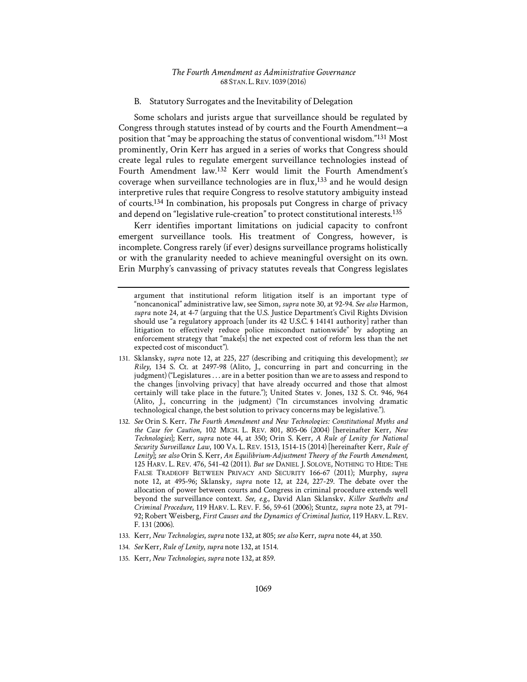B. Statutory Surrogates and the Inevitability of Delegation

Some scholars and jurists argue that surveillance should be regulated by Congress through statutes instead of by courts and the Fourth Amendment—a position that "may be approaching the status of conventional wisdom."131 Most prominently, Orin Kerr has argued in a series of works that Congress should create legal rules to regulate emergent surveillance technologies instead of Fourth Amendment law.132 Kerr would limit the Fourth Amendment's coverage when surveillance technologies are in  $flux<sub>1</sub><sup>133</sup>$  and he would design interpretive rules that require Congress to resolve statutory ambiguity instead of courts.134 In combination, his proposals put Congress in charge of privacy and depend on "legislative rule-creation" to protect constitutional interests.<sup>135</sup>

Kerr identifies important limitations on judicial capacity to confront emergent surveillance tools. His treatment of Congress, however, is incomplete. Congress rarely (if ever) designs surveillance programs holistically or with the granularity needed to achieve meaningful oversight on its own. Erin Murphy's canvassing of privacy statutes reveals that Congress legislates

- 131. Sklansky, *supra* note 12, at 225, 227 (describing and critiquing this development); *see Riley*, 134 S. Ct. at 2497-98 (Alito, J., concurring in part and concurring in the judgment) ("Legislatures . . . are in a better position than we are to assess and respond to the changes [involving privacy] that have already occurred and those that almost certainly will take place in the future."); United States v. Jones, 132 S. Ct. 946, 964 (Alito, J., concurring in the judgment) ("In circumstances involving dramatic technological change, the best solution to privacy concerns may be legislative.").
- 132. See Orin S. Kerr, *The Fourth Amendment and New Technologies: Constitutional Myths and the Case for Caution*, 102 MICH. L. REV. 801, 805-06 (2004) [hereinafter Kerr, *New Technologies*]; Kerr, *supra* note 44, at 350; Orin S. Kerr, *A Rule of Lenity for National Security Surveillance Law*, 100 VA. L. REV. 1513, 1514-15 (2014) [hereinafter Kerr, *Rule of Lenity*]; *see also* Orin S. Kerr, *An Equilibrium-Adjustment Theory of the Fourth Amendment*, 125 HARV. L. REV. 476, 541-42 (2011). *But see* DANIEL J. SOLOVE, NOTHING TO HIDE: THE FALSE TRADEOFF BETWEEN PRIVACY AND SECURITY 166-67 (2011); Murphy, *supra* note 12, at 495-96; Sklansky, *supra* note 12, at 224, 227-29. The debate over the allocation of power between courts and Congress in criminal procedure extends well beyond the surveillance context. *See, e.g.*, David Alan Sklansky, *Killer Seatbelts and Criminal Procedure*, 119 HARV. L. REV. F. 56, 59-61 (2006); Stuntz, *supra* note 23, at 791- 92; Robert Weisberg, *First Causes and the Dynamics of Criminal Justice*, 119 HARV. L. REV. F. 131 (2006).
- 133. Kerr, *New Technologies*, *supra* note 132, at 805; *see also* Kerr, *supra* note 44, at 350.
- 134. *See* Kerr, *Rule of Lenity*, *supra* note 132, at 1514.
- 135. Kerr, *New Technologies*, *supra* note 132, at 859.

argument that institutional reform litigation itself is an important type of "noncanonical" administrative law, see Simon, *supra* note 30, at 92-94. *See also* Harmon, *supra* note 24, at 4-7 (arguing that the U.S. Justice Department's Civil Rights Division should use "a regulatory approach [under its 42 U.S.C. § 14141 authority] rather than litigation to effectively reduce police misconduct nationwide" by adopting an enforcement strategy that "make[s] the net expected cost of reform less than the net expected cost of misconduct").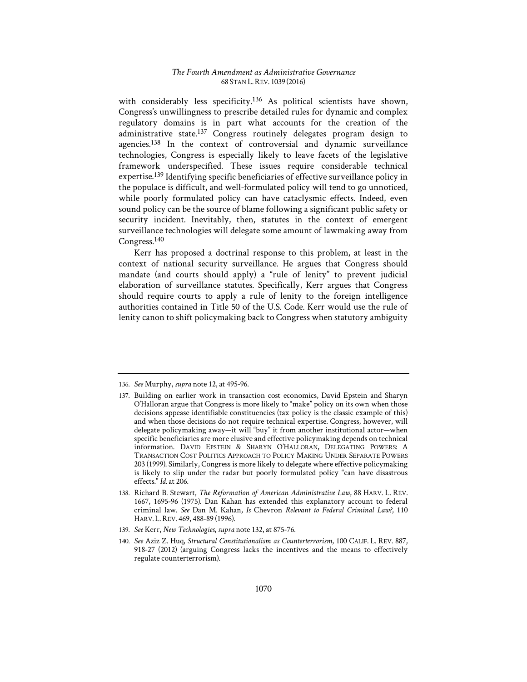with considerably less specificity.<sup>136</sup> As political scientists have shown, Congress's unwillingness to prescribe detailed rules for dynamic and complex regulatory domains is in part what accounts for the creation of the administrative state.137 Congress routinely delegates program design to agencies.138 In the context of controversial and dynamic surveillance technologies, Congress is especially likely to leave facets of the legislative framework underspecified. These issues require considerable technical expertise.139 Identifying specific beneficiaries of effective surveillance policy in the populace is difficult, and well-formulated policy will tend to go unnoticed, while poorly formulated policy can have cataclysmic effects. Indeed, even sound policy can be the source of blame following a significant public safety or security incident. Inevitably, then, statutes in the context of emergent surveillance technologies will delegate some amount of lawmaking away from Congress.140

Kerr has proposed a doctrinal response to this problem, at least in the context of national security surveillance. He argues that Congress should mandate (and courts should apply) a "rule of lenity" to prevent judicial elaboration of surveillance statutes. Specifically, Kerr argues that Congress should require courts to apply a rule of lenity to the foreign intelligence authorities contained in Title 50 of the U.S. Code. Kerr would use the rule of lenity canon to shift policymaking back to Congress when statutory ambiguity

<sup>136.</sup> *See* Murphy, *supra* note 12, at 495-96.

<sup>137.</sup> Building on earlier work in transaction cost economics, David Epstein and Sharyn O'Halloran argue that Congress is more likely to "make" policy on its own when those decisions appease identifiable constituencies (tax policy is the classic example of this) and when those decisions do not require technical expertise. Congress, however, will delegate policymaking away—it will "buy" it from another institutional actor—when specific beneficiaries are more elusive and effective policymaking depends on technical information. DAVID EPSTEIN & SHARYN O'HALLORAN, DELEGATING POWERS: A TRANSACTION COST POLITICS APPROACH TO POLICY MAKING UNDER SEPARATE POWERS 203 (1999). Similarly, Congress is more likely to delegate where effective policymaking is likely to slip under the radar but poorly formulated policy "can have disastrous effects." *Id.* at 206.

<sup>138.</sup> Richard B. Stewart, *The Reformation of American Administrative Law*, 88 HARV. L. REV. 1667, 1695-96 (1975). Dan Kahan has extended this explanatory account to federal criminal law. *See* Dan M. Kahan, *Is* Chevron *Relevant to Federal Criminal Law?*, 110 HARV. L.REV. 469, 488-89 (1996).

<sup>139.</sup> *See* Kerr, *New Technologies*, *supra* note 132, at 875-76.

<sup>140.</sup> *See* Aziz Z. Huq, *Structural Constitutionalism as Counterterrorism*, 100 CALIF. L. REV. 887, 918-27 (2012) (arguing Congress lacks the incentives and the means to effectively regulate counterterrorism).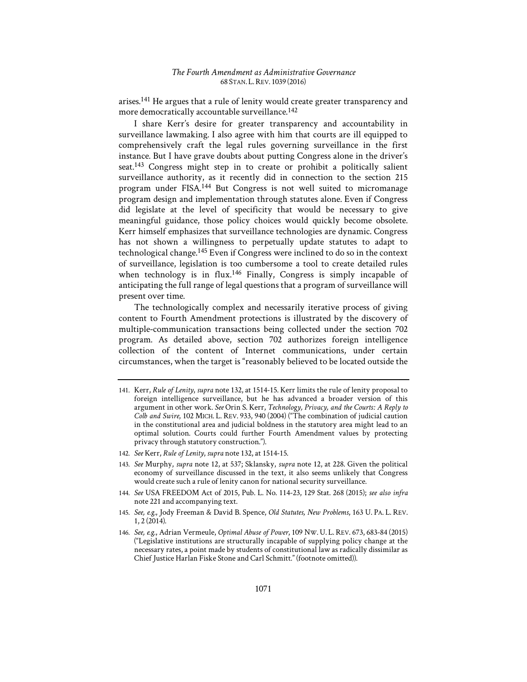arises.141 He argues that a rule of lenity would create greater transparency and more democratically accountable surveillance.<sup>142</sup>

I share Kerr's desire for greater transparency and accountability in surveillance lawmaking. I also agree with him that courts are ill equipped to comprehensively craft the legal rules governing surveillance in the first instance. But I have grave doubts about putting Congress alone in the driver's seat.<sup>143</sup> Congress might step in to create or prohibit a politically salient surveillance authority, as it recently did in connection to the section 215 program under FISA.144 But Congress is not well suited to micromanage program design and implementation through statutes alone. Even if Congress did legislate at the level of specificity that would be necessary to give meaningful guidance, those policy choices would quickly become obsolete. Kerr himself emphasizes that surveillance technologies are dynamic. Congress has not shown a willingness to perpetually update statutes to adapt to technological change.145 Even if Congress were inclined to do so in the context of surveillance, legislation is too cumbersome a tool to create detailed rules when technology is in flux.<sup>146</sup> Finally, Congress is simply incapable of anticipating the full range of legal questions that a program of surveillance will present over time.

The technologically complex and necessarily iterative process of giving content to Fourth Amendment protections is illustrated by the discovery of multiple-communication transactions being collected under the section 702 program. As detailed above, section 702 authorizes foreign intelligence collection of the content of Internet communications, under certain circumstances, when the target is "reasonably believed to be located outside the

<sup>141.</sup> Kerr, *Rule of Lenity*, *supra* note 132, at 1514-15. Kerr limits the rule of lenity proposal to foreign intelligence surveillance, but he has advanced a broader version of this argument in other work. See Orin S. Kerr, *Technology*, *Privacy*, and the Courts: A Reply to *Colb and Swire*, 102 MICH. L. REV. 933, 940 (2004) ("The combination of judicial caution in the constitutional area and judicial boldness in the statutory area might lead to an optimal solution. Courts could further Fourth Amendment values by protecting privacy through statutory construction.").

<sup>142.</sup> *See* Kerr, *Rule of Lenity*, *supra* note 132, at 1514-15.

<sup>143.</sup> *See* Murphy, *supra* note 12, at 537; Sklansky, *supra* note 12, at 228. Given the political economy of surveillance discussed in the text, it also seems unlikely that Congress would create such a rule of lenity canon for national security surveillance.

<sup>144.</sup> *See* USA FREEDOM Act of 2015, Pub. L. No. 114-23, 129 Stat. 268 (2015); *see also infra* note 221 and accompanying text.

<sup>145.</sup> *See, e.g.*, Jody Freeman & David B. Spence, *Old Statutes, New Problems*, 163 U. PA. L. REV. 1, 2 (2014).

<sup>146.</sup> *See, e.g.*, Adrian Vermeule, *Optimal Abuse of Power*, 109 NW.U. L. REV. 673, 683-84 (2015) ("Legislative institutions are structurally incapable of supplying policy change at the necessary rates, a point made by students of constitutional law as radically dissimilar as Chief Justice Harlan Fiske Stone and Carl Schmitt." (footnote omitted)).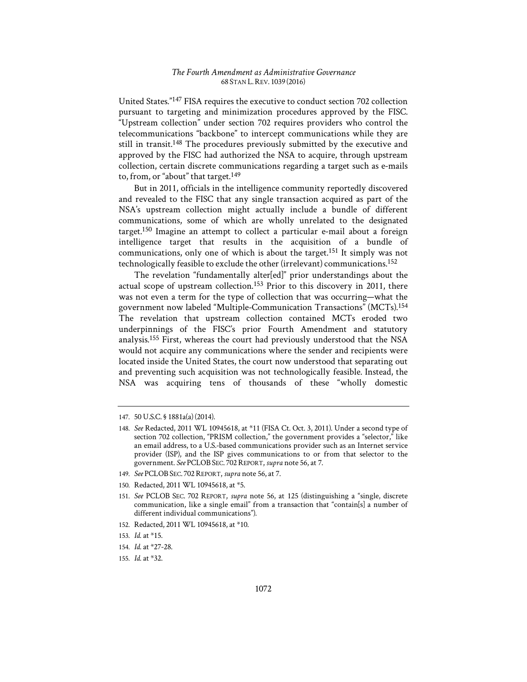United States."147 FISA requires the executive to conduct section 702 collection pursuant to targeting and minimization procedures approved by the FISC. "Upstream collection" under section 702 requires providers who control the telecommunications "backbone" to intercept communications while they are still in transit.148 The procedures previously submitted by the executive and approved by the FISC had authorized the NSA to acquire, through upstream collection, certain discrete communications regarding a target such as e-mails to, from, or "about" that target.<sup>149</sup>

But in 2011, officials in the intelligence community reportedly discovered and revealed to the FISC that any single transaction acquired as part of the NSA's upstream collection might actually include a bundle of different communications, some of which are wholly unrelated to the designated target.150 Imagine an attempt to collect a particular e-mail about a foreign intelligence target that results in the acquisition of a bundle of communications, only one of which is about the target.151 It simply was not technologically feasible to exclude the other (irrelevant) communications.152

The revelation "fundamentally alter[ed]" prior understandings about the actual scope of upstream collection.<sup>153</sup> Prior to this discovery in 2011, there was not even a term for the type of collection that was occurring—what the government now labeled "Multiple-Communication Transactions" (MCTs).154 The revelation that upstream collection contained MCTs eroded two underpinnings of the FISC's prior Fourth Amendment and statutory analysis.155 First, whereas the court had previously understood that the NSA would not acquire any communications where the sender and recipients were located inside the United States, the court now understood that separating out and preventing such acquisition was not technologically feasible. Instead, the NSA was acquiring tens of thousands of these "wholly domestic

- 149. *See* PCLOB SEC. 702REPORT, *supra* note 56, at 7.
- 150. Redacted, 2011 WL 10945618, at \*5.

152. Redacted, 2011 WL 10945618, at \*10.

<sup>147. 50</sup> U.S.C. § 1881a(a) (2014).

<sup>148.</sup> *See* Redacted, 2011 WL 10945618, at \*11 (FISA Ct. Oct. 3, 2011). Under a second type of section 702 collection, "PRISM collection," the government provides a "selector," like an email address, to a U.S.-based communications provider such as an Internet service provider (ISP), and the ISP gives communications to or from that selector to the government. *See* PCLOB SEC. 702 REPORT, *supra* note 56, at 7.

<sup>151.</sup> *See* PCLOB SEC. 702 REPORT, *supra* note 56, at 125 (distinguishing a "single, discrete communication, like a single email" from a transaction that "contain[s] a number of different individual communications").

<sup>153.</sup> *Id.* at \*15.

<sup>154.</sup> *Id.* at \*27-28.

<sup>155.</sup> *Id.* at \*32.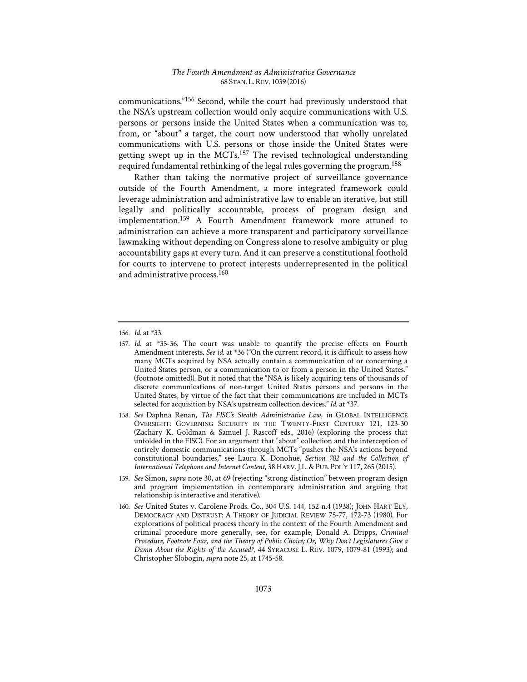communications."156 Second, while the court had previously understood that the NSA's upstream collection would only acquire communications with U.S. persons or persons inside the United States when a communication was to, from, or "about" a target, the court now understood that wholly unrelated communications with U.S. persons or those inside the United States were getting swept up in the MCTs.157 The revised technological understanding required fundamental rethinking of the legal rules governing the program.158

Rather than taking the normative project of surveillance governance outside of the Fourth Amendment, a more integrated framework could leverage administration and administrative law to enable an iterative, but still legally and politically accountable, process of program design and implementation.159 A Fourth Amendment framework more attuned to administration can achieve a more transparent and participatory surveillance lawmaking without depending on Congress alone to resolve ambiguity or plug accountability gaps at every turn. And it can preserve a constitutional foothold for courts to intervene to protect interests underrepresented in the political and administrative process.160

<sup>156.</sup> *Id.* at \*33.

<sup>157.</sup> *Id.* at \*35-36. The court was unable to quantify the precise effects on Fourth Amendment interests. *See id.* at \*36 ("On the current record, it is difficult to assess how many MCTs acquired by NSA actually contain a communication of or concerning a United States person, or a communication to or from a person in the United States." (footnote omitted)). But it noted that the "NSA is likely acquiring tens of thousands of discrete communications of non-target United States persons and persons in the United States, by virtue of the fact that their communications are included in MCTs selected for acquisition by NSA's upstream collection devices." *Id.* at \*37.

<sup>158.</sup> *See* Daphna Renan, *The FISC's Stealth Administrative Law*, *in* GLOBAL INTELLIGENCE OVERSIGHT: GOVERNING SECURITY IN THE TWENTY-FIRST CENTURY 121, 123-30 (Zachary K. Goldman & Samuel J. Rascoff eds., 2016) (exploring the process that unfolded in the FISC). For an argument that "about" collection and the interception of entirely domestic communications through MCTs "pushes the NSA's actions beyond constitutional boundaries," see Laura K. Donohue, *Section 702 and the Collection of International Telephone and Internet Content*, 38 HARV.J.L.&PUB. POL'Y 117, 265 (2015).

<sup>159.</sup> *See* Simon, *supra* note 30, at 69 (rejecting "strong distinction" between program design and program implementation in contemporary administration and arguing that relationship is interactive and iterative).

<sup>160.</sup> *See* United States v. Carolene Prods. Co., 304 U.S. 144, 152 n.4 (1938); JOHN HART ELY, DEMOCRACY AND DISTRUST: A THEORY OF JUDICIAL REVIEW 75-77, 172-73 (1980). For explorations of political process theory in the context of the Fourth Amendment and criminal procedure more generally, see, for example, Donald A. Dripps, *Criminal Procedure, Footnote Four, and the Theory of Public Choice; Or, Why Don't Legislatures Give a Damn About the Rights of the Accused?*, 44 SYRACUSE L. REV. 1079, 1079-81 (1993); and Christopher Slobogin, *supra* note 25, at 1745-58.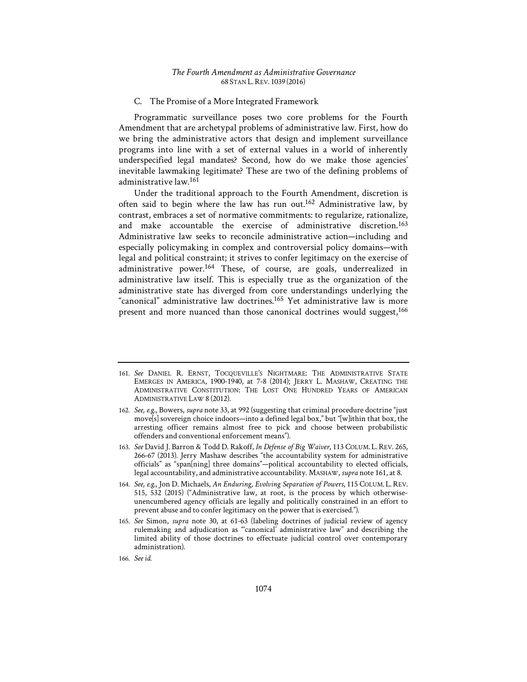#### C. The Promise of a More Integrated Framework

Programmatic surveillance poses two core problems for the Fourth Amendment that are archetypal problems of administrative law. First, how do we bring the administrative actors that design and implement surveillance programs into line with a set of external values in a world of inherently underspecified legal mandates? Second, how do we make those agencies' inevitable lawmaking legitimate? These are two of the defining problems of administrative law.161

Under the traditional approach to the Fourth Amendment, discretion is often said to begin where the law has run out.162 Administrative law, by contrast, embraces a set of normative commitments: to regularize, rationalize, and make accountable the exercise of administrative discretion.163 Administrative law seeks to reconcile administrative action—including and especially policymaking in complex and controversial policy domains—with legal and political constraint; it strives to confer legitimacy on the exercise of administrative power.<sup>164</sup> These, of course, are goals, underrealized in administrative law itself. This is especially true as the organization of the administrative state has diverged from core understandings underlying the "canonical" administrative law doctrines.165 Yet administrative law is more present and more nuanced than those canonical doctrines would suggest,<sup>166</sup>

- 162. *See, e.g.*, Bowers, *supra* note 33, at 992 (suggesting that criminal procedure doctrine "just move[s] sovereign choice indoors—into a defined legal box," but "[w]ithin that box, the arresting officer remains almost free to pick and choose between probabilistic offenders and conventional enforcement means").
- 163. *See* David J. Barron & Todd D. Rakoff, *In Defense of Big Waiver*, 113 COLUM. L. REV. 265, 266-67 (2013). Jerry Mashaw describes "the accountability system for administrative officials" as "span[ning] three domains"—political accountability to elected officials, legal accountability, and administrative accountability. MASHAW, *supra* note 161, at 8.
- 164. *See, e.g.*, Jon D. Michaels, *An Enduring, Evolving Separation of Powers*, 115 COLUM. L. REV. 515, 532 (2015) ("Administrative law, at root, is the process by which otherwiseunencumbered agency officials are legally and politically constrained in an effort to prevent abuse and to confer legitimacy on the power that is exercised.").
- 165. *See* Simon, *supra* note 30, at 61-63 (labeling doctrines of judicial review of agency rulemaking and adjudication as "'canonical' administrative law" and describing the limited ability of those doctrines to effectuate judicial control over contemporary administration).

<sup>161.</sup> *See* DANIEL R. ERNST, TOCQUEVILLE'S NIGHTMARE: THE ADMINISTRATIVE STATE EMERGES IN AMERICA, 1900-1940, at 7-8 (2014); JERRY L. MASHAW, CREATING THE ADMINISTRATIVE CONSTITUTION: THE LOST ONE HUNDRED YEARS OF AMERICAN ADMINISTRATIVE LAW 8 (2012).

<sup>166.</sup> *See id.*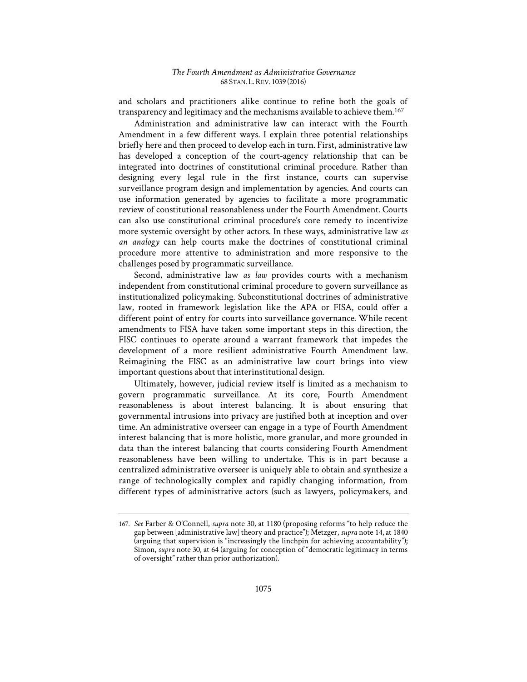and scholars and practitioners alike continue to refine both the goals of transparency and legitimacy and the mechanisms available to achieve them.167

Administration and administrative law can interact with the Fourth Amendment in a few different ways. I explain three potential relationships briefly here and then proceed to develop each in turn. First, administrative law has developed a conception of the court-agency relationship that can be integrated into doctrines of constitutional criminal procedure. Rather than designing every legal rule in the first instance, courts can supervise surveillance program design and implementation by agencies. And courts can use information generated by agencies to facilitate a more programmatic review of constitutional reasonableness under the Fourth Amendment. Courts can also use constitutional criminal procedure's core remedy to incentivize more systemic oversight by other actors. In these ways, administrative law *as an analogy* can help courts make the doctrines of constitutional criminal procedure more attentive to administration and more responsive to the challenges posed by programmatic surveillance.

Second, administrative law *as law* provides courts with a mechanism independent from constitutional criminal procedure to govern surveillance as institutionalized policymaking. Subconstitutional doctrines of administrative law, rooted in framework legislation like the APA or FISA, could offer a different point of entry for courts into surveillance governance. While recent amendments to FISA have taken some important steps in this direction, the FISC continues to operate around a warrant framework that impedes the development of a more resilient administrative Fourth Amendment law. Reimagining the FISC as an administrative law court brings into view important questions about that interinstitutional design.

Ultimately, however, judicial review itself is limited as a mechanism to govern programmatic surveillance. At its core, Fourth Amendment reasonableness is about interest balancing. It is about ensuring that governmental intrusions into privacy are justified both at inception and over time. An administrative overseer can engage in a type of Fourth Amendment interest balancing that is more holistic, more granular, and more grounded in data than the interest balancing that courts considering Fourth Amendment reasonableness have been willing to undertake. This is in part because a centralized administrative overseer is uniquely able to obtain and synthesize a range of technologically complex and rapidly changing information, from different types of administrative actors (such as lawyers, policymakers, and

<sup>167.</sup> *See* Farber & O'Connell, *supra* note 30, at 1180 (proposing reforms "to help reduce the gap between [administrative law] theory and practice"); Metzger, *supra* note 14, at 1840 (arguing that supervision is "increasingly the linchpin for achieving accountability"); Simon, *supra* note 30, at 64 (arguing for conception of "democratic legitimacy in terms of oversight" rather than prior authorization).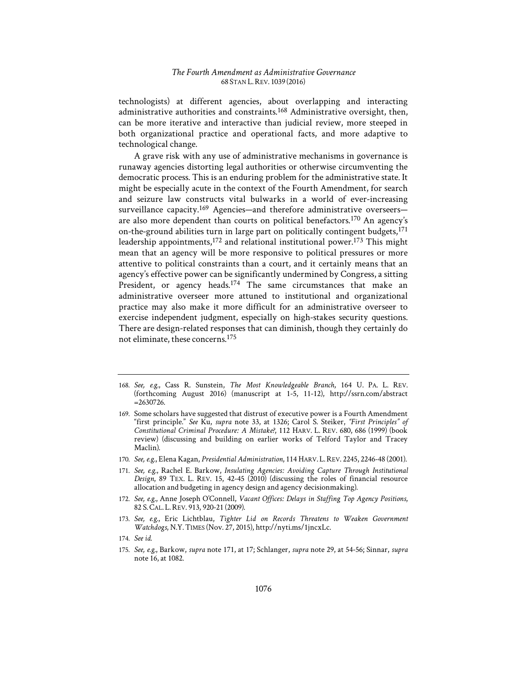technologists) at different agencies, about overlapping and interacting administrative authorities and constraints.168 Administrative oversight, then, can be more iterative and interactive than judicial review, more steeped in both organizational practice and operational facts, and more adaptive to technological change.

A grave risk with any use of administrative mechanisms in governance is runaway agencies distorting legal authorities or otherwise circumventing the democratic process. This is an enduring problem for the administrative state. It might be especially acute in the context of the Fourth Amendment, for search and seizure law constructs vital bulwarks in a world of ever-increasing surveillance capacity.<sup>169</sup> Agencies—and therefore administrative overseers are also more dependent than courts on political benefactors.170 An agency's on-the-ground abilities turn in large part on politically contingent budgets,<sup>171</sup> leadership appointments,<sup>172</sup> and relational institutional power.<sup>173</sup> This might mean that an agency will be more responsive to political pressures or more attentive to political constraints than a court, and it certainly means that an agency's effective power can be significantly undermined by Congress, a sitting President, or agency heads.<sup>174</sup> The same circumstances that make an administrative overseer more attuned to institutional and organizational practice may also make it more difficult for an administrative overseer to exercise independent judgment, especially on high-stakes security questions. There are design-related responses that can diminish, though they certainly do not eliminate, these concerns.175

- 168. *See, e.g.*, Cass R. Sunstein, *The Most Knowledgeable Branch*, 164 U. PA. L. REV. (forthcoming August 2016) (manuscript at 1-5, 11-12), http://ssrn.com/abstract =2630726.
- 169. Some scholars have suggested that distrust of executive power is a Fourth Amendment "first principle." *See* Ku, *supra* note 33, at 1326; Carol S. Steiker, *"First Principles" of Constitutional Criminal Procedure1: A Mistake?*, 112 HARV. L. REV. 680, 686 (1999) (book review) (discussing and building on earlier works of Telford Taylor and Tracey Maclin).
- 170. *See, e.g.*, Elena Kagan, *Presidential Administration*, 114 HARV. L.REV. 2245, 2246-48 (2001).
- 171. See, e.g., Rachel E. Barkow, *Insulating Agencies: Avoiding Capture Through Institutional Design*, 89 TEX. L. REV. 15, 42-45 (2010) (discussing the roles of financial resource allocation and budgeting in agency design and agency decisionmaking).
- 172. See, e.g., Anne Joseph O'Connell, *Vacant Offices: Delays in Staffing Top Agency Positions*, 82 S.CAL. L.REV. 913, 920-21 (2009).
- 173. *See, e.g.*, Eric Lichtblau, *Tighter Lid on Records Threatens to Weaken Government Watchdogs*, N.Y.TIMES (Nov. 27, 2015), http://nyti.ms/1jncxLc.
- 174. *See id.*
- 175. *See, e.g.*, Barkow, *supra* note 171, at 17; Schlanger, *supra* note 29, at 54-56; Sinnar, *supra* note 16, at 1082.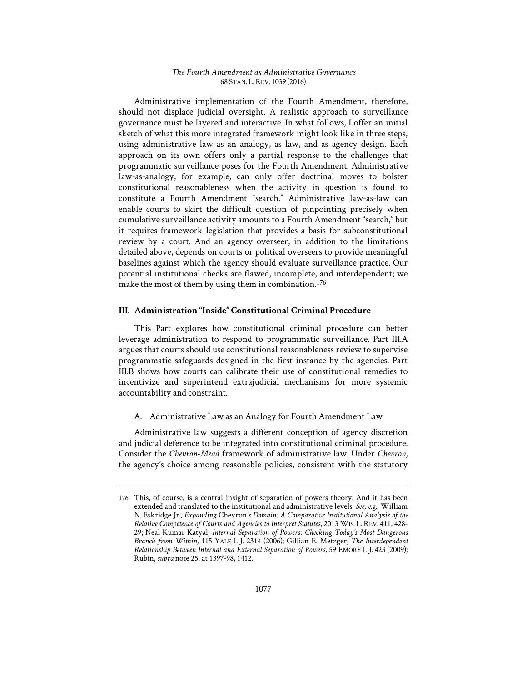Administrative implementation of the Fourth Amendment, therefore, should not displace judicial oversight. A realistic approach to surveillance governance must be layered and interactive. In what follows, I offer an initial sketch of what this more integrated framework might look like in three steps, using administrative law as an analogy, as law, and as agency design. Each approach on its own offers only a partial response to the challenges that programmatic surveillance poses for the Fourth Amendment. Administrative law-as-analogy, for example, can only offer doctrinal moves to bolster constitutional reasonableness when the activity in question is found to constitute a Fourth Amendment "search." Administrative law-as-law can enable courts to skirt the difficult question of pinpointing precisely when cumulative surveillance activity amounts to a Fourth Amendment "search," but it requires framework legislation that provides a basis for subconstitutional review by a court. And an agency overseer, in addition to the limitations detailed above, depends on courts or political overseers to provide meaningful baselines against which the agency should evaluate surveillance practice. Our potential institutional checks are flawed, incomplete, and interdependent; we make the most of them by using them in combination.<sup>176</sup>

## **III. Administration "Inside" Constitutional Criminal Procedure**

This Part explores how constitutional criminal procedure can better leverage administration to respond to programmatic surveillance. Part III.A argues that courts should use constitutional reasonableness review to supervise programmatic safeguards designed in the first instance by the agencies. Part III.B shows how courts can calibrate their use of constitutional remedies to incentivize and superintend extrajudicial mechanisms for more systemic accountability and constraint.

## A. Administrative Law as an Analogy for Fourth Amendment Law

Administrative law suggests a different conception of agency discretion and judicial deference to be integrated into constitutional criminal procedure. Consider the *Chevron*-*Mead* framework of administrative law. Under *Chevron*, the agency's choice among reasonable policies, consistent with the statutory

<sup>176.</sup> This, of course, is a central insight of separation of powers theory. And it has been extended and translated to the institutional and administrative levels. *See, e.g.*, William N. Eskridge Jr., *Expanding Chevron's Domain: A Comparative Institutional Analysis of the Relative Competence of Courts and Agencies to Interpret Statutes*, 2013 WIS. L. REV. 411, 428- 29; Neal Kumar Katyal, *Internal Separation of Powers: Checking Today's Most Dangerous Branch from Within*, 115 YALE L.J. 2314 (2006); Gillian E. Metzger, *The Interdependent Relationship Between Internal and External Separation of Powers*, 59 EMORY L.J. 423 (2009); Rubin, *supra* note 25, at 1397-98, 1412.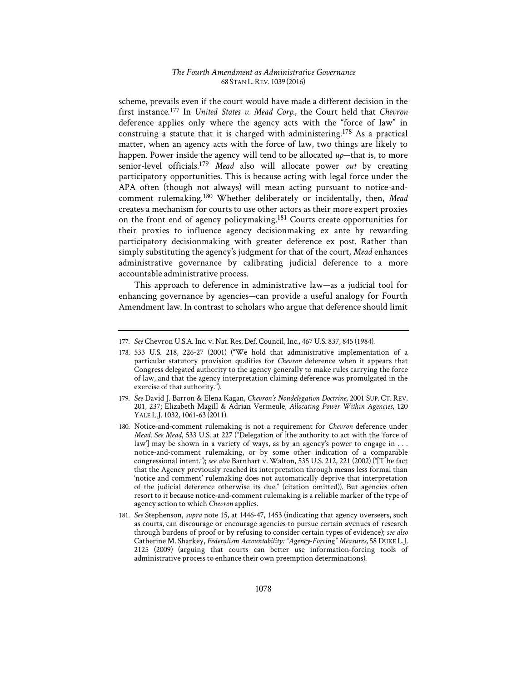scheme, prevails even if the court would have made a different decision in the first instance.177 In *United States v. Mead Corp.*, the Court held that *Chevron* deference applies only where the agency acts with the "force of law" in construing a statute that it is charged with administering.<sup>178</sup> As a practical matter, when an agency acts with the force of law, two things are likely to happen. Power inside the agency will tend to be allocated *up*—that is, to more senior-level officials.<sup>179</sup> *Mead* also will allocate power *out* by creating participatory opportunities. This is because acting with legal force under the APA often (though not always) will mean acting pursuant to notice-andcomment rulemaking.180 Whether deliberately or incidentally, then, *Mead* creates a mechanism for courts to use other actors as their more expert proxies on the front end of agency policymaking.181 Courts create opportunities for their proxies to influence agency decisionmaking ex ante by rewarding participatory decisionmaking with greater deference ex post. Rather than simply substituting the agency's judgment for that of the court, *Mead* enhances administrative governance by calibrating judicial deference to a more accountable administrative process.

This approach to deference in administrative law—as a judicial tool for enhancing governance by agencies—can provide a useful analogy for Fourth Amendment law. In contrast to scholars who argue that deference should limit

<sup>177.</sup> *See* Chevron U.S.A. Inc. v. Nat. Res. Def. Council, Inc., 467 U.S. 837, 845 (1984).

<sup>178. 533</sup> U.S. 218, 226-27 (2001) ("We hold that administrative implementation of a particular statutory provision qualifies for *Chevron* deference when it appears that Congress delegated authority to the agency generally to make rules carrying the force of law, and that the agency interpretation claiming deference was promulgated in the exercise of that authority.").

<sup>179.</sup> *See* David J. Barron & Elena Kagan, *Chevron's Nondelegation Doctrine*, 2001 SUP. CT. REV. 201, 237; Elizabeth Magill & Adrian Vermeule, *Allocating Power Within Agencies*, 120 YALE L.J. 1032, 1061-63 (2011).

<sup>180.</sup> Notice-and-comment rulemaking is not a requirement for *Chevron* deference under *Mead*. *See Mead*, 533 U.S. at 227 ("Delegation of [the authority to act with the 'force of law'] may be shown in a variety of ways, as by an agency's power to engage in . . . notice-and-comment rulemaking, or by some other indication of a comparable congressional intent."); *see also* Barnhart v. Walton, 535 U.S. 212, 221 (2002) ("[T]he fact that the Agency previously reached its interpretation through means less formal than 'notice and comment' rulemaking does not automatically deprive that interpretation of the judicial deference otherwise its due." (citation omitted)). But agencies often resort to it because notice-and-comment rulemaking is a reliable marker of the type of agency action to which *Chevron* applies.

<sup>181.</sup> *See* Stephenson, *supra* note 15, at 1446-47, 1453 (indicating that agency overseers, such as courts, can discourage or encourage agencies to pursue certain avenues of research through burdens of proof or by refusing to consider certain types of evidence); *see also* Catherine M. Sharkey, *Federalism Accountability1: "Agency-Forcing" Measures*, 58 DUKE L.J. 2125 (2009) (arguing that courts can better use information-forcing tools of administrative process to enhance their own preemption determinations).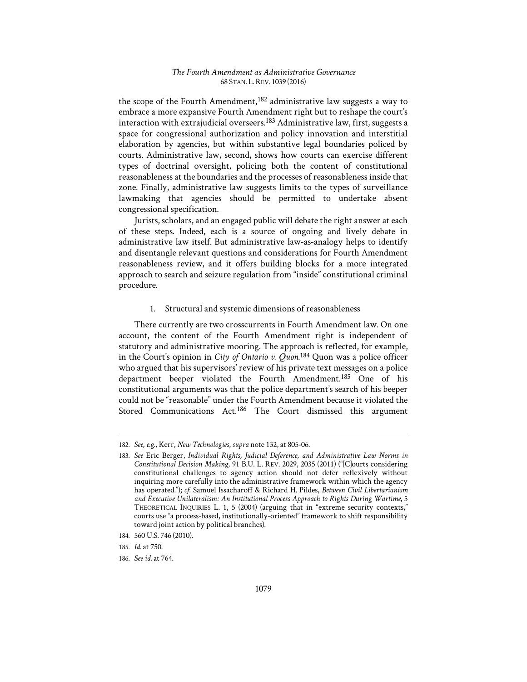the scope of the Fourth Amendment,182 administrative law suggests a way to embrace a more expansive Fourth Amendment right but to reshape the court's interaction with extrajudicial overseers.183 Administrative law, first, suggests a space for congressional authorization and policy innovation and interstitial elaboration by agencies, but within substantive legal boundaries policed by courts. Administrative law, second, shows how courts can exercise different types of doctrinal oversight, policing both the content of constitutional reasonableness at the boundaries and the processes of reasonableness inside that zone. Finally, administrative law suggests limits to the types of surveillance lawmaking that agencies should be permitted to undertake absent congressional specification.

Jurists, scholars, and an engaged public will debate the right answer at each of these steps. Indeed, each is a source of ongoing and lively debate in administrative law itself. But administrative law-as-analogy helps to identify and disentangle relevant questions and considerations for Fourth Amendment reasonableness review, and it offers building blocks for a more integrated approach to search and seizure regulation from "inside" constitutional criminal procedure.

## 1. Structural and systemic dimensions of reasonableness

There currently are two crosscurrents in Fourth Amendment law. On one account, the content of the Fourth Amendment right is independent of statutory and administrative mooring. The approach is reflected, for example, in the Court's opinion in *City of Ontario v. Quon*. 184 Quon was a police officer who argued that his supervisors' review of his private text messages on a police department beeper violated the Fourth Amendment.185 One of his constitutional arguments was that the police department's search of his beeper could not be "reasonable" under the Fourth Amendment because it violated the Stored Communications Act.186 The Court dismissed this argument

<sup>182.</sup> *See, e.g.*, Kerr, *New Technologies*, *supra* note 132, at 805-06.

<sup>183.</sup> *See* Eric Berger, *Individual Rights, Judicial Deference, and Administrative Law Norms in Constitutional Decision Making*, 91 B.U. L. REV. 2029, 2035 (2011) ("[C]ourts considering constitutional challenges to agency action should not defer reflexively without inquiring more carefully into the administrative framework within which the agency has operated."); *cf.* Samuel Issacharoff & Richard H. Pildes, *Between Civil Libertarianism*  and Executive Unilateralism: An Institutional Process Approach to Rights During Wartime, 5 THEORETICAL INQUIRIES L. 1, 5 (2004) (arguing that in "extreme security contexts," courts use "a process-based, institutionally-oriented" framework to shift responsibility toward joint action by political branches).

<sup>184. 560</sup> U.S. 746 (2010).

<sup>185.</sup> *Id.* at 750.

<sup>186.</sup> *See id.* at 764.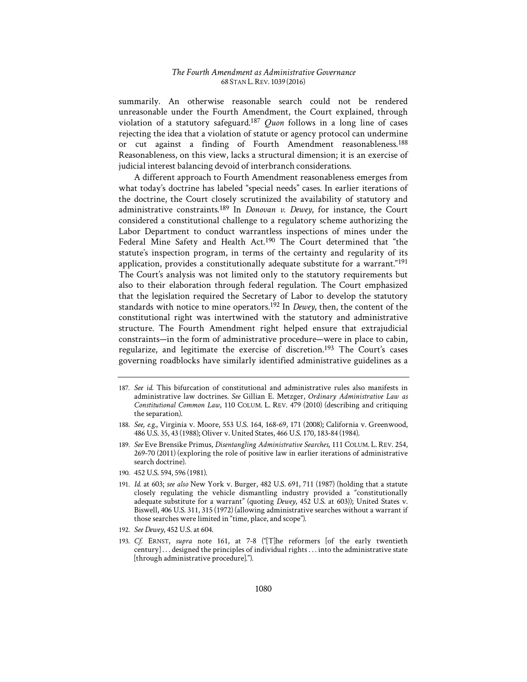summarily. An otherwise reasonable search could not be rendered unreasonable under the Fourth Amendment, the Court explained, through violation of a statutory safeguard.187 *Quon* follows in a long line of cases rejecting the idea that a violation of statute or agency protocol can undermine or cut against a finding of Fourth Amendment reasonableness.188 Reasonableness, on this view, lacks a structural dimension; it is an exercise of judicial interest balancing devoid of interbranch considerations.

A different approach to Fourth Amendment reasonableness emerges from what today's doctrine has labeled "special needs" cases. In earlier iterations of the doctrine, the Court closely scrutinized the availability of statutory and administrative constraints.189 In *Donovan v. Dewey*, for instance, the Court considered a constitutional challenge to a regulatory scheme authorizing the Labor Department to conduct warrantless inspections of mines under the Federal Mine Safety and Health Act.<sup>190</sup> The Court determined that "the statute's inspection program, in terms of the certainty and regularity of its application, provides a constitutionally adequate substitute for a warrant."191 The Court's analysis was not limited only to the statutory requirements but also to their elaboration through federal regulation. The Court emphasized that the legislation required the Secretary of Labor to develop the statutory standards with notice to mine operators.192 In *Dewey*, then, the content of the constitutional right was intertwined with the statutory and administrative structure. The Fourth Amendment right helped ensure that extrajudicial constraints—in the form of administrative procedure—were in place to cabin, regularize, and legitimate the exercise of discretion.193 The Court's cases governing roadblocks have similarly identified administrative guidelines as a

- 190. 452 U.S. 594, 596 (1981).
- 191. *Id.* at 603; *see also* New York v. Burger, 482 U.S. 691, 711 (1987) (holding that a statute closely regulating the vehicle dismantling industry provided a "constitutionally adequate substitute for a warrant" (quoting *Dewey*, 452 U.S. at 603)); United States v. Biswell, 406 U.S. 311, 315 (1972) (allowing administrative searches without a warrant if those searches were limited in "time, place, and scope").
- 192. *See Dewey*, 452 U.S. at 604.
- 193. *Cf.* ERNST, *supra* note 161, at 7-8 ("[T]he reformers [of the early twentieth century] . . . designed the principles of individual rights . . . into the administrative state [through administrative procedure].").

<sup>187.</sup> *See id.* This bifurcation of constitutional and administrative rules also manifests in administrative law doctrines. *See* Gillian E. Metzger, *Ordinary Administrative Law as Constitutional Common Law*, 110 COLUM. L. REV. 479 (2010) (describing and critiquing the separation).

<sup>188.</sup> *See, e.g.*, Virginia v. Moore, 553 U.S. 164, 168-69, 171 (2008); California v. Greenwood, 486 U.S. 35, 43 (1988); Oliver v. United States, 466 U.S. 170, 183-84 (1984).

<sup>189.</sup> *See* Eve Brensike Primus, *Disentangling Administrative Searches*, 111 COLUM. L. REV. 254, 269-70 (2011) (exploring the role of positive law in earlier iterations of administrative search doctrine).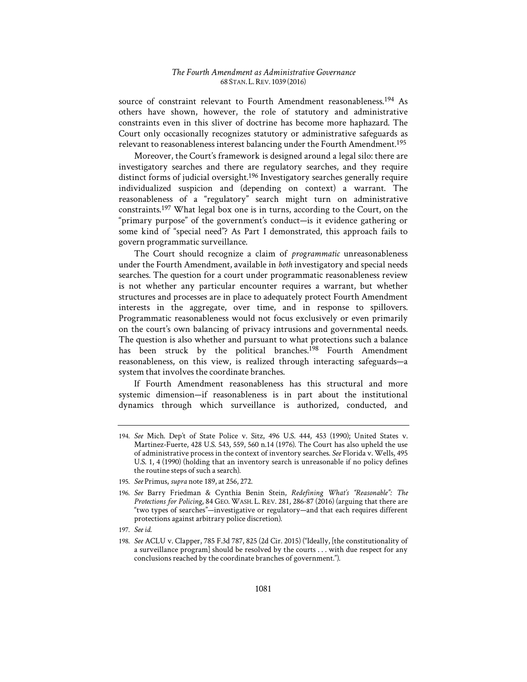source of constraint relevant to Fourth Amendment reasonableness.<sup>194</sup> As others have shown, however, the role of statutory and administrative constraints even in this sliver of doctrine has become more haphazard. The Court only occasionally recognizes statutory or administrative safeguards as relevant to reasonableness interest balancing under the Fourth Amendment.195

Moreover, the Court's framework is designed around a legal silo: there are investigatory searches and there are regulatory searches, and they require distinct forms of judicial oversight.<sup>196</sup> Investigatory searches generally require individualized suspicion and (depending on context) a warrant. The reasonableness of a "regulatory" search might turn on administrative constraints.197 What legal box one is in turns, according to the Court, on the "primary purpose" of the government's conduct—is it evidence gathering or some kind of "special need"? As Part I demonstrated, this approach fails to govern programmatic surveillance.

The Court should recognize a claim of *programmatic* unreasonableness under the Fourth Amendment, available in *both* investigatory and special needs searches. The question for a court under programmatic reasonableness review is not whether any particular encounter requires a warrant, but whether structures and processes are in place to adequately protect Fourth Amendment interests in the aggregate, over time, and in response to spillovers. Programmatic reasonableness would not focus exclusively or even primarily on the court's own balancing of privacy intrusions and governmental needs. The question is also whether and pursuant to what protections such a balance has been struck by the political branches.<sup>198</sup> Fourth Amendment reasonableness, on this view, is realized through interacting safeguards—a system that involves the coordinate branches.

If Fourth Amendment reasonableness has this structural and more systemic dimension—if reasonableness is in part about the institutional dynamics through which surveillance is authorized, conducted, and

<sup>194.</sup> *See* Mich. Dep't of State Police v. Sitz, 496 U.S. 444, 453 (1990); United States v. Martinez-Fuerte, 428 U.S. 543, 559, 560 n.14 (1976). The Court has also upheld the use of administrative process in the context of inventory searches. *See* Florida v. Wells, 495 U.S. 1, 4 (1990) (holding that an inventory search is unreasonable if no policy defines the routine steps of such a search).

<sup>195.</sup> *See* Primus, *supra* note 189, at 256, 272.

<sup>196.</sup> See Barry Friedman & Cynthia Benin Stein, *Redefining What's "Reasonable": The Protections for Policing*, 84 GEO. WASH. L. REV. 281, 286-87 (2016) (arguing that there are "two types of searches"—investigative or regulatory—and that each requires different protections against arbitrary police discretion).

<sup>197.</sup> *See id.*

<sup>198.</sup> *See* ACLU v. Clapper, 785 F.3d 787, 825 (2d Cir. 2015) ("Ideally, [the constitutionality of a surveillance program] should be resolved by the courts . . . with due respect for any conclusions reached by the coordinate branches of government.").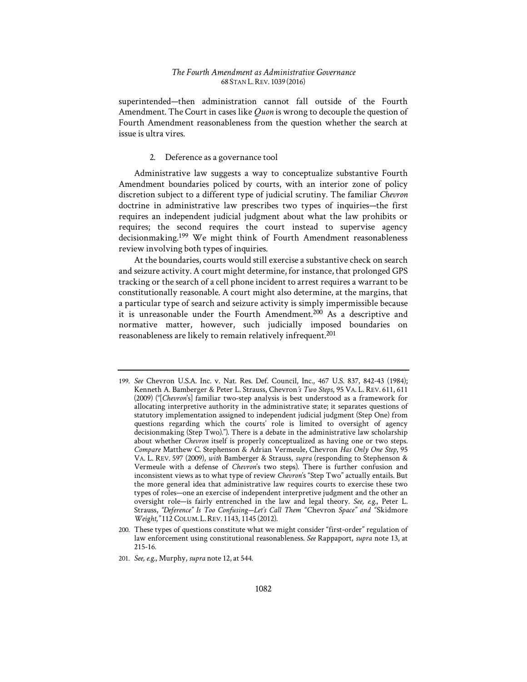superintended—then administration cannot fall outside of the Fourth Amendment. The Court in cases like *Quon* is wrong to decouple the question of Fourth Amendment reasonableness from the question whether the search at issue is ultra vires.

#### 2. Deference as a governance tool

Administrative law suggests a way to conceptualize substantive Fourth Amendment boundaries policed by courts, with an interior zone of policy discretion subject to a different type of judicial scrutiny. The familiar *Chevron*  doctrine in administrative law prescribes two types of inquiries—the first requires an independent judicial judgment about what the law prohibits or requires; the second requires the court instead to supervise agency decisionmaking.199 We might think of Fourth Amendment reasonableness review involving both types of inquiries.

At the boundaries, courts would still exercise a substantive check on search and seizure activity. A court might determine, for instance, that prolonged GPS tracking or the search of a cell phone incident to arrest requires a warrant to be constitutionally reasonable. A court might also determine, at the margins, that a particular type of search and seizure activity is simply impermissible because it is unreasonable under the Fourth Amendment.200 As a descriptive and normative matter, however, such judicially imposed boundaries on reasonableness are likely to remain relatively infrequent.201

<sup>199.</sup> *See* Chevron U.S.A. Inc. v. Nat. Res. Def. Council, Inc., 467 U.S. 837, 842-43 (1984); Kenneth A. Bamberger & Peter L. Strauss, Chevron*'s Two Steps*, 95 VA. L. REV. 611, 611 (2009) ("[*Chevron*'s] familiar two-step analysis is best understood as a framework for allocating interpretive authority in the administrative state; it separates questions of statutory implementation assigned to independent judicial judgment (Step One) from questions regarding which the courts' role is limited to oversight of agency decisionmaking (Step Two)."). There is a debate in the administrative law scholarship about whether *Chevron* itself is properly conceptualized as having one or two steps. *Compare* Matthew C. Stephenson & Adrian Vermeule, Chevron *Has Only One Step*, 95 VA. L. REV. 597 (2009), *with* Bamberger & Strauss, *supra* (responding to Stephenson & Vermeule with a defense of *Chevron*'s two steps). There is further confusion and inconsistent views as to what type of review *Chevron*'s "Step Two" actually entails. But the more general idea that administrative law requires courts to exercise these two types of roles—one an exercise of independent interpretive judgment and the other an oversight role—is fairly entrenched in the law and legal theory. *See, e.g.*, Peter L. Strauss, "Deference" Is Too Confusing-Let's Call Them "Chevron Space" and "Skidmore *Weight*,*"* 112 COLUM. L.REV. 1143, 1145 (2012).

<sup>200.</sup> These types of questions constitute what we might consider "first-order" regulation of law enforcement using constitutional reasonableness. *See* Rappaport, *supra* note 13, at 215-16.

<sup>201.</sup> *See, e.g.*, Murphy, *supra* note 12, at 544.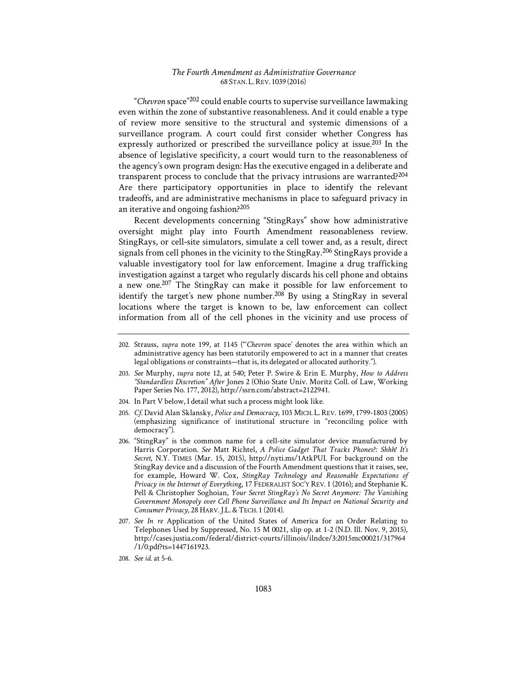"*Chevron* space"202 could enable courts to supervise surveillance lawmaking even within the zone of substantive reasonableness. And it could enable a type of review more sensitive to the structural and systemic dimensions of a surveillance program. A court could first consider whether Congress has expressly authorized or prescribed the surveillance policy at issue.<sup>203</sup> In the absence of legislative specificity, a court would turn to the reasonableness of the agency's own program design: Has the executive engaged in a deliberate and transparent process to conclude that the privacy intrusions are warranted?<sup>204</sup> Are there participatory opportunities in place to identify the relevant tradeoffs, and are administrative mechanisms in place to safeguard privacy in an iterative and ongoing fashion?205

Recent developments concerning "StingRays" show how administrative oversight might play into Fourth Amendment reasonableness review. StingRays, or cell-site simulators, simulate a cell tower and, as a result, direct signals from cell phones in the vicinity to the StingRay.206 StingRays provide a valuable investigatory tool for law enforcement. Imagine a drug trafficking investigation against a target who regularly discards his cell phone and obtains a new one.207 The StingRay can make it possible for law enforcement to identify the target's new phone number.<sup>208</sup> By using a StingRay in several locations where the target is known to be, law enforcement can collect information from all of the cell phones in the vicinity and use process of

- 203. *See* Murphy, *supra* note 12, at 540; Peter P. Swire & Erin E. Murphy, *How to Address "Standardless Discretion" After* Jones 2 (Ohio State Univ. Moritz Coll. of Law, Working Paper Series No. 177, 2012), http://ssrn.com/abstract=2122941.
- 204. In Part V below, I detail what such a process might look like.
- 205. *Cf.* David Alan Sklansky, *Police and Democracy*, 103 MICH. L. REV. 1699, 1799-1803 (2005) (emphasizing significance of institutional structure in "reconciling police with democracy").
- 206. "StingRay" is the common name for a cell-site simulator device manufactured by Harris Corporation. See Matt Richtel, *A Police Gadget That Tracks Phones?: Shhh! It's Secret*, N.Y. TIMES (Mar. 15, 2015), http://nyti.ms/1AtkPUI. For background on the StingRay device and a discussion of the Fourth Amendment questions that it raises, see, for example, Howard W. Cox, *StingRay Technology and Reasonable Expectations of Privacy in the Internet of Everything*, 17 FEDERALIST SOC'Y REV. 1 (2016); and Stephanie K. Pell & Christopher Soghoian, *Your Secret StingRay's No Secret Anymore: The Vanishing Government Monopoly over Cell Phone Surveillance and Its Impact on National Security and Consumer Privacy*, 28 HARV.J.L.&TECH. 1 (2014).
- 207. *See In re* Application of the United States of America for an Order Relating to Telephones Used by Suppressed, No. 15 M 0021, slip op. at 1-2 (N.D. Ill. Nov. 9, 2015), http://cases.justia.com/federal/district-courts/illinois/ilndce/3:2015mc00021/317964 /1/0.pdf?ts=1447161923.
- 208. *See id.* at 5-6.

<sup>202.</sup> Strauss, *supra* note 199, at 1145 ("'*Chevron* space' denotes the area within which an administrative agency has been statutorily empowered to act in a manner that creates legal obligations or constraints—that is, its delegated or allocated authority.").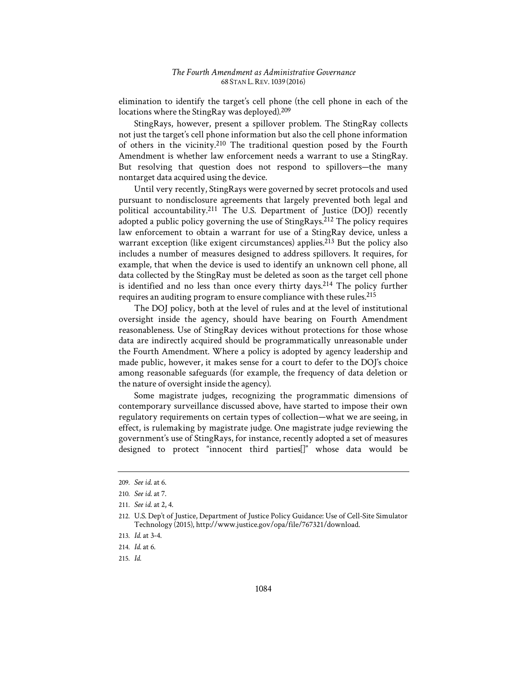elimination to identify the target's cell phone (the cell phone in each of the locations where the StingRay was deployed).209

StingRays, however, present a spillover problem. The StingRay collects not just the target's cell phone information but also the cell phone information of others in the vicinity.210 The traditional question posed by the Fourth Amendment is whether law enforcement needs a warrant to use a StingRay. But resolving that question does not respond to spillovers—the many nontarget data acquired using the device.

Until very recently, StingRays were governed by secret protocols and used pursuant to nondisclosure agreements that largely prevented both legal and political accountability.211 The U.S. Department of Justice (DOJ) recently adopted a public policy governing the use of StingRays.<sup>212</sup> The policy requires law enforcement to obtain a warrant for use of a StingRay device, unless a warrant exception (like exigent circumstances) applies.<sup>213</sup> But the policy also includes a number of measures designed to address spillovers. It requires, for example, that when the device is used to identify an unknown cell phone, all data collected by the StingRay must be deleted as soon as the target cell phone is identified and no less than once every thirty days.214 The policy further requires an auditing program to ensure compliance with these rules.215

The DOJ policy, both at the level of rules and at the level of institutional oversight inside the agency, should have bearing on Fourth Amendment reasonableness. Use of StingRay devices without protections for those whose data are indirectly acquired should be programmatically unreasonable under the Fourth Amendment. Where a policy is adopted by agency leadership and made public, however, it makes sense for a court to defer to the DOJ's choice among reasonable safeguards (for example, the frequency of data deletion or the nature of oversight inside the agency).

Some magistrate judges, recognizing the programmatic dimensions of contemporary surveillance discussed above, have started to impose their own regulatory requirements on certain types of collection—what we are seeing, in effect, is rulemaking by magistrate judge. One magistrate judge reviewing the government's use of StingRays, for instance, recently adopted a set of measures designed to protect "innocent third parties[]" whose data would be

<sup>209.</sup> *See id.* at 6.

<sup>210.</sup> *See id.* at 7.

<sup>211.</sup> *See id.* at 2, 4.

<sup>212.</sup> U.S. Dep't of Justice, Department of Justice Policy Guidance: Use of Cell-Site Simulator Technology (2015), http://www.justice.gov/opa/file/767321/download.

<sup>213.</sup> *Id.* at 3-4.

<sup>214.</sup> *Id.* at 6.

<sup>215.</sup> *Id.*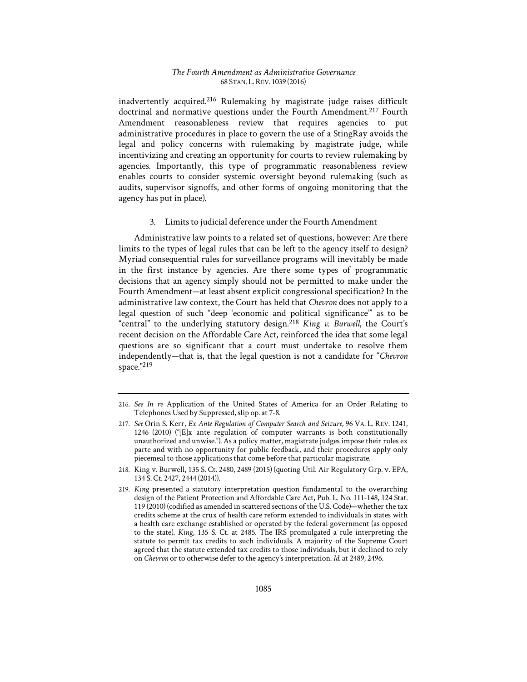inadvertently acquired.216 Rulemaking by magistrate judge raises difficult doctrinal and normative questions under the Fourth Amendment.<sup>217</sup> Fourth Amendment reasonableness review that requires agencies to put administrative procedures in place to govern the use of a StingRay avoids the legal and policy concerns with rulemaking by magistrate judge, while incentivizing and creating an opportunity for courts to review rulemaking by agencies. Importantly, this type of programmatic reasonableness review enables courts to consider systemic oversight beyond rulemaking (such as audits, supervisor signoffs, and other forms of ongoing monitoring that the agency has put in place).

3. Limits to judicial deference under the Fourth Amendment

Administrative law points to a related set of questions, however: Are there limits to the types of legal rules that can be left to the agency itself to design? Myriad consequential rules for surveillance programs will inevitably be made in the first instance by agencies. Are there some types of programmatic decisions that an agency simply should not be permitted to make under the Fourth Amendment—at least absent explicit congressional specification? In the administrative law context, the Court has held that *Chevron* does not apply to a legal question of such "deep 'economic and political significance'" as to be "central" to the underlying statutory design.<sup>218</sup> *King v. Burwell*, the Court's recent decision on the Affordable Care Act, reinforced the idea that some legal questions are so significant that a court must undertake to resolve them independently—that is, that the legal question is not a candidate for "*Chevron* space."219

<sup>216.</sup> *See In re* Application of the United States of America for an Order Relating to Telephones Used by Suppressed, slip op. at 7-8.

<sup>217.</sup> *See* Orin S. Kerr, *Ex Ante Regulation of Computer Search and Seizure*, 96 VA. L. REV. 1241, 1246 (2010) ("[E]x ante regulation of computer warrants is both constitutionally unauthorized and unwise."). As a policy matter, magistrate judges impose their rules ex parte and with no opportunity for public feedback, and their procedures apply only piecemeal to those applications that come before that particular magistrate.

<sup>218.</sup> King v. Burwell, 135 S. Ct. 2480, 2489 (2015) (quoting Util. Air Regulatory Grp. v. EPA, 134 S. Ct. 2427, 2444 (2014)).

<sup>219.</sup> *King* presented a statutory interpretation question fundamental to the overarching design of the Patient Protection and Affordable Care Act, Pub. L. No. 111-148, 124 Stat. 119 (2010) (codified as amended in scattered sections of the U.S. Code)—whether the tax credits scheme at the crux of health care reform extended to individuals in states with a health care exchange established or operated by the federal government (as opposed to the state). *King*, 135 S. Ct. at 2485. The IRS promulgated a rule interpreting the statute to permit tax credits to such individuals. A majority of the Supreme Court agreed that the statute extended tax credits to those individuals, but it declined to rely on *Chevron* or to otherwise defer to the agency's interpretation. *Id.* at 2489, 2496.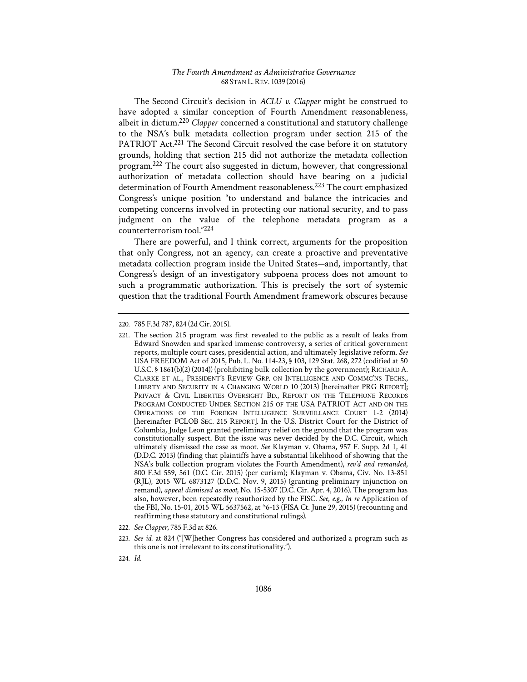The Second Circuit's decision in *ACLU v. Clapper* might be construed to have adopted a similar conception of Fourth Amendment reasonableness, albeit in dictum.220 *Clapper* concerned a constitutional and statutory challenge to the NSA's bulk metadata collection program under section 215 of the PATRIOT Act.<sup>221</sup> The Second Circuit resolved the case before it on statutory grounds, holding that section 215 did not authorize the metadata collection program.222 The court also suggested in dictum, however, that congressional authorization of metadata collection should have bearing on a judicial determination of Fourth Amendment reasonableness.<sup>223</sup> The court emphasized Congress's unique position "to understand and balance the intricacies and competing concerns involved in protecting our national security, and to pass judgment on the value of the telephone metadata program as a counterterrorism tool."224

There are powerful, and I think correct, arguments for the proposition that only Congress, not an agency, can create a proactive and preventative metadata collection program inside the United States—and, importantly, that Congress's design of an investigatory subpoena process does not amount to such a programmatic authorization. This is precisely the sort of systemic question that the traditional Fourth Amendment framework obscures because

222. *See Clapper*, 785 F.3d at 826.

<sup>220. 785</sup> F.3d 787, 824 (2d Cir. 2015).

<sup>221.</sup> The section 215 program was first revealed to the public as a result of leaks from Edward Snowden and sparked immense controversy, a series of critical government reports, multiple court cases, presidential action, and ultimately legislative reform. *See* USA FREEDOM Act of 2015, Pub. L. No. 114-23, § 103, 129 Stat. 268, 272 (codified at 50 U.S.C. § 1861(b)(2) (2014)) (prohibiting bulk collection by the government); RICHARD A. CLARKE ET AL., PRESIDENT'S REVIEW GRP. ON INTELLIGENCE AND COMMC'NS TECHS., LIBERTY AND SECURITY IN A CHANGING WORLD 10 (2013) [hereinafter PRG REPORT]; PRIVACY & CIVIL LIBERTIES OVERSIGHT BD., REPORT ON THE TELEPHONE RECORDS PROGRAM CONDUCTED UNDER SECTION 215 OF THE USA PATRIOT ACT AND ON THE OPERATIONS OF THE FOREIGN INTELLIGENCE SURVEILLANCE COURT 1-2 (2014) [hereinafter PCLOB SEC. 215 REPORT]. In the U.S. District Court for the District of Columbia, Judge Leon granted preliminary relief on the ground that the program was constitutionally suspect. But the issue was never decided by the D.C. Circuit, which ultimately dismissed the case as moot. *See* Klayman v. Obama, 957 F. Supp. 2d 1, 41 (D.D.C. 2013) (finding that plaintiffs have a substantial likelihood of showing that the NSA's bulk collection program violates the Fourth Amendment), *rev'd and remanded*, 800 F.3d 559, 561 (D.C. Cir. 2015) (per curiam); Klayman v. Obama, Civ. No. 13-851 (RJL), 2015 WL 6873127 (D.D.C. Nov. 9, 2015) (granting preliminary injunction on remand), *appeal dismissed as moot*, No. 15-5307 (D.C. Cir. Apr. 4, 2016). The program has also, however, been repeatedly reauthorized by the FISC. *See, e.g.*, *In re* Application of the FBI, No. 15-01, 2015 WL 5637562, at \*6-13 (FISA Ct. June 29, 2015) (recounting and reaffirming these statutory and constitutional rulings).

<sup>223.</sup> *See id.* at 824 ("[W]hether Congress has considered and authorized a program such as this one is not irrelevant to its constitutionality.").

<sup>224.</sup> *Id.*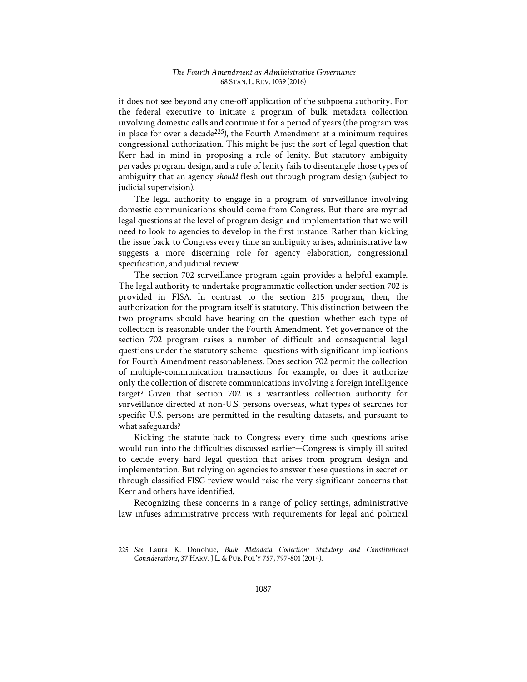it does not see beyond any one-off application of the subpoena authority. For the federal executive to initiate a program of bulk metadata collection involving domestic calls and continue it for a period of years (the program was in place for over a decade<sup>225</sup>), the Fourth Amendment at a minimum requires congressional authorization. This might be just the sort of legal question that Kerr had in mind in proposing a rule of lenity. But statutory ambiguity pervades program design, and a rule of lenity fails to disentangle those types of ambiguity that an agency *should* flesh out through program design (subject to judicial supervision).

The legal authority to engage in a program of surveillance involving domestic communications should come from Congress. But there are myriad legal questions at the level of program design and implementation that we will need to look to agencies to develop in the first instance. Rather than kicking the issue back to Congress every time an ambiguity arises, administrative law suggests a more discerning role for agency elaboration, congressional specification, and judicial review.

The section 702 surveillance program again provides a helpful example. The legal authority to undertake programmatic collection under section 702 is provided in FISA. In contrast to the section 215 program, then, the authorization for the program itself is statutory. This distinction between the two programs should have bearing on the question whether each type of collection is reasonable under the Fourth Amendment. Yet governance of the section 702 program raises a number of difficult and consequential legal questions under the statutory scheme—questions with significant implications for Fourth Amendment reasonableness. Does section 702 permit the collection of multiple-communication transactions, for example, or does it authorize only the collection of discrete communications involving a foreign intelligence target? Given that section 702 is a warrantless collection authority for surveillance directed at non-U.S. persons overseas, what types of searches for specific U.S. persons are permitted in the resulting datasets, and pursuant to what safeguards?

Kicking the statute back to Congress every time such questions arise would run into the difficulties discussed earlier—Congress is simply ill suited to decide every hard legal question that arises from program design and implementation. But relying on agencies to answer these questions in secret or through classified FISC review would raise the very significant concerns that Kerr and others have identified.

Recognizing these concerns in a range of policy settings, administrative law infuses administrative process with requirements for legal and political

<sup>225.</sup> See Laura K. Donohue, Bulk Metadata Collection: Statutory and Constitutional *Considerations*, 37 HARV.J.L.&PUB. POL'Y 757, 797-801 (2014).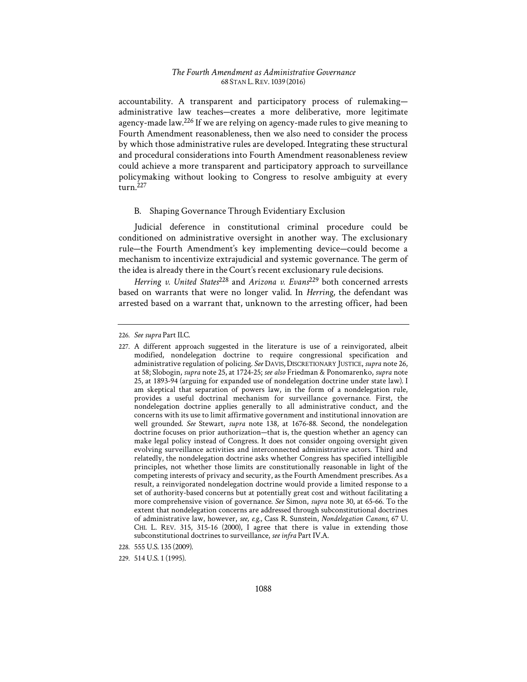accountability. A transparent and participatory process of rulemaking administrative law teaches—creates a more deliberative, more legitimate agency-made law.226 If we are relying on agency-made rules to give meaning to Fourth Amendment reasonableness, then we also need to consider the process by which those administrative rules are developed. Integrating these structural and procedural considerations into Fourth Amendment reasonableness review could achieve a more transparent and participatory approach to surveillance policymaking without looking to Congress to resolve ambiguity at every turn.227

#### B. Shaping Governance Through Evidentiary Exclusion

Judicial deference in constitutional criminal procedure could be conditioned on administrative oversight in another way. The exclusionary rule—the Fourth Amendment's key implementing device—could become a mechanism to incentivize extrajudicial and systemic governance. The germ of the idea is already there in the Court's recent exclusionary rule decisions.

*Herring v. United States*228 and *Arizona v. Evans*229 both concerned arrests based on warrants that were no longer valid. In *Herring*, the defendant was arrested based on a warrant that, unknown to the arresting officer, had been

<sup>226.</sup> *See supra* Part II.C.

<sup>227.</sup> A different approach suggested in the literature is use of a reinvigorated, albeit modified, nondelegation doctrine to require congressional specification and administrative regulation of policing. *See* DAVIS,DISCRETIONARY JUSTICE, *supra* note 26, at 58; Slobogin, *supra* note 25, at 1724-25; *see also* Friedman & Ponomarenko, *supra* note 25, at 1893-94 (arguing for expanded use of nondelegation doctrine under state law). I am skeptical that separation of powers law, in the form of a nondelegation rule, provides a useful doctrinal mechanism for surveillance governance. First, the nondelegation doctrine applies generally to all administrative conduct, and the concerns with its use to limit affirmative government and institutional innovation are well grounded. *See* Stewart, *supra* note 138, at 1676-88. Second, the nondelegation doctrine focuses on prior authorization—that is, the question whether an agency can make legal policy instead of Congress. It does not consider ongoing oversight given evolving surveillance activities and interconnected administrative actors. Third and relatedly, the nondelegation doctrine asks whether Congress has specified intelligible principles, not whether those limits are constitutionally reasonable in light of the competing interests of privacy and security, as the Fourth Amendment prescribes. As a result, a reinvigorated nondelegation doctrine would provide a limited response to a set of authority-based concerns but at potentially great cost and without facilitating a more comprehensive vision of governance. *See* Simon, *supra* note 30, at 65-66. To the extent that nondelegation concerns are addressed through subconstitutional doctrines of administrative law, however, *see, e.g.*, Cass R. Sunstein, *Nondelegation Canons*, 67 U. CHI. L. REV. 315, 315-16 (2000), I agree that there is value in extending those subconstitutional doctrines to surveillance, *see infra* Part IV.A.

<sup>228. 555</sup> U.S. 135 (2009).

<sup>229. 514</sup> U.S. 1 (1995).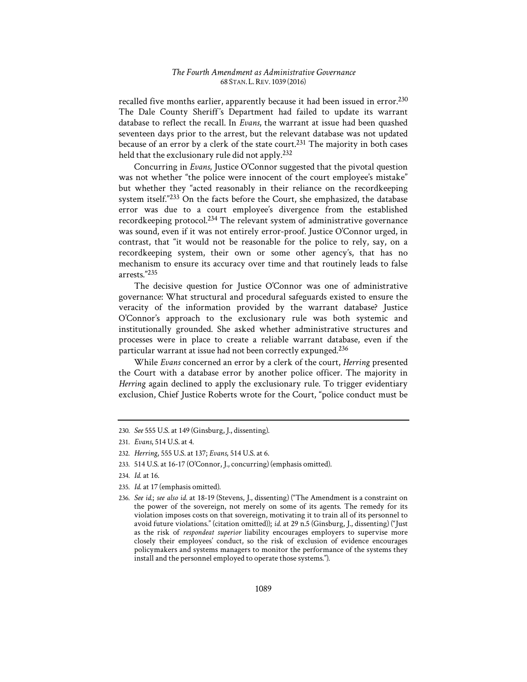recalled five months earlier, apparently because it had been issued in error.<sup>230</sup> The Dale County Sheriff's Department had failed to update its warrant database to reflect the recall. In *Evans*, the warrant at issue had been quashed seventeen days prior to the arrest, but the relevant database was not updated because of an error by a clerk of the state court.<sup>231</sup> The majority in both cases held that the exclusionary rule did not apply.<sup>232</sup>

Concurring in *Evans*, Justice O'Connor suggested that the pivotal question was not whether "the police were innocent of the court employee's mistake" but whether they "acted reasonably in their reliance on the recordkeeping system itself."233 On the facts before the Court, she emphasized, the database error was due to a court employee's divergence from the established recordkeeping protocol.234 The relevant system of administrative governance was sound, even if it was not entirely error-proof. Justice O'Connor urged, in contrast, that "it would not be reasonable for the police to rely, say, on a recordkeeping system, their own or some other agency's, that has no mechanism to ensure its accuracy over time and that routinely leads to false arrests."235

The decisive question for Justice O'Connor was one of administrative governance: What structural and procedural safeguards existed to ensure the veracity of the information provided by the warrant database? Justice O'Connor's approach to the exclusionary rule was both systemic and institutionally grounded. She asked whether administrative structures and processes were in place to create a reliable warrant database, even if the particular warrant at issue had not been correctly expunged.236

While *Evans* concerned an error by a clerk of the court, *Herring* presented the Court with a database error by another police officer. The majority in *Herring* again declined to apply the exclusionary rule. To trigger evidentiary exclusion, Chief Justice Roberts wrote for the Court, "police conduct must be

235. *Id.* at 17 (emphasis omitted).

<sup>230.</sup> *See* 555 U.S. at 149 (Ginsburg, J., dissenting).

<sup>231.</sup> *Evans*, 514 U.S. at 4.

<sup>232.</sup> *Herring*, 555 U.S. at 137; *Evans*, 514 U.S. at 6.

<sup>233. 514</sup> U.S. at 16-17 (O'Connor, J., concurring) (emphasis omitted).

<sup>234.</sup> *Id.* at 16.

<sup>236.</sup> *See id.*; *see also id.* at 18-19 (Stevens, J., dissenting) ("The Amendment is a constraint on the power of the sovereign, not merely on some of its agents. The remedy for its violation imposes costs on that sovereign, motivating it to train all of its personnel to avoid future violations." (citation omitted)); *id.* at 29 n.5 (Ginsburg, J., dissenting) ("Just as the risk of *respondeat superior* liability encourages employers to supervise more closely their employees' conduct, so the risk of exclusion of evidence encourages policymakers and systems managers to monitor the performance of the systems they install and the personnel employed to operate those systems.").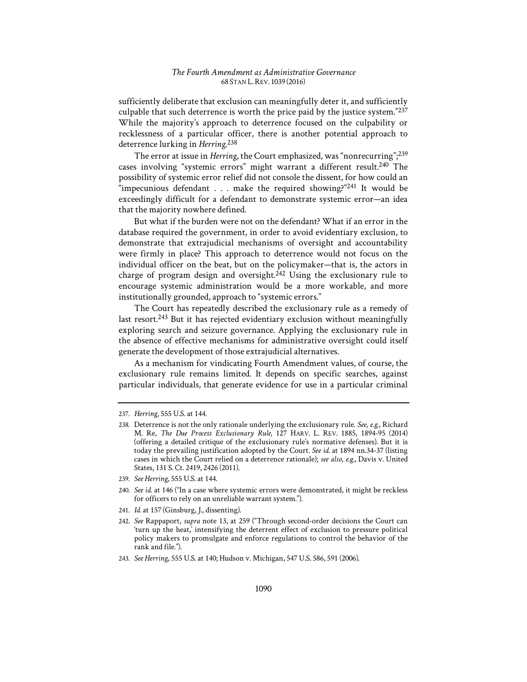sufficiently deliberate that exclusion can meaningfully deter it, and sufficiently culpable that such deterrence is worth the price paid by the justice system."237 While the majority's approach to deterrence focused on the culpability or recklessness of a particular officer, there is another potential approach to deterrence lurking in *Herring*. 238

The error at issue in *Herring*, the Court emphasized, was "nonrecurring";<sup>239</sup> cases involving "systemic errors" might warrant a different result.<sup>240</sup> The possibility of systemic error relief did not console the dissent, for how could an "impecunious defendant . . . make the required showing?"<sup>241</sup> It would be exceedingly difficult for a defendant to demonstrate systemic error—an idea that the majority nowhere defined.

But what if the burden were not on the defendant? What if an error in the database required the government, in order to avoid evidentiary exclusion, to demonstrate that extrajudicial mechanisms of oversight and accountability were firmly in place? This approach to deterrence would not focus on the individual officer on the beat, but on the policymaker—that is, the actors in charge of program design and oversight.<sup>242</sup> Using the exclusionary rule to encourage systemic administration would be a more workable, and more institutionally grounded, approach to "systemic errors."

The Court has repeatedly described the exclusionary rule as a remedy of last resort.<sup>243</sup> But it has rejected evidentiary exclusion without meaningfully exploring search and seizure governance. Applying the exclusionary rule in the absence of effective mechanisms for administrative oversight could itself generate the development of those extrajudicial alternatives.

As a mechanism for vindicating Fourth Amendment values, of course, the exclusionary rule remains limited. It depends on specific searches, against particular individuals, that generate evidence for use in a particular criminal

- 239. *See Herring*, 555 U.S. at 144.
- 240. *See id.* at 146 ("In a case where systemic errors were demonstrated, it might be reckless for officers to rely on an unreliable warrant system.").
- 241. *Id.* at 157 (Ginsburg, J., dissenting).

<sup>237.</sup> *Herring*, 555 U.S. at 144.

<sup>238.</sup> Deterrence is not the only rationale underlying the exclusionary rule. *See, e.g.*, Richard M. Re, *The Due Process Exclusionary Rule*, 127 HARV. L. REV. 1885, 1894-95 (2014) (offering a detailed critique of the exclusionary rule's normative defenses). But it is today the prevailing justification adopted by the Court. *See id.* at 1894 nn.34-37 (listing cases in which the Court relied on a deterrence rationale); *see also, e.g.*, Davis v. United States, 131 S. Ct. 2419, 2426 (2011).

<sup>242.</sup> *See* Rappaport, *supra* note 13, at 259 ("Through second-order decisions the Court can 'turn up the heat,' intensifying the deterrent effect of exclusion to pressure political policy makers to promulgate and enforce regulations to control the behavior of the rank and file.").

<sup>243.</sup> *See Herring*, 555 U.S. at 140; Hudson v. Michigan, 547 U.S. 586, 591 (2006).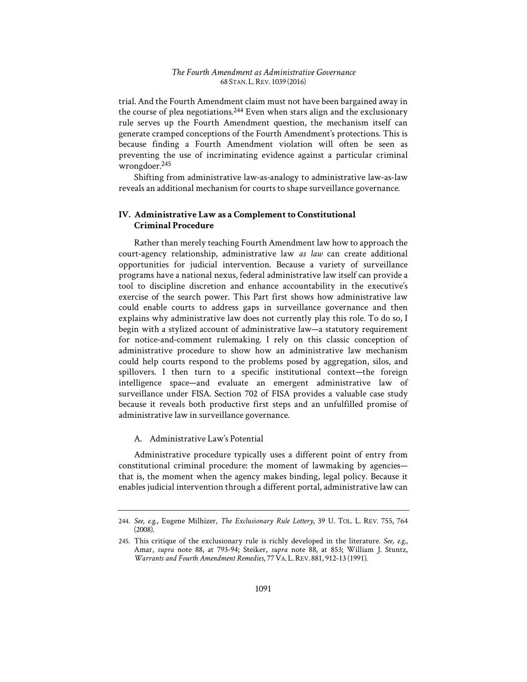trial. And the Fourth Amendment claim must not have been bargained away in the course of plea negotiations.<sup>244</sup> Even when stars align and the exclusionary rule serves up the Fourth Amendment question, the mechanism itself can generate cramped conceptions of the Fourth Amendment's protections. This is because finding a Fourth Amendment violation will often be seen as preventing the use of incriminating evidence against a particular criminal wrongdoer.245

Shifting from administrative law-as-analogy to administrative law-as-law reveals an additional mechanism for courts to shape surveillance governance.

# **IV. Administrative Law as a Complement to Constitutional Criminal Procedure**

Rather than merely teaching Fourth Amendment law how to approach the court-agency relationship, administrative law *as law* can create additional opportunities for judicial intervention. Because a variety of surveillance programs have a national nexus, federal administrative law itself can provide a tool to discipline discretion and enhance accountability in the executive's exercise of the search power. This Part first shows how administrative law could enable courts to address gaps in surveillance governance and then explains why administrative law does not currently play this role. To do so, I begin with a stylized account of administrative law—a statutory requirement for notice-and-comment rulemaking. I rely on this classic conception of administrative procedure to show how an administrative law mechanism could help courts respond to the problems posed by aggregation, silos, and spillovers. I then turn to a specific institutional context—the foreign intelligence space—and evaluate an emergent administrative law of surveillance under FISA. Section 702 of FISA provides a valuable case study because it reveals both productive first steps and an unfulfilled promise of administrative law in surveillance governance.

## A. Administrative Law's Potential

Administrative procedure typically uses a different point of entry from constitutional criminal procedure: the moment of lawmaking by agencies that is, the moment when the agency makes binding, legal policy. Because it enables judicial intervention through a different portal, administrative law can

<sup>244.</sup> *See, e.g.*, Eugene Milhizer, *The Exclusionary Rule Lottery*, 39 U. TOL. L. REV. 755, 764 (2008).

<sup>245.</sup> This critique of the exclusionary rule is richly developed in the literature. *See, e.g.*, Amar, *supra* note 88, at 793-94; Steiker, *supra* note 88, at 853; William J. Stuntz, *Warrants and Fourth Amendment Remedies*, 77VA. L.REV. 881, 912-13 (1991).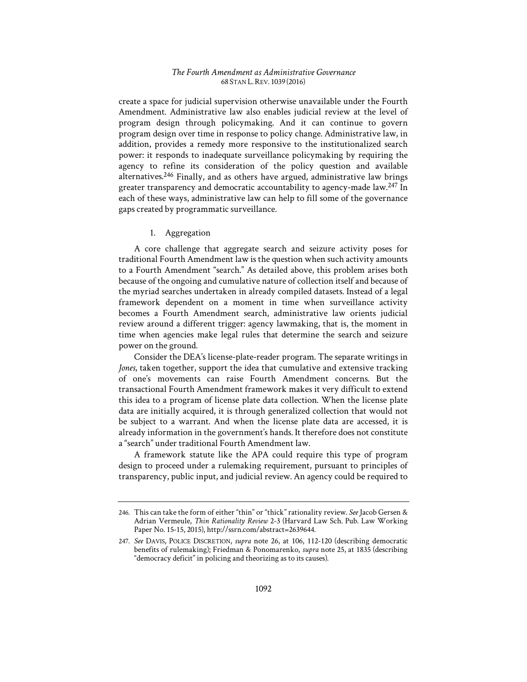create a space for judicial supervision otherwise unavailable under the Fourth Amendment. Administrative law also enables judicial review at the level of program design through policymaking. And it can continue to govern program design over time in response to policy change. Administrative law, in addition, provides a remedy more responsive to the institutionalized search power: it responds to inadequate surveillance policymaking by requiring the agency to refine its consideration of the policy question and available alternatives.246 Finally, and as others have argued, administrative law brings greater transparency and democratic accountability to agency-made law.<sup>247</sup> In each of these ways, administrative law can help to fill some of the governance gaps created by programmatic surveillance.

# 1. Aggregation

A core challenge that aggregate search and seizure activity poses for traditional Fourth Amendment law is the question when such activity amounts to a Fourth Amendment "search." As detailed above, this problem arises both because of the ongoing and cumulative nature of collection itself and because of the myriad searches undertaken in already compiled datasets. Instead of a legal framework dependent on a moment in time when surveillance activity becomes a Fourth Amendment search, administrative law orients judicial review around a different trigger: agency lawmaking, that is, the moment in time when agencies make legal rules that determine the search and seizure power on the ground.

Consider the DEA's license-plate-reader program. The separate writings in *Jones*, taken together, support the idea that cumulative and extensive tracking of one's movements can raise Fourth Amendment concerns. But the transactional Fourth Amendment framework makes it very difficult to extend this idea to a program of license plate data collection. When the license plate data are initially acquired, it is through generalized collection that would not be subject to a warrant. And when the license plate data are accessed, it is already information in the government's hands. It therefore does not constitute a "search" under traditional Fourth Amendment law.

A framework statute like the APA could require this type of program design to proceed under a rulemaking requirement, pursuant to principles of transparency, public input, and judicial review. An agency could be required to

<sup>246.</sup> This can take the form of either "thin" or "thick" rationality review. *See* Jacob Gersen & Adrian Vermeule, *Thin Rationality Review* 2-3 (Harvard Law Sch. Pub. Law Working Paper No. 15-15, 2015), http://ssrn.com/abstract=2639644.

<sup>247.</sup> *See* DAVIS, POLICE DISCRETION, *supra* note 26, at 106, 112-120 (describing democratic benefits of rulemaking); Friedman & Ponomarenko, *supra* note 25, at 1835 (describing "democracy deficit" in policing and theorizing as to its causes).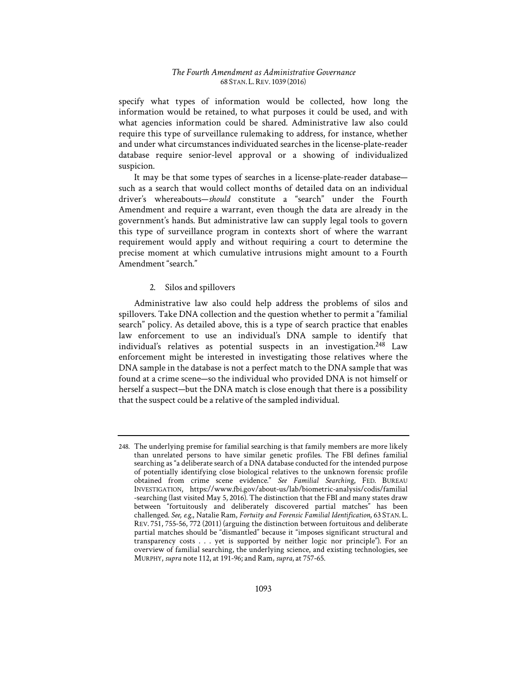specify what types of information would be collected, how long the information would be retained, to what purposes it could be used, and with what agencies information could be shared. Administrative law also could require this type of surveillance rulemaking to address, for instance, whether and under what circumstances individuated searches in the license-plate-reader database require senior-level approval or a showing of individualized suspicion.

It may be that some types of searches in a license-plate-reader database such as a search that would collect months of detailed data on an individual driver's whereabouts—*should* constitute a "search" under the Fourth Amendment and require a warrant, even though the data are already in the government's hands. But administrative law can supply legal tools to govern this type of surveillance program in contexts short of where the warrant requirement would apply and without requiring a court to determine the precise moment at which cumulative intrusions might amount to a Fourth Amendment "search."

## 2. Silos and spillovers

Administrative law also could help address the problems of silos and spillovers. Take DNA collection and the question whether to permit a "familial search" policy. As detailed above, this is a type of search practice that enables law enforcement to use an individual's DNA sample to identify that individual's relatives as potential suspects in an investigation.<sup>248</sup> Law enforcement might be interested in investigating those relatives where the DNA sample in the database is not a perfect match to the DNA sample that was found at a crime scene—so the individual who provided DNA is not himself or herself a suspect—but the DNA match is close enough that there is a possibility that the suspect could be a relative of the sampled individual.

<sup>248.</sup> The underlying premise for familial searching is that family members are more likely than unrelated persons to have similar genetic profiles. The FBI defines familial searching as "a deliberate search of a DNA database conducted for the intended purpose of potentially identifying close biological relatives to the unknown forensic profile obtained from crime scene evidence." *See Familial Searching*, FED. BUREAU INVESTIGATION, https://www.fbi.gov/about-us/lab/biometric-analysis/codis/familial -searching (last visited May 5, 2016). The distinction that the FBI and many states draw between "fortuitously and deliberately discovered partial matches" has been challenged. *See, e.g.*, Natalie Ram, *Fortuity and Forensic Familial Identification*, 63 STAN. L. REV. 751, 755-56, 772 (2011) (arguing the distinction between fortuitous and deliberate partial matches should be "dismantled" because it "imposes significant structural and transparency costs . . . yet is supported by neither logic nor principle"). For an overview of familial searching, the underlying science, and existing technologies, see MURPHY, *supra* note 112, at 191-96; and Ram, *supra*, at 757-65.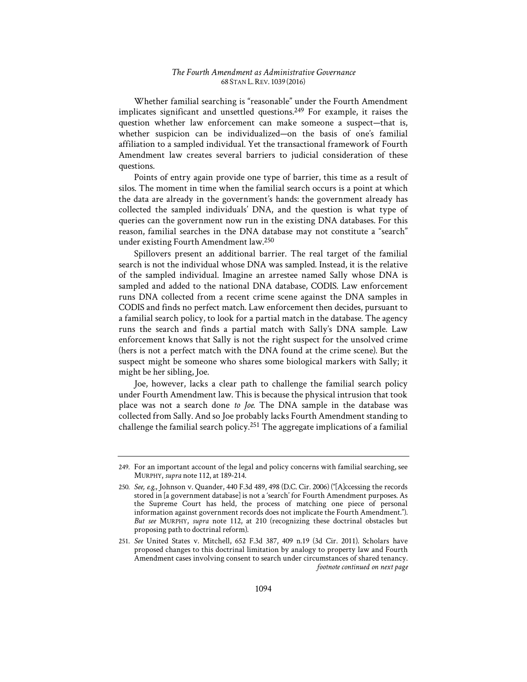Whether familial searching is "reasonable" under the Fourth Amendment implicates significant and unsettled questions.<sup>249</sup> For example, it raises the question whether law enforcement can make someone a suspect—that is, whether suspicion can be individualized—on the basis of one's familial affiliation to a sampled individual. Yet the transactional framework of Fourth Amendment law creates several barriers to judicial consideration of these questions.

Points of entry again provide one type of barrier, this time as a result of silos. The moment in time when the familial search occurs is a point at which the data are already in the government's hands: the government already has collected the sampled individuals' DNA, and the question is what type of queries can the government now run in the existing DNA databases. For this reason, familial searches in the DNA database may not constitute a "search" under existing Fourth Amendment law.250

Spillovers present an additional barrier. The real target of the familial search is not the individual whose DNA was sampled. Instead, it is the relative of the sampled individual. Imagine an arrestee named Sally whose DNA is sampled and added to the national DNA database, CODIS. Law enforcement runs DNA collected from a recent crime scene against the DNA samples in CODIS and finds no perfect match. Law enforcement then decides, pursuant to a familial search policy, to look for a partial match in the database. The agency runs the search and finds a partial match with Sally's DNA sample. Law enforcement knows that Sally is not the right suspect for the unsolved crime (hers is not a perfect match with the DNA found at the crime scene). But the suspect might be someone who shares some biological markers with Sally; it might be her sibling, Joe.

Joe, however, lacks a clear path to challenge the familial search policy under Fourth Amendment law. This is because the physical intrusion that took place was not a search done *to Joe*. The DNA sample in the database was collected from Sally. And so Joe probably lacks Fourth Amendment standing to challenge the familial search policy.251 The aggregate implications of a familial

<sup>249.</sup> For an important account of the legal and policy concerns with familial searching, see MURPHY, *supra* note 112, at 189-214.

<sup>250.</sup> *See, e.g.*, Johnson v. Quander, 440 F.3d 489, 498 (D.C. Cir. 2006) ("[A]ccessing the records stored in [a government database] is not a 'search' for Fourth Amendment purposes. As the Supreme Court has held, the process of matching one piece of personal information against government records does not implicate the Fourth Amendment."). *But see* MURPHY, *supra* note 112, at 210 (recognizing these doctrinal obstacles but proposing path to doctrinal reform).

<sup>251.</sup> *See* United States v. Mitchell, 652 F.3d 387, 409 n.19 (3d Cir. 2011). Scholars have proposed changes to this doctrinal limitation by analogy to property law and Fourth Amendment cases involving consent to search under circumstances of shared tenancy. *footnote continued on next page*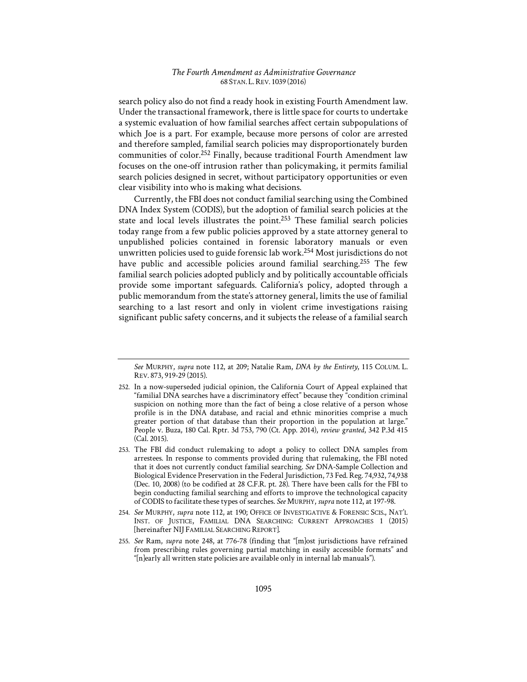search policy also do not find a ready hook in existing Fourth Amendment law. Under the transactional framework, there is little space for courts to undertake a systemic evaluation of how familial searches affect certain subpopulations of which Joe is a part. For example, because more persons of color are arrested and therefore sampled, familial search policies may disproportionately burden communities of color.<sup>252</sup> Finally, because traditional Fourth Amendment law focuses on the one-off intrusion rather than policymaking, it permits familial search policies designed in secret, without participatory opportunities or even clear visibility into who is making what decisions.

Currently, the FBI does not conduct familial searching using the Combined DNA Index System (CODIS), but the adoption of familial search policies at the state and local levels illustrates the point.253 These familial search policies today range from a few public policies approved by a state attorney general to unpublished policies contained in forensic laboratory manuals or even unwritten policies used to guide forensic lab work.254 Most jurisdictions do not have public and accessible policies around familial searching.<sup>255</sup> The few familial search policies adopted publicly and by politically accountable officials provide some important safeguards. California's policy, adopted through a public memorandum from the state's attorney general, limits the use of familial searching to a last resort and only in violent crime investigations raising significant public safety concerns, and it subjects the release of a familial search

*See* MURPHY, *supra* note 112, at 209; Natalie Ram, *DNA by the Entirety*, 115 COLUM. L. REV. 873, 919-29 (2015).

<sup>252.</sup> In a now-superseded judicial opinion, the California Court of Appeal explained that "familial DNA searches have a discriminatory effect" because they "condition criminal suspicion on nothing more than the fact of being a close relative of a person whose profile is in the DNA database, and racial and ethnic minorities comprise a much greater portion of that database than their proportion in the population at large." People v. Buza, 180 Cal. Rptr. 3d 753, 790 (Ct. App. 2014), *review granted*, 342 P.3d 415 (Cal. 2015).

<sup>253.</sup> The FBI did conduct rulemaking to adopt a policy to collect DNA samples from arrestees. In response to comments provided during that rulemaking, the FBI noted that it does not currently conduct familial searching. *See* DNA-Sample Collection and Biological Evidence Preservation in the Federal Jurisdiction, 73 Fed. Reg. 74,932, 74,938 (Dec. 10, 2008) (to be codified at 28 C.F.R. pt. 28). There have been calls for the FBI to begin conducting familial searching and efforts to improve the technological capacity of CODIS to facilitate these types of searches. *See* MURPHY, *supra* note 112, at 197-98.

<sup>254.</sup> *See* MURPHY, *supra* note 112, at 190; OFFICE OF INVESTIGATIVE & FORENSIC SCIS., NAT'L INST. OF JUSTICE, FAMILIAL DNA SEARCHING: CURRENT APPROACHES 1 (2015) [hereinafter NIJ FAMILIAL SEARCHING REPORT].

<sup>255.</sup> *See* Ram, *supra* note 248, at 776-78 (finding that "[m]ost jurisdictions have refrained from prescribing rules governing partial matching in easily accessible formats" and "[n]early all written state policies are available only in internal lab manuals").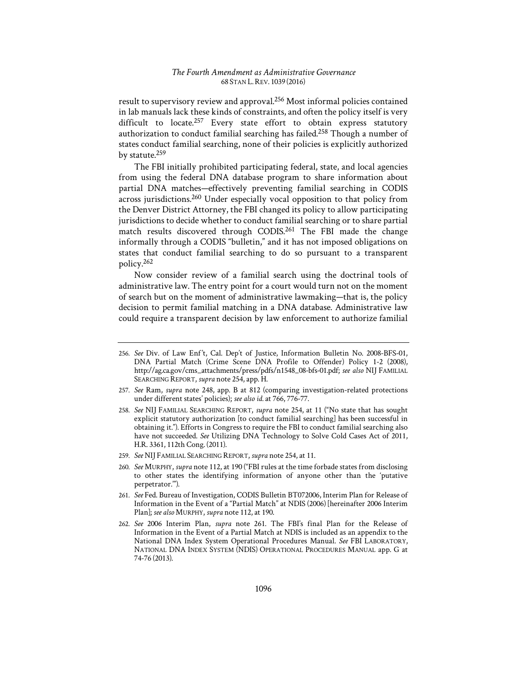result to supervisory review and approval.256 Most informal policies contained in lab manuals lack these kinds of constraints, and often the policy itself is very difficult to locate.<sup>257</sup> Every state effort to obtain express statutory authorization to conduct familial searching has failed.258 Though a number of states conduct familial searching, none of their policies is explicitly authorized by statute.<sup>259</sup>

The FBI initially prohibited participating federal, state, and local agencies from using the federal DNA database program to share information about partial DNA matches—effectively preventing familial searching in CODIS across jurisdictions.260 Under especially vocal opposition to that policy from the Denver District Attorney, the FBI changed its policy to allow participating jurisdictions to decide whether to conduct familial searching or to share partial match results discovered through CODIS.261 The FBI made the change informally through a CODIS "bulletin," and it has not imposed obligations on states that conduct familial searching to do so pursuant to a transparent policy.262

Now consider review of a familial search using the doctrinal tools of administrative law. The entry point for a court would turn not on the moment of search but on the moment of administrative lawmaking—that is, the policy decision to permit familial matching in a DNA database. Administrative law could require a transparent decision by law enforcement to authorize familial

- 260. *See* MURPHY, *supra* note 112, at 190 ("FBI rules at the time forbade states from disclosing to other states the identifying information of anyone other than the 'putative perpetrator.'").
- 261. *See* Fed. Bureau of Investigation, CODIS Bulletin BT072006, Interim Plan for Release of Information in the Event of a "Partial Match" at NDIS (2006) [hereinafter 2006 Interim Plan]; *see also* MURPHY, *supra* note 112, at 190.
- 262. *See* 2006 Interim Plan, *supra* note 261. The FBI's final Plan for the Release of Information in the Event of a Partial Match at NDIS is included as an appendix to the National DNA Index System Operational Procedures Manual. *See* FBI LABORATORY, NATIONAL DNA INDEX SYSTEM (NDIS) OPERATIONAL PROCEDURES MANUAL app. G at 74-76 (2013).

<sup>256.</sup> See Div. of Law Enf't, Cal. Dep't of Justice, Information Bulletin No. 2008-BFS-01, DNA Partial Match (Crime Scene DNA Profile to Offender) Policy 1-2 (2008), http://ag.ca.gov/cms\_attachments/press/pdfs/n1548\_08-bfs-01.pdf; *see also* NIJ FAMILIAL SEARCHING REPORT, *supra* note 254, app. H.

<sup>257.</sup> *See* Ram, *supra* note 248, app. B at 812 (comparing investigation-related protections under different states' policies); *see also id.* at 766, 776-77.

<sup>258.</sup> *See* NIJ FAMILIAL SEARCHING REPORT, *supra* note 254, at 11 ("No state that has sought explicit statutory authorization [to conduct familial searching] has been successful in obtaining it."). Efforts in Congress to require the FBI to conduct familial searching also have not succeeded. *See* Utilizing DNA Technology to Solve Cold Cases Act of 2011, H.R. 3361, 112th Cong. (2011).

<sup>259.</sup> *See* NIJ FAMILIAL SEARCHING REPORT, *supra* note 254, at 11.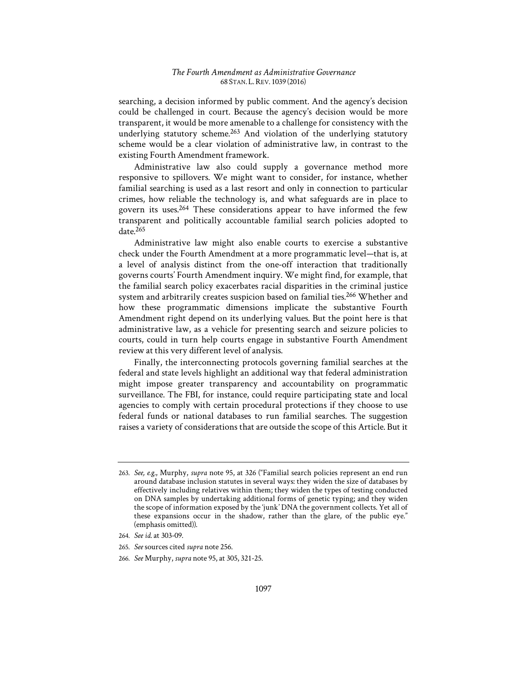searching, a decision informed by public comment. And the agency's decision could be challenged in court. Because the agency's decision would be more transparent, it would be more amenable to a challenge for consistency with the underlying statutory scheme.<sup>263</sup> And violation of the underlying statutory scheme would be a clear violation of administrative law, in contrast to the existing Fourth Amendment framework.

Administrative law also could supply a governance method more responsive to spillovers. We might want to consider, for instance, whether familial searching is used as a last resort and only in connection to particular crimes, how reliable the technology is, and what safeguards are in place to govern its uses.264 These considerations appear to have informed the few transparent and politically accountable familial search policies adopted to date.265

Administrative law might also enable courts to exercise a substantive check under the Fourth Amendment at a more programmatic level—that is, at a level of analysis distinct from the one-off interaction that traditionally governs courts' Fourth Amendment inquiry. We might find, for example, that the familial search policy exacerbates racial disparities in the criminal justice system and arbitrarily creates suspicion based on familial ties.<sup>266</sup> Whether and how these programmatic dimensions implicate the substantive Fourth Amendment right depend on its underlying values. But the point here is that administrative law, as a vehicle for presenting search and seizure policies to courts, could in turn help courts engage in substantive Fourth Amendment review at this very different level of analysis.

Finally, the interconnecting protocols governing familial searches at the federal and state levels highlight an additional way that federal administration might impose greater transparency and accountability on programmatic surveillance. The FBI, for instance, could require participating state and local agencies to comply with certain procedural protections if they choose to use federal funds or national databases to run familial searches. The suggestion raises a variety of considerations that are outside the scope of this Article. But it

<sup>263.</sup> *See, e.g.*, Murphy, *supra* note 95, at 326 ("Familial search policies represent an end run around database inclusion statutes in several ways: they widen the size of databases by effectively including relatives within them; they widen the types of testing conducted on DNA samples by undertaking additional forms of genetic typing; and they widen the scope of information exposed by the 'junk' DNA the government collects. Yet all of these expansions occur in the shadow, rather than the glare, of the public eye." (emphasis omitted)).

<sup>264.</sup> *See id.* at 303-09.

<sup>265.</sup> *See* sources cited *supra* note 256.

<sup>266.</sup> *See* Murphy, *supra* note 95, at 305, 321-25.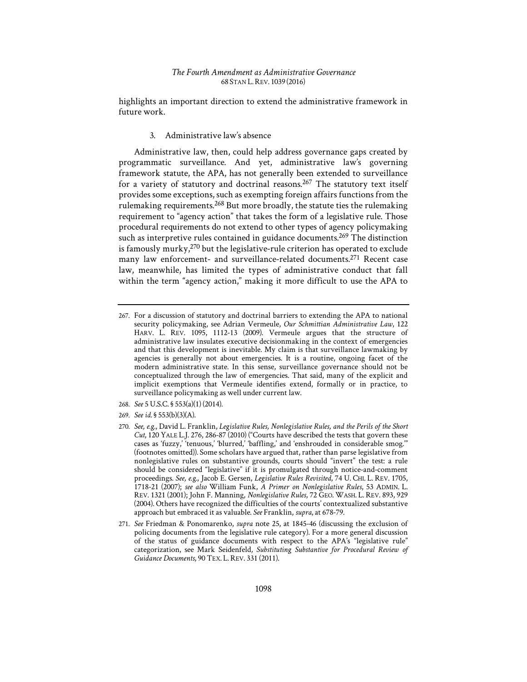highlights an important direction to extend the administrative framework in future work.

#### 3. Administrative law's absence

Administrative law, then, could help address governance gaps created by programmatic surveillance. And yet, administrative law's governing framework statute, the APA, has not generally been extended to surveillance for a variety of statutory and doctrinal reasons.<sup>267</sup> The statutory text itself provides some exceptions, such as exempting foreign affairs functions from the rulemaking requirements.<sup>268</sup> But more broadly, the statute ties the rulemaking requirement to "agency action" that takes the form of a legislative rule. Those procedural requirements do not extend to other types of agency policymaking such as interpretive rules contained in guidance documents.<sup>269</sup> The distinction is famously murky, $270$  but the legislative-rule criterion has operated to exclude many law enforcement- and surveillance-related documents.<sup>271</sup> Recent case law, meanwhile, has limited the types of administrative conduct that fall within the term "agency action," making it more difficult to use the APA to

- 268. *See* 5 U.S.C. § 553(a)(1) (2014).
- 269. *See id.* § 553(b)(3)(A).

<sup>267.</sup> For a discussion of statutory and doctrinal barriers to extending the APA to national security policymaking, see Adrian Vermeule, *Our Schmittian Administrative Law*, 122 HARV. L. REV. 1095, 1112-13 (2009). Vermeule argues that the structure of administrative law insulates executive decisionmaking in the context of emergencies and that this development is inevitable. My claim is that surveillance lawmaking by agencies is generally not about emergencies. It is a routine, ongoing facet of the modern administrative state. In this sense, surveillance governance should not be conceptualized through the law of emergencies. That said, many of the explicit and implicit exemptions that Vermeule identifies extend, formally or in practice, to surveillance policymaking as well under current law.

<sup>270.</sup> *See, e.g.*, David L. Franklin, *Legislative Rules, Nonlegislative Rules, and the Perils of the Short Cut*, 120 YALE L.J. 276, 286-87 (2010) ("Courts have described the tests that govern these cases as 'fuzzy,' 'tenuous,' 'blurred,' 'baffling,' and 'enshrouded in considerable smog.'" (footnotes omitted)). Some scholars have argued that, rather than parse legislative from nonlegislative rules on substantive grounds, courts should "invert" the test: a rule should be considered "legislative" if it is promulgated through notice-and-comment proceedings. *See, e.g.*, Jacob E. Gersen, *Legislative Rules Revisited*, 74 U. CHI. L. REV. 1705, 1718-21 (2007); *see also* William Funk, *A Primer on Nonlegislative Rules*, 53 ADMIN. L. REV. 1321 (2001); John F. Manning, *Nonlegislative Rules*, 72 GEO. WASH. L. REV. 893, 929 (2004). Others have recognized the difficulties of the courts' contextualized substantive approach but embraced it as valuable. *See* Franklin, *supra*, at 678-79.

<sup>271.</sup> *See* Friedman & Ponomarenko, *supra* note 25, at 1845-46 (discussing the exclusion of policing documents from the legislative rule category). For a more general discussion of the status of guidance documents with respect to the APA's "legislative rule" categorization, see Mark Seidenfeld*, Substituting Substantive for Procedural Review of Guidance Documents*, 90 TEX. L.REV. 331 (2011).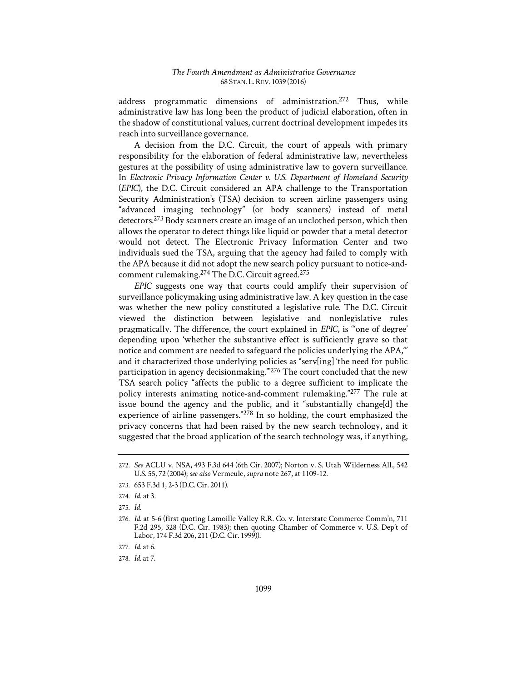address programmatic dimensions of administration.272 Thus, while administrative law has long been the product of judicial elaboration, often in the shadow of constitutional values, current doctrinal development impedes its reach into surveillance governance.

A decision from the D.C. Circuit, the court of appeals with primary responsibility for the elaboration of federal administrative law, nevertheless gestures at the possibility of using administrative law to govern surveillance. In *Electronic Privacy Information Center v. U.S. Department of Homeland Security* (*EPIC*), the D.C. Circuit considered an APA challenge to the Transportation Security Administration's (TSA) decision to screen airline passengers using "advanced imaging technology" (or body scanners) instead of metal detectors.273 Body scanners create an image of an unclothed person, which then allows the operator to detect things like liquid or powder that a metal detector would not detect. The Electronic Privacy Information Center and two individuals sued the TSA, arguing that the agency had failed to comply with the APA because it did not adopt the new search policy pursuant to notice-andcomment rulemaking.274 The D.C. Circuit agreed.275

*EPIC* suggests one way that courts could amplify their supervision of surveillance policymaking using administrative law. A key question in the case was whether the new policy constituted a legislative rule. The D.C. Circuit viewed the distinction between legislative and nonlegislative rules pragmatically. The difference, the court explained in *EPIC*, is "'one of degree' depending upon 'whether the substantive effect is sufficiently grave so that notice and comment are needed to safeguard the policies underlying the APA,'" and it characterized those underlying policies as "serving" the need for public participation in agency decisionmaking."<sup>276</sup> The court concluded that the new TSA search policy "affects the public to a degree sufficient to implicate the policy interests animating notice-and-comment rulemaking."277 The rule at issue bound the agency and the public, and it "substantially change[d] the experience of airline passengers."278 In so holding, the court emphasized the privacy concerns that had been raised by the new search technology, and it suggested that the broad application of the search technology was, if anything,

<sup>272.</sup> *See* ACLU v. NSA, 493 F.3d 644 (6th Cir. 2007); Norton v. S. Utah Wilderness All., 542 U.S. 55, 72 (2004); *see also* Vermeule, *supra* note 267, at 1109-12.

<sup>273. 653</sup> F.3d 1, 2-3 (D.C. Cir. 2011).

<sup>274.</sup> *Id.* at 3.

<sup>275.</sup> *Id.* 

<sup>276.</sup> *Id.* at 5-6 (first quoting Lamoille Valley R.R. Co. v. Interstate Commerce Comm'n, 711 F.2d 295, 328 (D.C. Cir. 1983); then quoting Chamber of Commerce v. U.S. Dep't of Labor, 174 F.3d 206, 211 (D.C. Cir. 1999)).

<sup>277.</sup> *Id.* at 6.

<sup>278.</sup> *Id.* at 7.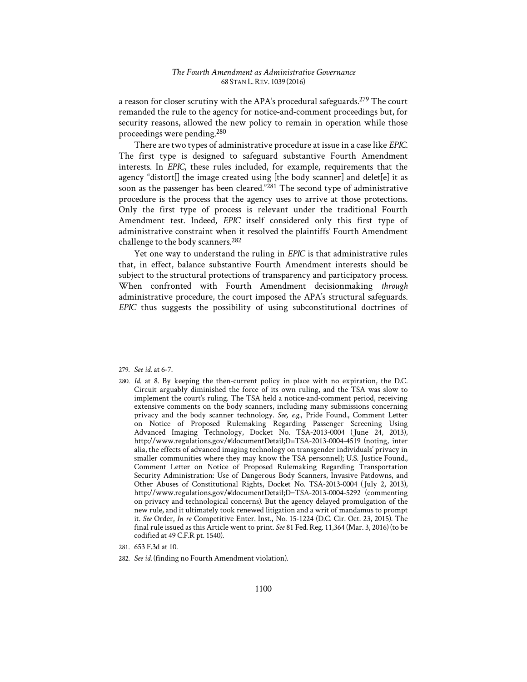a reason for closer scrutiny with the APA's procedural safeguards.<sup>279</sup> The court remanded the rule to the agency for notice-and-comment proceedings but, for security reasons, allowed the new policy to remain in operation while those proceedings were pending.280

There are two types of administrative procedure at issue in a case like *EPIC*. The first type is designed to safeguard substantive Fourth Amendment interests. In *EPIC*, these rules included, for example, requirements that the agency "distort. I the image created using [the body scanner] and deletel it as soon as the passenger has been cleared."281 The second type of administrative procedure is the process that the agency uses to arrive at those protections. Only the first type of process is relevant under the traditional Fourth Amendment test. Indeed, *EPIC* itself considered only this first type of administrative constraint when it resolved the plaintiffs' Fourth Amendment challenge to the body scanners.282

Yet one way to understand the ruling in *EPIC* is that administrative rules that, in effect, balance substantive Fourth Amendment interests should be subject to the structural protections of transparency and participatory process. When confronted with Fourth Amendment decisionmaking *through* administrative procedure, the court imposed the APA's structural safeguards. *EPIC* thus suggests the possibility of using subconstitutional doctrines of

281. 653 F.3d at 10.

<sup>279.</sup> *See id.* at 6-7.

<sup>280.</sup> *Id.* at 8. By keeping the then-current policy in place with no expiration, the D.C. Circuit arguably diminished the force of its own ruling, and the TSA was slow to implement the court's ruling. The TSA held a notice-and-comment period, receiving extensive comments on the body scanners, including many submissions concerning privacy and the body scanner technology. *See, e.g.*, Pride Found., Comment Letter on Notice of Proposed Rulemaking Regarding Passenger Screening Using Advanced Imaging Technology, Docket No. TSA-2013-0004 (June 24, 2013), http://www.regulations.gov/#!documentDetail;D=TSA-2013-0004-4519 (noting, inter alia, the effects of advanced imaging technology on transgender individuals' privacy in smaller communities where they may know the TSA personnel); U.S. Justice Found., Comment Letter on Notice of Proposed Rulemaking Regarding Transportation Security Administration: Use of Dangerous Body Scanners, Invasive Patdowns, and Other Abuses of Constitutional Rights, Docket No. TSA-2013-0004 (July 2, 2013), http://www.regulations.gov/#!documentDetail;D=TSA-2013-0004-5292 (commenting on privacy and technological concerns). But the agency delayed promulgation of the new rule, and it ultimately took renewed litigation and a writ of mandamus to prompt it. *See* Order, *In re* Competitive Enter. Inst., No. 15-1224 (D.C. Cir. Oct. 23, 2015). The final rule issued as this Article went to print. *See* 81 Fed. Reg. 11,364 (Mar. 3, 2016) (to be codified at 49 C.F.R pt. 1540).

<sup>282.</sup> *See id.* (finding no Fourth Amendment violation).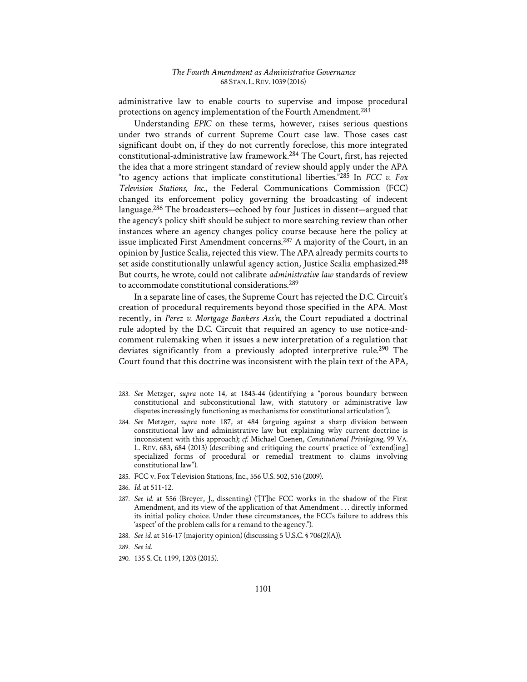administrative law to enable courts to supervise and impose procedural protections on agency implementation of the Fourth Amendment.283

Understanding *EPIC* on these terms, however, raises serious questions under two strands of current Supreme Court case law. Those cases cast significant doubt on, if they do not currently foreclose, this more integrated constitutional-administrative law framework.284 The Court, first, has rejected the idea that a more stringent standard of review should apply under the APA "to agency actions that implicate constitutional liberties."285 In *FCC v. Fox Television Stations, Inc.*, the Federal Communications Commission (FCC) changed its enforcement policy governing the broadcasting of indecent language.<sup>286</sup> The broadcasters—echoed by four Justices in dissent—argued that the agency's policy shift should be subject to more searching review than other instances where an agency changes policy course because here the policy at issue implicated First Amendment concerns.287 A majority of the Court, in an opinion by Justice Scalia, rejected this view. The APA already permits courts to set aside constitutionally unlawful agency action, Justice Scalia emphasized.<sup>288</sup> But courts, he wrote, could not calibrate *administrative law* standards of review to accommodate constitutional considerations.289

In a separate line of cases, the Supreme Court has rejected the D.C. Circuit's creation of procedural requirements beyond those specified in the APA. Most recently, in *Perez v. Mortgage Bankers Ass'n*, the Court repudiated a doctrinal rule adopted by the D.C. Circuit that required an agency to use notice-andcomment rulemaking when it issues a new interpretation of a regulation that deviates significantly from a previously adopted interpretive rule.<sup>290</sup> The Court found that this doctrine was inconsistent with the plain text of the APA,

- 285. FCC v. Fox Television Stations, Inc., 556 U.S. 502, 516 (2009).
- 286. *Id.* at 511-12.
- 287. *See id.* at 556 (Breyer, J., dissenting) ("[T]he FCC works in the shadow of the First Amendment, and its view of the application of that Amendment . . . directly informed its initial policy choice. Under these circumstances, the FCC's failure to address this 'aspect' of the problem calls for a remand to the agency.").
- 288. *See id.* at 516-17 (majority opinion) (discussing 5 U.S.C. § 706(2)(A)).
- 289. *See id.*
- 290. 135 S. Ct. 1199, 1203 (2015).

<sup>283.</sup> *See* Metzger, *supra* note 14, at 1843-44 (identifying a "porous boundary between constitutional and subconstitutional law, with statutory or administrative law disputes increasingly functioning as mechanisms for constitutional articulation").

<sup>284.</sup> *See* Metzger, *supra* note 187, at 484 (arguing against a sharp division between constitutional law and administrative law but explaining why current doctrine is inconsistent with this approach); *cf.* Michael Coenen, *Constitutional Privileging*, 99 VA. L. REV. 683, 684 (2013) (describing and critiquing the courts' practice of "extend[ing] specialized forms of procedural or remedial treatment to claims involving constitutional law").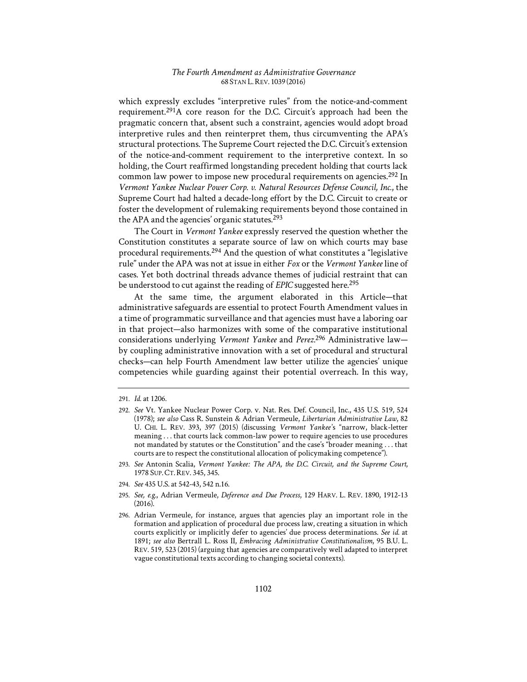which expressly excludes "interpretive rules" from the notice-and-comment requirement.291A core reason for the D.C. Circuit's approach had been the pragmatic concern that, absent such a constraint, agencies would adopt broad interpretive rules and then reinterpret them, thus circumventing the APA's structural protections. The Supreme Court rejected the D.C. Circuit's extension of the notice-and-comment requirement to the interpretive context. In so holding, the Court reaffirmed longstanding precedent holding that courts lack common law power to impose new procedural requirements on agencies.292 In *Vermont Yankee Nuclear Power Corp. v. Natural Resources Defense Council, Inc.*, the Supreme Court had halted a decade-long effort by the D.C. Circuit to create or foster the development of rulemaking requirements beyond those contained in the APA and the agencies' organic statutes.<sup>293</sup>

The Court in *Vermont Yankee* expressly reserved the question whether the Constitution constitutes a separate source of law on which courts may base procedural requirements.294 And the question of what constitutes a "legislative rule" under the APA was not at issue in either *Fox* or the *Vermont Yankee* line of cases. Yet both doctrinal threads advance themes of judicial restraint that can be understood to cut against the reading of *EPIC* suggested here.<sup>295</sup>

At the same time, the argument elaborated in this Article—that administrative safeguards are essential to protect Fourth Amendment values in a time of programmatic surveillance and that agencies must have a laboring oar in that project—also harmonizes with some of the comparative institutional considerations underlying *Vermont Yankee* and *Perez*. 296 Administrative law by coupling administrative innovation with a set of procedural and structural checks—can help Fourth Amendment law better utilize the agencies' unique competencies while guarding against their potential overreach. In this way,

- 293. See Antonin Scalia, *Vermont Yankee: The APA, the D.C. Circuit, and the Supreme Court*, 1978 SUP.CT.REV. 345, 345.
- 294. *See* 435 U.S. at 542-43, 542 n.16.
- 295. *See, e.g.*, Adrian Vermeule, *Deference and Due Process*, 129 HARV. L. REV. 1890, 1912-13 (2016).
- 296. Adrian Vermeule, for instance, argues that agencies play an important role in the formation and application of procedural due process law, creating a situation in which courts explicitly or implicitly defer to agencies' due process determinations. *See id.* at 1891; *see also* Bertrall L. Ross II, *Embracing Administrative Constitutionalism*, 95 B.U. L. REV. 519, 523 (2015) (arguing that agencies are comparatively well adapted to interpret vague constitutional texts according to changing societal contexts).

<sup>291.</sup> *Id.* at 1206.

<sup>292.</sup> *See* Vt. Yankee Nuclear Power Corp. v. Nat. Res. Def. Council, Inc., 435 U.S. 519, 524 (1978); *see also* Cass R. Sunstein & Adrian Vermeule, *Libertarian Administrative Law*, 82 U. CHI. L. REV. 393, 397 (2015) (discussing *Vermont Yankee's* "narrow, black-letter meaning . . . that courts lack common-law power to require agencies to use procedures not mandated by statutes or the Constitution" and the case's "broader meaning . . . that courts are to respect the constitutional allocation of policymaking competence").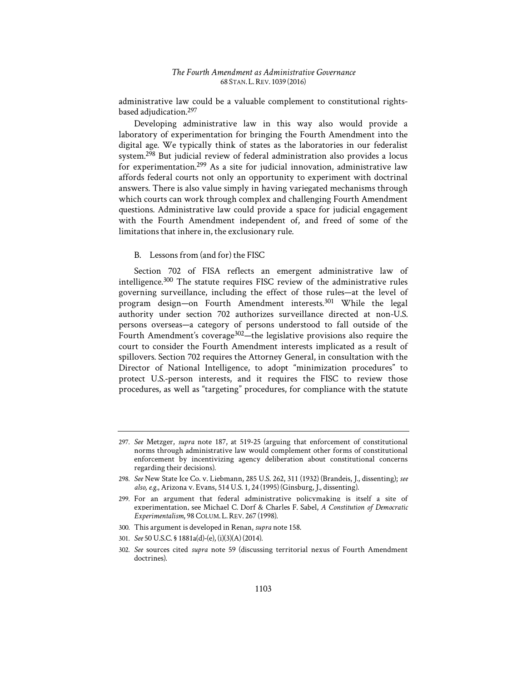administrative law could be a valuable complement to constitutional rightsbased adjudication.297

Developing administrative law in this way also would provide a laboratory of experimentation for bringing the Fourth Amendment into the digital age. We typically think of states as the laboratories in our federalist system.298 But judicial review of federal administration also provides a locus for experimentation.299 As a site for judicial innovation, administrative law affords federal courts not only an opportunity to experiment with doctrinal answers. There is also value simply in having variegated mechanisms through which courts can work through complex and challenging Fourth Amendment questions. Administrative law could provide a space for judicial engagement with the Fourth Amendment independent of, and freed of some of the limitations that inhere in, the exclusionary rule.

## B. Lessons from (and for) the FISC

Section 702 of FISA reflects an emergent administrative law of intelligence.300 The statute requires FISC review of the administrative rules governing surveillance, including the effect of those rules—at the level of program design—on Fourth Amendment interests.301 While the legal authority under section 702 authorizes surveillance directed at non-U.S. persons overseas—a category of persons understood to fall outside of the Fourth Amendment's coverage<sup>302</sup>—the legislative provisions also require the court to consider the Fourth Amendment interests implicated as a result of spillovers. Section 702 requires the Attorney General, in consultation with the Director of National Intelligence, to adopt "minimization procedures" to protect U.S.-person interests, and it requires the FISC to review those procedures, as well as "targeting" procedures, for compliance with the statute

- 300. This argument is developed in Renan, *supra* note 158.
- 301. *See* 50 U.S.C. § 1881a(d)-(e), (i)(3)(A) (2014).

<sup>297.</sup> *See* Metzger, *supra* note 187, at 519-25 (arguing that enforcement of constitutional norms through administrative law would complement other forms of constitutional enforcement by incentivizing agency deliberation about constitutional concerns regarding their decisions).

<sup>298.</sup> *See* New State Ice Co. v. Liebmann, 285 U.S. 262, 311 (1932) (Brandeis, J., dissenting); *see also, e.g.*, Arizona v. Evans, 514 U.S. 1, 24 (1995) (Ginsburg, J., dissenting).

<sup>299.</sup> For an argument that federal administrative policymaking is itself a site of experimentation, see Michael C. Dorf & Charles F. Sabel, *A Constitution of Democratic Experimentalism*, 98 COLUM. L.REV. 267 (1998).

<sup>302.</sup> *See* sources cited *supra* note 59 (discussing territorial nexus of Fourth Amendment doctrines).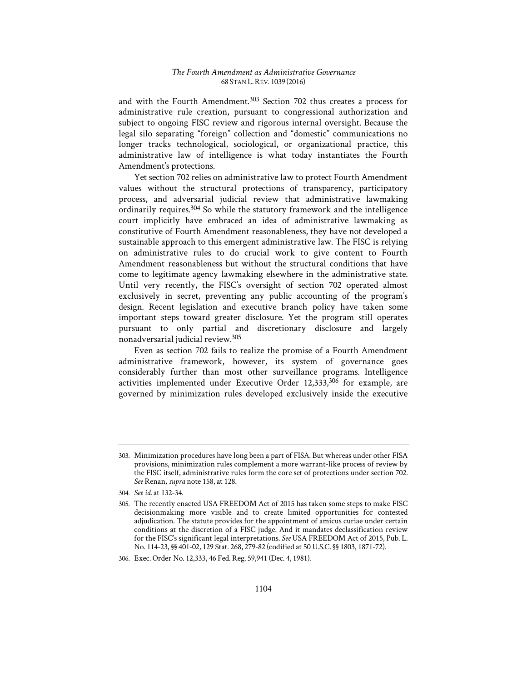and with the Fourth Amendment.<sup>303</sup> Section 702 thus creates a process for administrative rule creation, pursuant to congressional authorization and subject to ongoing FISC review and rigorous internal oversight. Because the legal silo separating "foreign" collection and "domestic" communications no longer tracks technological, sociological, or organizational practice, this administrative law of intelligence is what today instantiates the Fourth Amendment's protections.

Yet section 702 relies on administrative law to protect Fourth Amendment values without the structural protections of transparency, participatory process, and adversarial judicial review that administrative lawmaking ordinarily requires.304 So while the statutory framework and the intelligence court implicitly have embraced an idea of administrative lawmaking as constitutive of Fourth Amendment reasonableness, they have not developed a sustainable approach to this emergent administrative law. The FISC is relying on administrative rules to do crucial work to give content to Fourth Amendment reasonableness but without the structural conditions that have come to legitimate agency lawmaking elsewhere in the administrative state. Until very recently, the FISC's oversight of section 702 operated almost exclusively in secret, preventing any public accounting of the program's design. Recent legislation and executive branch policy have taken some important steps toward greater disclosure. Yet the program still operates pursuant to only partial and discretionary disclosure and largely nonadversarial judicial review.305

Even as section 702 fails to realize the promise of a Fourth Amendment administrative framework, however, its system of governance goes considerably further than most other surveillance programs. Intelligence activities implemented under Executive Order  $12,333,306$  for example, are governed by minimization rules developed exclusively inside the executive

306. Exec. Order No. 12,333, 46 Fed. Reg. 59,941 (Dec. 4, 1981).

<sup>303.</sup> Minimization procedures have long been a part of FISA. But whereas under other FISA provisions, minimization rules complement a more warrant-like process of review by the FISC itself, administrative rules form the core set of protections under section 702. *See* Renan, *supra* note 158, at 128.

<sup>304.</sup> *See id.* at 132-34.

<sup>305.</sup> The recently enacted USA FREEDOM Act of 2015 has taken some steps to make FISC decisionmaking more visible and to create limited opportunities for contested adjudication. The statute provides for the appointment of amicus curiae under certain conditions at the discretion of a FISC judge. And it mandates declassification review for the FISC's significant legal interpretations. *See* USA FREEDOM Act of 2015, Pub. L. No. 114-23, §§ 401-02, 129 Stat. 268, 279-82 (codified at 50 U.S.C. §§ 1803, 1871-72).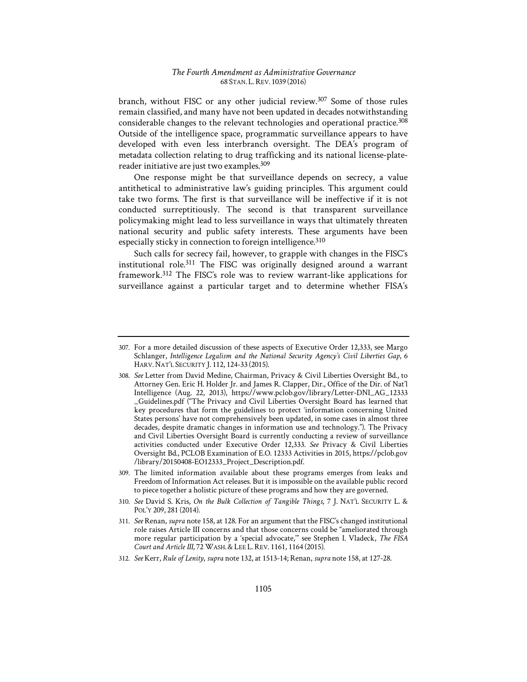branch, without FISC or any other judicial review.307 Some of those rules remain classified, and many have not been updated in decades notwithstanding considerable changes to the relevant technologies and operational practice.<sup>308</sup> Outside of the intelligence space, programmatic surveillance appears to have developed with even less interbranch oversight. The DEA's program of metadata collection relating to drug trafficking and its national license-platereader initiative are just two examples.<sup>309</sup>

One response might be that surveillance depends on secrecy, a value antithetical to administrative law's guiding principles. This argument could take two forms. The first is that surveillance will be ineffective if it is not conducted surreptitiously. The second is that transparent surveillance policymaking might lead to less surveillance in ways that ultimately threaten national security and public safety interests. These arguments have been especially sticky in connection to foreign intelligence.<sup>310</sup>

Such calls for secrecy fail, however, to grapple with changes in the FISC's institutional role.311 The FISC was originally designed around a warrant framework.312 The FISC's role was to review warrant-like applications for surveillance against a particular target and to determine whether FISA's

- 309. The limited information available about these programs emerges from leaks and Freedom of Information Act releases. But it is impossible on the available public record to piece together a holistic picture of these programs and how they are governed.
- 310. *See* David S. Kris, *On the Bulk Collection of Tangible Things*, 7 J. NAT'L SECURITY L. & POL'Y 209, 281 (2014).
- 311. *See* Renan, *supra* note 158, at 128. For an argument that the FISC's changed institutional role raises Article III concerns and that those concerns could be "ameliorated through more regular participation by a 'special advocate,'" see Stephen I. Vladeck, *The FISA Court and Article III*, 72 WASH.&LEE L.REV. 1161, 1164 (2015).
- 312. *See* Kerr, *Rule of Lenity*, *supra* note 132, at 1513-14; Renan, *supra* note 158, at 127-28.

<sup>307.</sup> For a more detailed discussion of these aspects of Executive Order 12,333, see Margo Schlanger, *Intelligence Legalism and the National Security Agency's Civil Liberties Gap*, 6 HARV. NAT'L SECURITY J. 112, 124-33 (2015).

<sup>308.</sup> *See* Letter from David Medine, Chairman, Privacy & Civil Liberties Oversight Bd., to Attorney Gen. Eric H. Holder Jr. and James R. Clapper, Dir., Office of the Dir. of Nat'l Intelligence (Aug. 22, 2013), https://www.pclob.gov/library/Letter-DNI\_AG\_12333 \_Guidelines.pdf ("The Privacy and Civil Liberties Oversight Board has learned that key procedures that form the guidelines to protect 'information concerning United States persons' have not comprehensively been updated, in some cases in almost three decades, despite dramatic changes in information use and technology."). The Privacy and Civil Liberties Oversight Board is currently conducting a review of surveillance activities conducted under Executive Order 12,333. *See* Privacy & Civil Liberties Oversight Bd., PCLOB Examination of E.O. 12333 Activities in 2015, https://pclob.gov /library/20150408-EO12333\_Project\_Description.pdf.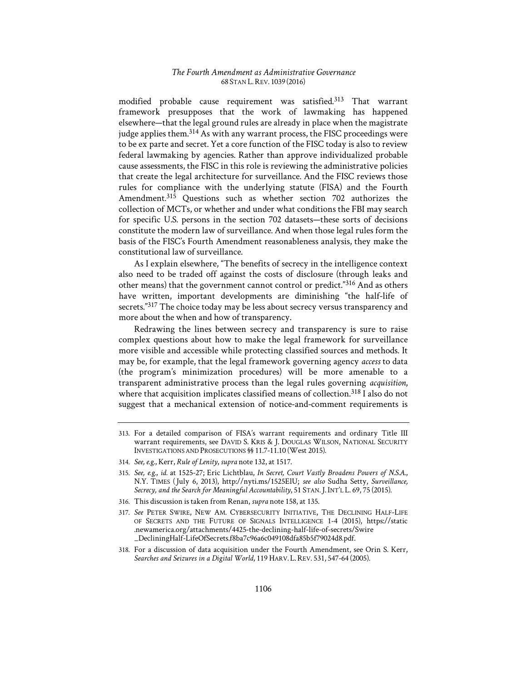modified probable cause requirement was satisfied.313 That warrant framework presupposes that the work of lawmaking has happened elsewhere—that the legal ground rules are already in place when the magistrate judge applies them.<sup>314</sup> As with any warrant process, the FISC proceedings were to be ex parte and secret. Yet a core function of the FISC today is also to review federal lawmaking by agencies. Rather than approve individualized probable cause assessments, the FISC in this role is reviewing the administrative policies that create the legal architecture for surveillance. And the FISC reviews those rules for compliance with the underlying statute (FISA) and the Fourth Amendment.<sup>315</sup> Ouestions such as whether section 702 authorizes the collection of MCTs, or whether and under what conditions the FBI may search for specific U.S. persons in the section 702 datasets—these sorts of decisions constitute the modern law of surveillance. And when those legal rules form the basis of the FISC's Fourth Amendment reasonableness analysis, they make the constitutional law of surveillance.

As I explain elsewhere, "The benefits of secrecy in the intelligence context also need to be traded off against the costs of disclosure (through leaks and other means) that the government cannot control or predict."316 And as others have written, important developments are diminishing "the half-life of secrets."317 The choice today may be less about secrecy versus transparency and more about the when and how of transparency.

Redrawing the lines between secrecy and transparency is sure to raise complex questions about how to make the legal framework for surveillance more visible and accessible while protecting classified sources and methods. It may be, for example, that the legal framework governing agency *access* to data (the program's minimization procedures) will be more amenable to a transparent administrative process than the legal rules governing *acquisition*, where that acquisition implicates classified means of collection.<sup>318</sup> I also do not suggest that a mechanical extension of notice-and-comment requirements is

- 316. This discussion is taken from Renan, *supra* note 158, at 135.
- 317. *See* PETER SWIRE, NEW AM. CYBERSECURITY INITIATIVE, THE DECLINING HALF-LIFE OF SECRETS AND THE FUTURE OF SIGNALS INTELLIGENCE 1-4 (2015), https://static .newamerica.org/attachments/4425-the-declining-half-life-of-secrets/Swire \_DecliningHalf-LifeOfSecrets.f8ba7c96a6c049108dfa85b5f79024d8.pdf.
- 318. For a discussion of data acquisition under the Fourth Amendment, see Orin S. Kerr, *Searches and Seizures in a Digital World*, 119 HARV. L.REV. 531, 547-64 (2005).

<sup>313.</sup> For a detailed comparison of FISA's warrant requirements and ordinary Title III warrant requirements, see DAVID S. KRIS & J. DOUGLAS WILSON, NATIONAL SECURITY INVESTIGATIONS AND PROSECUTIONS §§ 11.7-11.10 (West 2015).

<sup>314.</sup> *See, e.g.*, Kerr, *Rule of Lenity*, *supra* note 132, at 1517.

<sup>315.</sup> *See, e.g.*, *id.* at 1525-27; Eric Lichtblau, *In Secret, Court Vastly Broadens Powers of N.S.A.*, N.Y. TIMES (1July 6, 2013), http://nyti.ms/1525ElU; *see also* Sudha Setty, *Surveillance, Secrecy, and the Search for Meaningful Accountability*, 51 STAN.J. INT'L L. 69, 75 (2015).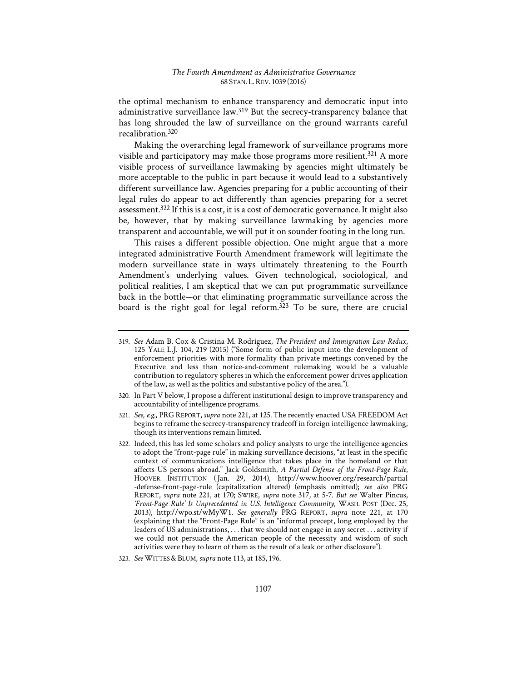the optimal mechanism to enhance transparency and democratic input into administrative surveillance law.<sup>319</sup> But the secrecy-transparency balance that has long shrouded the law of surveillance on the ground warrants careful recalibration.320

Making the overarching legal framework of surveillance programs more visible and participatory may make those programs more resilient.<sup>321</sup> A more visible process of surveillance lawmaking by agencies might ultimately be more acceptable to the public in part because it would lead to a substantively different surveillance law. Agencies preparing for a public accounting of their legal rules do appear to act differently than agencies preparing for a secret assessment.322 If this is a cost, it is a cost of democratic governance. It might also be, however, that by making surveillance lawmaking by agencies more transparent and accountable, we will put it on sounder footing in the long run.

This raises a different possible objection. One might argue that a more integrated administrative Fourth Amendment framework will legitimate the modern surveillance state in ways ultimately threatening to the Fourth Amendment's underlying values. Given technological, sociological, and political realities, I am skeptical that we can put programmatic surveillance back in the bottle—or that eliminating programmatic surveillance across the board is the right goal for legal reform.323 To be sure, there are crucial

- 321. *See, e.g.*, PRG REPORT, *supra* note 221, at 125. The recently enacted USA FREEDOM Act begins to reframe the secrecy-transparency tradeoff in foreign intelligence lawmaking, though its interventions remain limited.
- 322. Indeed, this has led some scholars and policy analysts to urge the intelligence agencies to adopt the "front-page rule" in making surveillance decisions, "at least in the specific context of communications intelligence that takes place in the homeland or that affects US persons abroad." Jack Goldsmith, *A Partial Defense of the Front-Page Rule*, HOOVER INSTITUTION (Jan. 29, 2014), http://www.hoover.org/research/partial -defense-front-page-rule (capitalization altered) (emphasis omitted); *see also* PRG REPORT, *supra* note 221, at 170; SWIRE, *supra* note 317, at 5-7. *But see* Walter Pincus, *'Front-Page Rule' Is Unprecedented in U.S. Intelligence Community*, WASH. POST (Dec. 25, 2013), http://wpo.st/wMyW1. *See generally* PRG REPORT, *supra* note 221, at 170 (explaining that the "Front-Page Rule" is an "informal precept, long employed by the leaders of US administrations, . . . that we should not engage in any secret . . . activity if we could not persuade the American people of the necessity and wisdom of such activities were they to learn of them as the result of a leak or other disclosure").

<sup>319.</sup> *See* Adam B. Cox & Cristina M. Rodríguez, *The President and Immigration Law Redux*, 125 YALE L.J. 104, 219 (2015) ("Some form of public input into the development of enforcement priorities with more formality than private meetings convened by the Executive and less than notice-and-comment rulemaking would be a valuable contribution to regulatory spheres in which the enforcement power drives application of the law, as well as the politics and substantive policy of the area.").

<sup>320.</sup> In Part V below, I propose a different institutional design to improve transparency and accountability of intelligence programs.

<sup>323.</sup> See WITTES & BLUM, *supra* note 113, at 185, 196.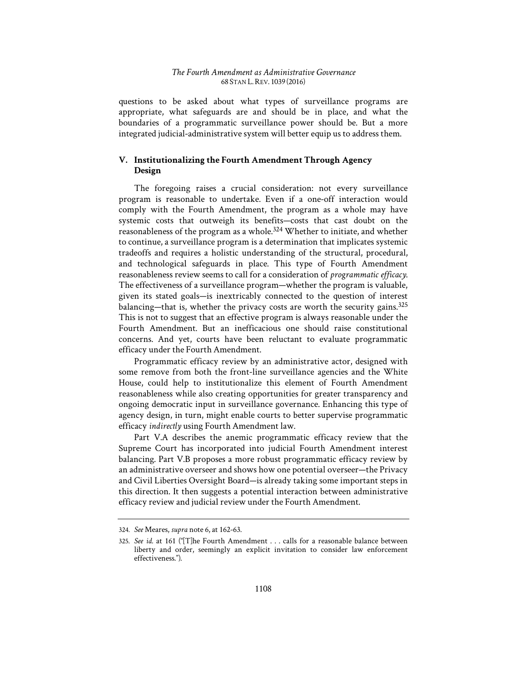questions to be asked about what types of surveillance programs are appropriate, what safeguards are and should be in place, and what the boundaries of a programmatic surveillance power should be. But a more integrated judicial-administrative system will better equip us to address them.

# **V. Institutionalizing the Fourth Amendment Through Agency Design**

The foregoing raises a crucial consideration: not every surveillance program is reasonable to undertake. Even if a one-off interaction would comply with the Fourth Amendment, the program as a whole may have systemic costs that outweigh its benefits—costs that cast doubt on the reasonableness of the program as a whole.324 Whether to initiate, and whether to continue, a surveillance program is a determination that implicates systemic tradeoffs and requires a holistic understanding of the structural, procedural, and technological safeguards in place. This type of Fourth Amendment reasonableness review seems to call for a consideration of *programmatic efficacy*. The effectiveness of a surveillance program—whether the program is valuable, given its stated goals—is inextricably connected to the question of interest balancing—that is, whether the privacy costs are worth the security gains. $325$ This is not to suggest that an effective program is always reasonable under the Fourth Amendment. But an inefficacious one should raise constitutional concerns. And yet, courts have been reluctant to evaluate programmatic efficacy under the Fourth Amendment.

Programmatic efficacy review by an administrative actor, designed with some remove from both the front-line surveillance agencies and the White House, could help to institutionalize this element of Fourth Amendment reasonableness while also creating opportunities for greater transparency and ongoing democratic input in surveillance governance. Enhancing this type of agency design, in turn, might enable courts to better supervise programmatic efficacy *indirectly* using Fourth Amendment law.

Part V.A describes the anemic programmatic efficacy review that the Supreme Court has incorporated into judicial Fourth Amendment interest balancing. Part V.B proposes a more robust programmatic efficacy review by an administrative overseer and shows how one potential overseer—the Privacy and Civil Liberties Oversight Board—is already taking some important steps in this direction. It then suggests a potential interaction between administrative efficacy review and judicial review under the Fourth Amendment.

<sup>324.</sup> *See* Meares, *supra* note 6, at 162-63.

<sup>325.</sup> *See id.* at 161 ("[T]he Fourth Amendment . . . calls for a reasonable balance between liberty and order, seemingly an explicit invitation to consider law enforcement effectiveness.").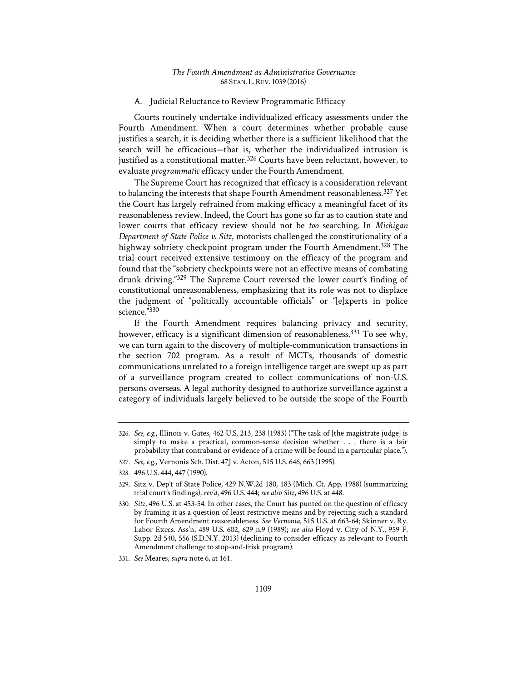## A. Judicial Reluctance to Review Programmatic Efficacy

Courts routinely undertake individualized efficacy assessments under the Fourth Amendment. When a court determines whether probable cause justifies a search, it is deciding whether there is a sufficient likelihood that the search will be efficacious—that is, whether the individualized intrusion is justified as a constitutional matter.<sup>326</sup> Courts have been reluctant, however, to evaluate *programmatic* efficacy under the Fourth Amendment.

The Supreme Court has recognized that efficacy is a consideration relevant to balancing the interests that shape Fourth Amendment reasonableness.<sup>327</sup> Yet the Court has largely refrained from making efficacy a meaningful facet of its reasonableness review. Indeed, the Court has gone so far as to caution state and lower courts that efficacy review should not be *too* searching. In *Michigan Department of State Police v. Sitz*, motorists challenged the constitutionality of a highway sobriety checkpoint program under the Fourth Amendment.<sup>328</sup> The trial court received extensive testimony on the efficacy of the program and found that the "sobriety checkpoints were not an effective means of combating drunk driving."329 The Supreme Court reversed the lower court's finding of constitutional unreasonableness, emphasizing that its role was not to displace the judgment of "politically accountable officials" or "[e]xperts in police science."330

If the Fourth Amendment requires balancing privacy and security, however, efficacy is a significant dimension of reasonableness.<sup>331</sup> To see why, we can turn again to the discovery of multiple-communication transactions in the section 702 program. As a result of MCTs, thousands of domestic communications unrelated to a foreign intelligence target are swept up as part of a surveillance program created to collect communications of non-U.S. persons overseas. A legal authority designed to authorize surveillance against a category of individuals largely believed to be outside the scope of the Fourth

<sup>326.</sup> *See, e.g.*, Illinois v. Gates, 462 U.S. 213, 238 (1983) ("The task of [the magistrate judge] is simply to make a practical, common-sense decision whether . . . there is a fair probability that contraband or evidence of a crime will be found in a particular place.").

<sup>327.</sup> *See, e.g.*, Vernonia Sch. Dist. 47J v. Acton, 515 U.S. 646, 663 (1995).

<sup>328. 496</sup> U.S. 444, 447 (1990).

<sup>329.</sup> Sitz v. Dep't of State Police, 429 N.W.2d 180, 183 (Mich. Ct. App. 1988) (summarizing trial court's findings), *rev'd*, 496 U.S. 444; *see also Sitz*, 496 U.S. at 448.

<sup>330.</sup> *Sitz*, 496 U.S. at 453-54. In other cases, the Court has punted on the question of efficacy by framing it as a question of least restrictive means and by rejecting such a standard for Fourth Amendment reasonableness. *See Vernonia*, 515 U.S. at 663-64; Skinner v. Ry. Labor Execs. Ass'n, 489 U.S. 602, 629 n.9 (1989); *see also* Floyd v. City of N.Y., 959 F. Supp. 2d 540, 556 (S.D.N.Y. 2013) (declining to consider efficacy as relevant to Fourth Amendment challenge to stop-and-frisk program).

<sup>331.</sup> *See* Meares, *supra* note 6, at 161.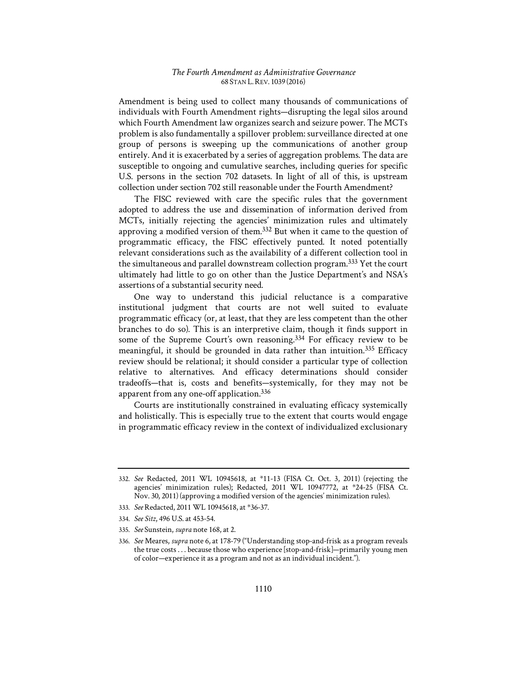Amendment is being used to collect many thousands of communications of individuals with Fourth Amendment rights—disrupting the legal silos around which Fourth Amendment law organizes search and seizure power. The MCTs problem is also fundamentally a spillover problem: surveillance directed at one group of persons is sweeping up the communications of another group entirely. And it is exacerbated by a series of aggregation problems. The data are susceptible to ongoing and cumulative searches, including queries for specific U.S. persons in the section 702 datasets. In light of all of this, is upstream collection under section 702 still reasonable under the Fourth Amendment?

The FISC reviewed with care the specific rules that the government adopted to address the use and dissemination of information derived from MCTs, initially rejecting the agencies' minimization rules and ultimately approving a modified version of them.332 But when it came to the question of programmatic efficacy, the FISC effectively punted. It noted potentially relevant considerations such as the availability of a different collection tool in the simultaneous and parallel downstream collection program.333 Yet the court ultimately had little to go on other than the Justice Department's and NSA's assertions of a substantial security need.

One way to understand this judicial reluctance is a comparative institutional judgment that courts are not well suited to evaluate programmatic efficacy (or, at least, that they are less competent than the other branches to do so). This is an interpretive claim, though it finds support in some of the Supreme Court's own reasoning.<sup>334</sup> For efficacy review to be meaningful, it should be grounded in data rather than intuition.<sup>335</sup> Efficacy review should be relational; it should consider a particular type of collection relative to alternatives. And efficacy determinations should consider tradeoffs—that is, costs and benefits—systemically, for they may not be apparent from any one-off application.336

Courts are institutionally constrained in evaluating efficacy systemically and holistically. This is especially true to the extent that courts would engage in programmatic efficacy review in the context of individualized exclusionary

335. *See* Sunstein, *supra* note 168, at 2.

<sup>332.</sup> *See* Redacted, 2011 WL 10945618, at \*11-13 (FISA Ct. Oct. 3, 2011) (rejecting the agencies' minimization rules); Redacted, 2011 WL 10947772, at \*24-25 (FISA Ct. Nov. 30, 2011) (approving a modified version of the agencies' minimization rules).

<sup>333.</sup> *See* Redacted, 2011 WL 10945618, at \*36-37.

<sup>334.</sup> *See Sitz*, 496 U.S. at 453-54.

<sup>336.</sup> *See* Meares, *supra* note 6, at 178-79 ("Understanding stop-and-frisk as a program reveals the true costs . . . because those who experience [stop-and-frisk]—primarily young men of color—experience it as a program and not as an individual incident.").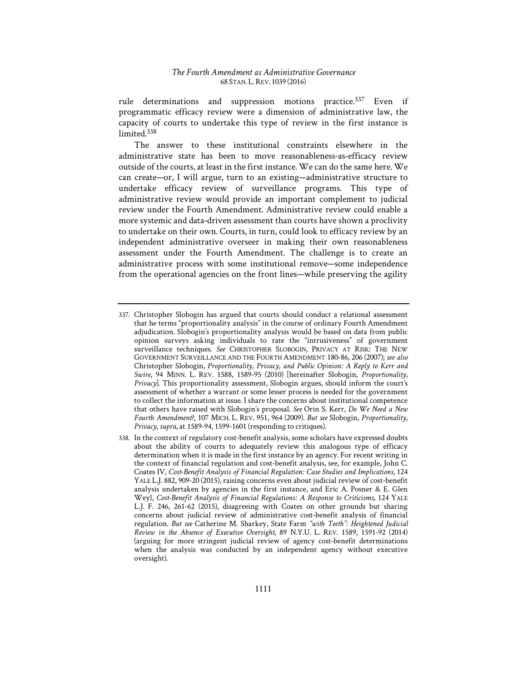rule determinations and suppression motions practice.<sup>337</sup> Even if programmatic efficacy review were a dimension of administrative law, the capacity of courts to undertake this type of review in the first instance is limited.338

The answer to these institutional constraints elsewhere in the administrative state has been to move reasonableness-as-efficacy review outside of the courts, at least in the first instance. We can do the same here. We can create—or, I will argue, turn to an existing—administrative structure to undertake efficacy review of surveillance programs. This type of administrative review would provide an important complement to judicial review under the Fourth Amendment. Administrative review could enable a more systemic and data-driven assessment than courts have shown a proclivity to undertake on their own. Courts, in turn, could look to efficacy review by an independent administrative overseer in making their own reasonableness assessment under the Fourth Amendment. The challenge is to create an administrative process with some institutional remove—some independence from the operational agencies on the front lines—while preserving the agility

<sup>337.</sup> Christopher Slobogin has argued that courts should conduct a relational assessment that he terms "proportionality analysis" in the course of ordinary Fourth Amendment adjudication. Slobogin's proportionality analysis would be based on data from public opinion surveys asking individuals to rate the "intrusiveness" of government surveillance techniques. *See* CHRISTOPHER SLOBOGIN, PRIVACY AT RISK: THE NEW GOVERNMENT SURVEILLANCE AND THE FOURTH AMENDMENT 180-86, 206 (2007); *see also*  Christopher Slobogin, *Proportionality*, *Privacy*, and Public Opinion: A Reply to Kerr and *Swire*, 94 MINN. L. REV. 1588, 1589-95 (2010) [hereinafter Slobogin, *Proportionality, Privacy*]. This proportionality assessment, Slobogin argues, should inform the court's assessment of whether a warrant or some lesser process is needed for the government to collect the information at issue. I share the concerns about institutional competence that others have raised with Slobogin's proposal. *See* Orin S. Kerr, *Do We Need a New Fourth Amendment?*, 107 MICH. L. REV. 951, 964 (2009). *But see* Slobogin, *Proportionality, Privacy*, *supra*, at 1589-94, 1599-1601 (responding to critiques).

<sup>338.</sup> In the context of regulatory cost-benefit analysis, some scholars have expressed doubts about the ability of courts to adequately review this analogous type of efficacy determination when it is made in the first instance by an agency. For recent writing in the context of financial regulation and cost-benefit analysis, see, for example, John C. Coates IV, Cost-Benefit Analysis of Financial Regulation: Case Studies and Implications, 124 YALE L.J. 882, 909-20 (2015), raising concerns even about judicial review of cost-benefit analysis undertaken by agencies in the first instance, and Eric A. Posner & E. Glen Weyl, *Cost-Benefit Analysis of Financial Regulations: A Response to Criticisms*, 124 YALE L.J. F. 246, 261-62 (2015), disagreeing with Coates on other grounds but sharing concerns about judicial review of administrative cost-benefit analysis of financial regulation. *But see* Catherine M. Sharkey, State Farm "with Teeth": Heightened Judicial *Review in the Absence of Executive Oversight*, 89 N.Y.U. L. REV. 1589, 1591-92 (2014) (arguing for more stringent judicial review of agency cost-benefit determinations when the analysis was conducted by an independent agency without executive oversight).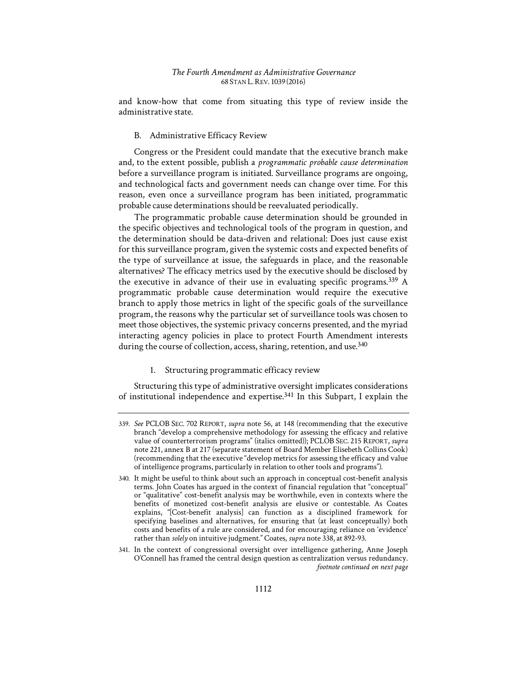and know-how that come from situating this type of review inside the administrative state.

# B. Administrative Efficacy Review

Congress or the President could mandate that the executive branch make and, to the extent possible, publish a *programmatic probable cause determination* before a surveillance program is initiated. Surveillance programs are ongoing, and technological facts and government needs can change over time. For this reason, even once a surveillance program has been initiated, programmatic probable cause determinations should be reevaluated periodically.

The programmatic probable cause determination should be grounded in the specific objectives and technological tools of the program in question, and the determination should be data-driven and relational: Does just cause exist for this surveillance program, given the systemic costs and expected benefits of the type of surveillance at issue, the safeguards in place, and the reasonable alternatives? The efficacy metrics used by the executive should be disclosed by the executive in advance of their use in evaluating specific programs.339 A programmatic probable cause determination would require the executive branch to apply those metrics in light of the specific goals of the surveillance program, the reasons why the particular set of surveillance tools was chosen to meet those objectives, the systemic privacy concerns presented, and the myriad interacting agency policies in place to protect Fourth Amendment interests during the course of collection, access, sharing, retention, and use.<sup>340</sup>

# 1. Structuring programmatic efficacy review

Structuring this type of administrative oversight implicates considerations of institutional independence and expertise.<sup>341</sup> In this Subpart, I explain the

<sup>339.</sup> *See* PCLOB SEC. 702 REPORT, *supra* note 56, at 148 (recommending that the executive branch "develop a comprehensive methodology for assessing the efficacy and relative value of counterterrorism programs" (italics omitted)); PCLOB SEC. 215 REPORT, *supra*  note 221, annex B at 217 (separate statement of Board Member Elisebeth Collins Cook) (recommending that the executive "develop metrics for assessing the efficacy and value of intelligence programs, particularly in relation to other tools and programs").

<sup>340.</sup> It might be useful to think about such an approach in conceptual cost-benefit analysis terms. John Coates has argued in the context of financial regulation that "conceptual" or "qualitative" cost-benefit analysis may be worthwhile, even in contexts where the benefits of monetized cost-benefit analysis are elusive or contestable. As Coates explains, "[Cost-benefit analysis] can function as a disciplined framework for specifying baselines and alternatives, for ensuring that (at least conceptually) both costs and benefits of a rule are considered, and for encouraging reliance on 'evidence' rather than *solely* on intuitive judgment." Coates, *supra* note 338, at 892-93.

<sup>341.</sup> In the context of congressional oversight over intelligence gathering, Anne Joseph O'Connell has framed the central design question as centralization versus redundancy. *footnote continued on next page*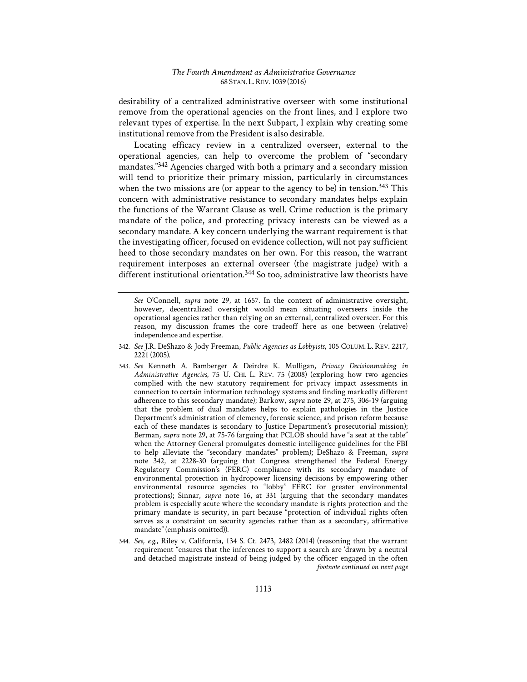desirability of a centralized administrative overseer with some institutional remove from the operational agencies on the front lines, and I explore two relevant types of expertise. In the next Subpart, I explain why creating some institutional remove from the President is also desirable.

Locating efficacy review in a centralized overseer, external to the operational agencies, can help to overcome the problem of "secondary mandates."342 Agencies charged with both a primary and a secondary mission will tend to prioritize their primary mission, particularly in circumstances when the two missions are (or appear to the agency to be) in tension.<sup>343</sup> This concern with administrative resistance to secondary mandates helps explain the functions of the Warrant Clause as well. Crime reduction is the primary mandate of the police, and protecting privacy interests can be viewed as a secondary mandate. A key concern underlying the warrant requirement is that the investigating officer, focused on evidence collection, will not pay sufficient heed to those secondary mandates on her own. For this reason, the warrant requirement interposes an external overseer (the magistrate judge) with a different institutional orientation.<sup>344</sup> So too, administrative law theorists have

- 342. *See* J.R. DeShazo & Jody Freeman, *Public Agencies as Lobbyists*, 105 COLUM. L. REV. 2217, 2221 (2005).
- 343. *See* Kenneth A. Bamberger & Deirdre K. Mulligan, *Privacy Decisionmaking in Administrative Agencies*, 75 U. CHI. L. REV. 75 (2008) (exploring how two agencies complied with the new statutory requirement for privacy impact assessments in connection to certain information technology systems and finding markedly different adherence to this secondary mandate); Barkow, *supra* note 29, at 275, 306-19 (arguing that the problem of dual mandates helps to explain pathologies in the Justice Department's administration of clemency, forensic science, and prison reform because each of these mandates is secondary to Justice Department's prosecutorial mission); Berman, *supra* note 29, at 75-76 (arguing that PCLOB should have "a seat at the table" when the Attorney General promulgates domestic intelligence guidelines for the FBI to help alleviate the "secondary mandates" problem); DeShazo & Freeman, *supra* note 342, at 2228-30 (arguing that Congress strengthened the Federal Energy Regulatory Commission's (FERC) compliance with its secondary mandate of environmental protection in hydropower licensing decisions by empowering other environmental resource agencies to "lobby" FERC for greater environmental protections); Sinnar, *supra* note 16, at 331 (arguing that the secondary mandates problem is especially acute where the secondary mandate is rights protection and the primary mandate is security, in part because "protection of individual rights often serves as a constraint on security agencies rather than as a secondary, affirmative mandate" (emphasis omitted)).
- 344. *See, e.g.*, Riley v. California, 134 S. Ct. 2473, 2482 (2014) (reasoning that the warrant requirement "ensures that the inferences to support a search are 'drawn by a neutral and detached magistrate instead of being judged by the officer engaged in the often *footnote continued on next page*

*See* O'Connell, *supra* note 29, at 1657. In the context of administrative oversight, however, decentralized oversight would mean situating overseers inside the operational agencies rather than relying on an external, centralized overseer. For this reason, my discussion frames the core tradeoff here as one between (relative) independence and expertise.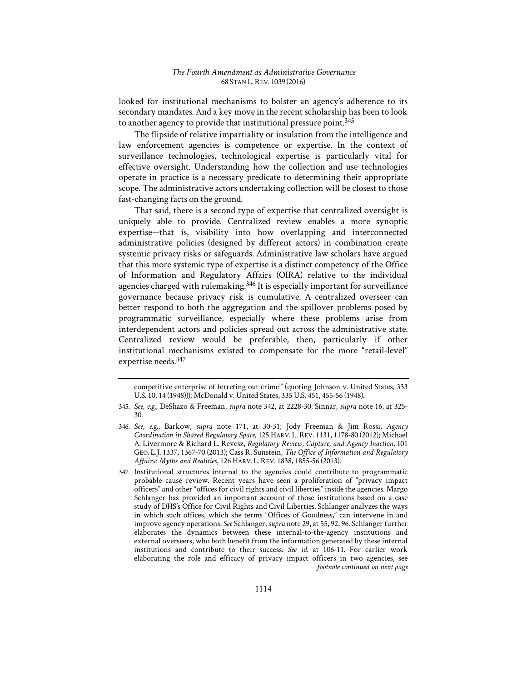looked for institutional mechanisms to bolster an agency's adherence to its secondary mandates. And a key move in the recent scholarship has been to look to another agency to provide that institutional pressure point.<sup>345</sup>

The flipside of relative impartiality or insulation from the intelligence and law enforcement agencies is competence or expertise. In the context of surveillance technologies, technological expertise is particularly vital for effective oversight. Understanding how the collection and use technologies operate in practice is a necessary predicate to determining their appropriate scope. The administrative actors undertaking collection will be closest to those fast-changing facts on the ground.

That said, there is a second type of expertise that centralized oversight is uniquely able to provide. Centralized review enables a more synoptic expertise—that is, visibility into how overlapping and interconnected administrative policies (designed by different actors) in combination create systemic privacy risks or safeguards. Administrative law scholars have argued that this more systemic type of expertise is a distinct competency of the Office of Information and Regulatory Affairs (OIRA) relative to the individual agencies charged with rulemaking.346 It is especially important for surveillance governance because privacy risk is cumulative. A centralized overseer can better respond to both the aggregation and the spillover problems posed by programmatic surveillance, especially where these problems arise from interdependent actors and policies spread out across the administrative state. Centralized review would be preferable, then, particularly if other institutional mechanisms existed to compensate for the more "retail-level" expertise needs.347

competitive enterprise of ferreting out crime'" (quoting Johnson v. United States, 333 U.S. 10, 14 (1948))); McDonald v. United States, 335 U.S. 451, 455-56 (1948).

<sup>345.</sup> *See, e.g.*, DeShazo & Freeman, *supra* note 342, at 2228-30; Sinnar, *supra* note 16, at 325- 30.

<sup>346.</sup> *See, e.g.*, Barkow, *supra* note 171, at 30-31; Jody Freeman & Jim Rossi, *Agency Coordination in Shared Regulatory Space*, 125 HARV. L. REV. 1131, 1178-80 (2012); Michael A. Livermore & Richard L. Revesz, *Regulatory Review, Capture, and Agency Inaction*, 101 GEO. L.J. 1337, 1367-70 (2013); Cass R. Sunstein, *The Office of Information and Regulatory Affairs1: Myths and Realities*, 126 HARV. L.REV. 1838, 1855-56 (2013).

<sup>347.</sup> Institutional structures internal to the agencies could contribute to programmatic probable cause review. Recent years have seen a proliferation of "privacy impact officers" and other "offices for civil rights and civil liberties" inside the agencies. Margo Schlanger has provided an important account of those institutions based on a case study of DHS's Office for Civil Rights and Civil Liberties. Schlanger analyzes the ways in which such offices, which she terms "Offices of Goodness," can intervene in and improve agency operations. *See* Schlanger, *supra* note 29, at 55, 92, 96. Schlanger further elaborates the dynamics between these internal-to-the-agency institutions and external overseers, who both benefit from the information generated by these internal institutions and contribute to their success. *See id.* at 106-11. For earlier work elaborating the role and efficacy of privacy impact officers in two agencies, see *footnote continued on next page*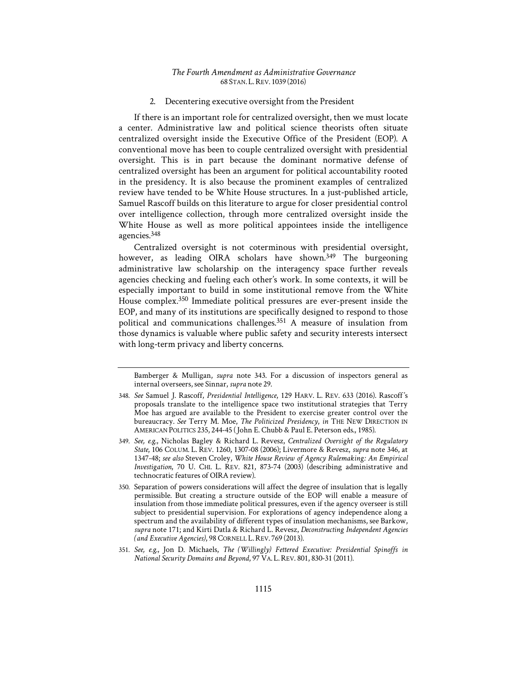#### 2. Decentering executive oversight from the President

If there is an important role for centralized oversight, then we must locate a center. Administrative law and political science theorists often situate centralized oversight inside the Executive Office of the President (EOP). A conventional move has been to couple centralized oversight with presidential oversight. This is in part because the dominant normative defense of centralized oversight has been an argument for political accountability rooted in the presidency. It is also because the prominent examples of centralized review have tended to be White House structures. In a just-published article, Samuel Rascoff builds on this literature to argue for closer presidential control over intelligence collection, through more centralized oversight inside the White House as well as more political appointees inside the intelligence agencies.348

Centralized oversight is not coterminous with presidential oversight, however, as leading OIRA scholars have shown.<sup>349</sup> The burgeoning administrative law scholarship on the interagency space further reveals agencies checking and fueling each other's work. In some contexts, it will be especially important to build in some institutional remove from the White House complex.350 Immediate political pressures are ever-present inside the EOP, and many of its institutions are specifically designed to respond to those political and communications challenges.351 A measure of insulation from those dynamics is valuable where public safety and security interests intersect with long-term privacy and liberty concerns.

Bamberger & Mulligan, *supra* note 343. For a discussion of inspectors general as internal overseers, see Sinnar, *supra* note 29.

<sup>348.</sup> See Samuel J. Rascoff, *Presidential Intelligence*, 129 HARV. L. REV. 633 (2016). Rascoff's proposals translate to the intelligence space two institutional strategies that Terry Moe has argued are available to the President to exercise greater control over the bureaucracy. *See* Terry M. Moe, *The Politicized Presidency*, *in* THE NEW DIRECTION IN AMERICAN POLITICS 235, 244-45 (John E. Chubb & Paul E. Peterson eds., 1985).

<sup>349.</sup> *See, e.g.*, Nicholas Bagley & Richard L. Revesz, *Centralized Oversight of the Regulatory State*, 106 COLUM. L. REV. 1260, 1307-08 (2006); Livermore & Revesz, *supra* note 346, at 1347-48; see also Steven Croley, *White House Review of Agency Rulemaking: An Empirical Investigation*, 70 U. CHI. L. REV. 821, 873-74 (2003) (describing administrative and technocratic features of OIRA review).

<sup>350.</sup> Separation of powers considerations will affect the degree of insulation that is legally permissible. But creating a structure outside of the EOP will enable a measure of insulation from those immediate political pressures, even if the agency overseer is still subject to presidential supervision. For explorations of agency independence along a spectrum and the availability of different types of insulation mechanisms, see Barkow, *supra* note 171; and Kirti Datla & Richard L. Revesz, *Deconstructing Independent Agencies (and Executive Agencies)*, 98 CORNELL L.REV. 769 (2013).

<sup>351.</sup> See, e.g., Jon D. Michaels, *The (Willingly) Fettered Executive: Presidential Spinoffs in National Security Domains and Beyond*, 97 VA. L.REV. 801, 830-31 (2011).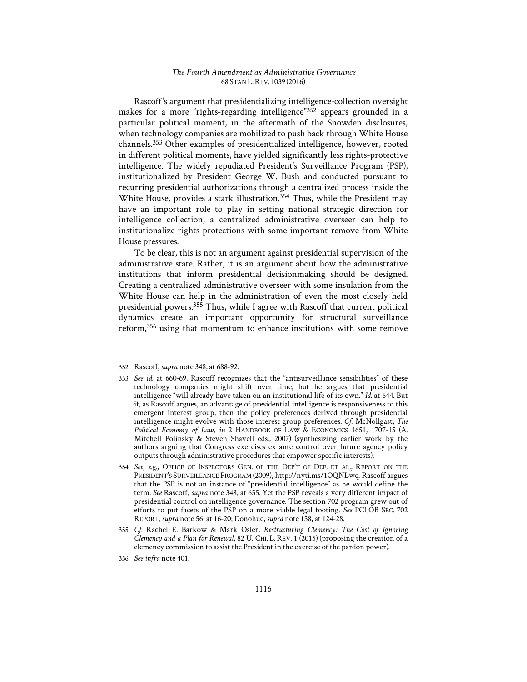Rascoff's argument that presidentializing intelligence-collection oversight makes for a more "rights-regarding intelligence"352 appears grounded in a particular political moment, in the aftermath of the Snowden disclosures, when technology companies are mobilized to push back through White House channels.353 Other examples of presidentialized intelligence, however, rooted in different political moments, have yielded significantly less rights-protective intelligence. The widely repudiated President's Surveillance Program (PSP), institutionalized by President George W. Bush and conducted pursuant to recurring presidential authorizations through a centralized process inside the White House, provides a stark illustration.<sup>354</sup> Thus, while the President may have an important role to play in setting national strategic direction for intelligence collection, a centralized administrative overseer can help to institutionalize rights protections with some important remove from White House pressures.

To be clear, this is not an argument against presidential supervision of the administrative state. Rather, it is an argument about how the administrative institutions that inform presidential decisionmaking should be designed. Creating a centralized administrative overseer with some insulation from the White House can help in the administration of even the most closely held presidential powers.355 Thus, while I agree with Rascoff that current political dynamics create an important opportunity for structural surveillance reform,356 using that momentum to enhance institutions with some remove

<sup>352.</sup> Rascoff, *supra* note 348, at 688-92.

<sup>353.</sup> *See id.* at 660-69. Rascoff recognizes that the "antisurveillance sensibilities" of these technology companies might shift over time, but he argues that presidential intelligence "will already have taken on an institutional life of its own." *Id.* at 644. But if, as Rascoff argues, an advantage of presidential intelligence is responsiveness to this emergent interest group, then the policy preferences derived through presidential intelligence might evolve with those interest group preferences. *Cf.* McNollgast, *The Political Economy of Law*, *in* 2 HANDBOOK OF LAW & ECONOMICS 1651, 1707-15 (A. Mitchell Polinsky & Steven Shavell eds., 2007) (synthesizing earlier work by the authors arguing that Congress exercises ex ante control over future agency policy outputs through administrative procedures that empower specific interests).

<sup>354.</sup> *See, e.g.*, OFFICE OF INSPECTORS GEN. OF THE DEP'T OF DEF. ET AL., REPORT ON THE PRESIDENT'S SURVEILLANCE PROGRAM (2009), http://nyti.ms/1OQNLwq. Rascoff argues that the PSP is not an instance of "presidential intelligence" as he would define the term. *See* Rascoff, *supra* note 348, at 655. Yet the PSP reveals a very different impact of presidential control on intelligence governance. The section 702 program grew out of efforts to put facets of the PSP on a more viable legal footing. *See* PCLOB SEC. 702 REPORT,*supra* note 56, at 16-20; Donohue, *supra* note 158, at 124-28.

<sup>355.</sup> Cf. Rachel E. Barkow & Mark Osler, Restructuring Clemency: The Cost of Ignoring *Clemency and a Plan for Renewal*, 82 U. CHI. L. REV. 1 (2015) (proposing the creation of a clemency commission to assist the President in the exercise of the pardon power).

<sup>356.</sup> *See infra* note 401.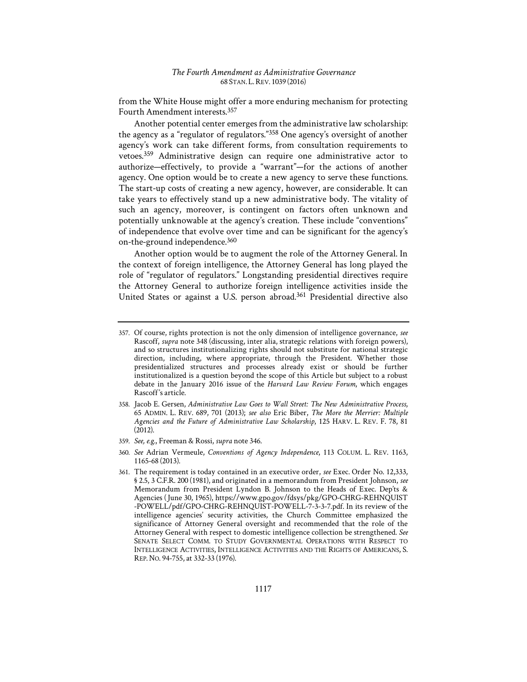from the White House might offer a more enduring mechanism for protecting Fourth Amendment interests.357

Another potential center emerges from the administrative law scholarship: the agency as a "regulator of regulators."358 One agency's oversight of another agency's work can take different forms, from consultation requirements to vetoes.359 Administrative design can require one administrative actor to authorize—effectively, to provide a "warrant"—for the actions of another agency. One option would be to create a new agency to serve these functions. The start-up costs of creating a new agency, however, are considerable. It can take years to effectively stand up a new administrative body. The vitality of such an agency, moreover, is contingent on factors often unknown and potentially unknowable at the agency's creation. These include "conventions" of independence that evolve over time and can be significant for the agency's on-the-ground independence.360

Another option would be to augment the role of the Attorney General. In the context of foreign intelligence, the Attorney General has long played the role of "regulator of regulators." Longstanding presidential directives require the Attorney General to authorize foreign intelligence activities inside the United States or against a U.S. person abroad.<sup>361</sup> Presidential directive also

- 359. *See, e.g.*, Freeman & Rossi, *supra* note 346.
- 360. *See* Adrian Vermeule, *Conventions of Agency Independence*, 113 COLUM. L. REV. 1163, 1165-68 (2013).
- 361. The requirement is today contained in an executive order, *see* Exec. Order No. 12,333, § 2.5, 3 C.F.R. 200 (1981), and originated in a memorandum from President Johnson, *see*  Memorandum from President Lyndon B. Johnson to the Heads of Exec. Dep'ts & Agencies (1June 30, 1965), https://www.gpo.gov/fdsys/pkg/GPO-CHRG-REHNQUIST -POWELL/pdf/GPO-CHRG-REHNQUIST-POWELL-7-3-3-7.pdf. In its review of the intelligence agencies' security activities, the Church Committee emphasized the significance of Attorney General oversight and recommended that the role of the Attorney General with respect to domestic intelligence collection be strengthened. *See*  SENATE SELECT COMM. TO STUDY GOVERNMENTAL OPERATIONS WITH RESPECT TO INTELLIGENCE ACTIVITIES, INTELLIGENCE ACTIVITIES AND THE RIGHTS OF AMERICANS, S. REP. NO. 94-755, at 332-33 (1976).

<sup>357.</sup> Of course, rights protection is not the only dimension of intelligence governance, *see*  Rascoff, *supra* note 348 (discussing, inter alia, strategic relations with foreign powers), and so structures institutionalizing rights should not substitute for national strategic direction, including, where appropriate, through the President. Whether those presidentialized structures and processes already exist or should be further institutionalized is a question beyond the scope of this Article but subject to a robust debate in the January 2016 issue of the *Harvard Law Review Forum*, which engages Rascoff's article.

<sup>358.</sup> Jacob E. Gersen, *Administrative Law Goes to Wall Street: The New Administrative Process*, 65 ADMIN. L. REV. 689, 701 (2013); see also Eric Biber, *The More the Merrier: Multiple Agencies and the Future of Administrative Law Scholarship*, 125 HARV. L. REV. F. 78, 81 (2012).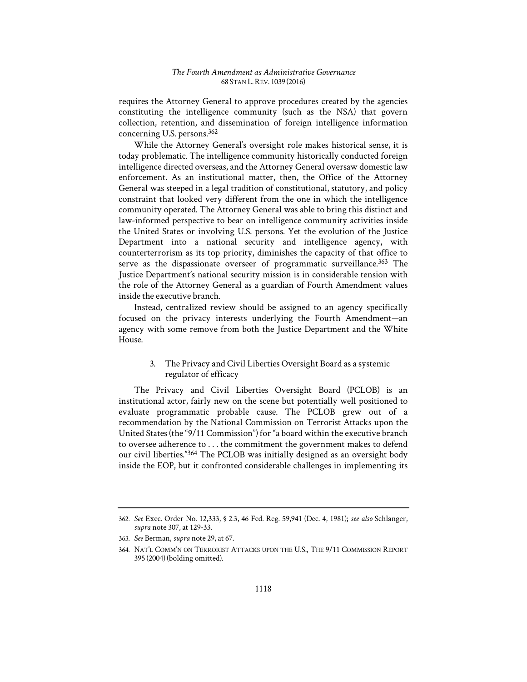requires the Attorney General to approve procedures created by the agencies constituting the intelligence community (such as the NSA) that govern collection, retention, and dissemination of foreign intelligence information concerning U.S. persons.362

While the Attorney General's oversight role makes historical sense, it is today problematic. The intelligence community historically conducted foreign intelligence directed overseas, and the Attorney General oversaw domestic law enforcement. As an institutional matter, then, the Office of the Attorney General was steeped in a legal tradition of constitutional, statutory, and policy constraint that looked very different from the one in which the intelligence community operated. The Attorney General was able to bring this distinct and law-informed perspective to bear on intelligence community activities inside the United States or involving U.S. persons. Yet the evolution of the Justice Department into a national security and intelligence agency, with counterterrorism as its top priority, diminishes the capacity of that office to serve as the dispassionate overseer of programmatic surveillance.<sup>363</sup> The Justice Department's national security mission is in considerable tension with the role of the Attorney General as a guardian of Fourth Amendment values inside the executive branch.

Instead, centralized review should be assigned to an agency specifically focused on the privacy interests underlying the Fourth Amendment—an agency with some remove from both the Justice Department and the White House.

# 3. The Privacy and Civil Liberties Oversight Board as a systemic regulator of efficacy

The Privacy and Civil Liberties Oversight Board (PCLOB) is an institutional actor, fairly new on the scene but potentially well positioned to evaluate programmatic probable cause. The PCLOB grew out of a recommendation by the National Commission on Terrorist Attacks upon the United States (the "9/11 Commission") for "a board within the executive branch to oversee adherence to . . . the commitment the government makes to defend our civil liberties."364 The PCLOB was initially designed as an oversight body inside the EOP, but it confronted considerable challenges in implementing its

<sup>362.</sup> *See* Exec. Order No. 12,333, § 2.3, 46 Fed. Reg. 59,941 (Dec. 4, 1981); *see also* Schlanger, *supra* note 307, at 129-33.

<sup>363.</sup> *See* Berman, *supra* note 29, at 67.

<sup>364.</sup> NAT'L COMM'N ON TERRORIST ATTACKS UPON THE U.S., THE 9/11 COMMISSION REPORT 395 (2004) (bolding omitted).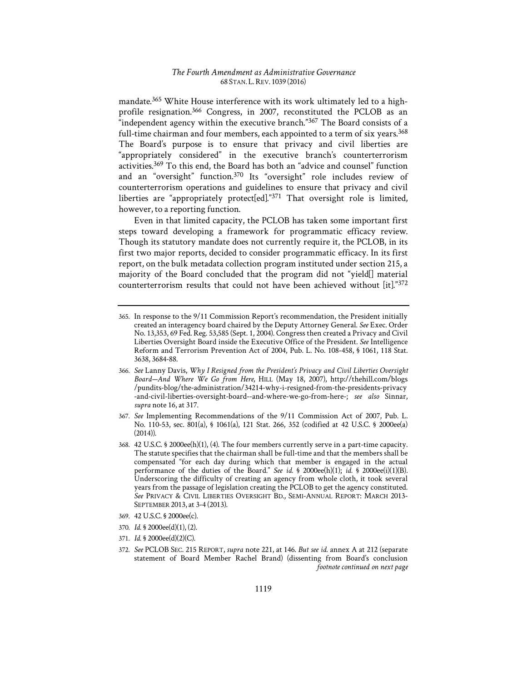mandate.365 White House interference with its work ultimately led to a highprofile resignation.366 Congress, in 2007, reconstituted the PCLOB as an "independent agency within the executive branch."367 The Board consists of a full-time chairman and four members, each appointed to a term of six years.<sup>368</sup> The Board's purpose is to ensure that privacy and civil liberties are "appropriately considered" in the executive branch's counterterrorism activities.<sup>369</sup> To this end, the Board has both an "advice and counsel" function and an "oversight" function.370 Its "oversight" role includes review of counterterrorism operations and guidelines to ensure that privacy and civil liberties are "appropriately protect[ed]."371 That oversight role is limited, however, to a reporting function.

Even in that limited capacity, the PCLOB has taken some important first steps toward developing a framework for programmatic efficacy review. Though its statutory mandate does not currently require it, the PCLOB, in its first two major reports, decided to consider programmatic efficacy. In its first report, on the bulk metadata collection program instituted under section 215, a majority of the Board concluded that the program did not "yield[] material counterterrorism results that could not have been achieved without [it]."372

- 366. *See* Lanny Davis, *Why I Resigned from the President's Privacy and Civil Liberties Oversight Board—And Where We Go from Here*, HILL (May 18, 2007), http://thehill.com/blogs /pundits-blog/the-administration/34214-why-i-resigned-from-the-presidents-privacy -and-civil-liberties-oversight-board--and-where-we-go-from-here-; *see also* Sinnar, *supra* note 16, at 317.
- 367. *See* Implementing Recommendations of the 9/11 Commission Act of 2007, Pub. L. No. 110-53, sec. 801(a), § 1061(a), 121 Stat. 266, 352 (codified at 42 U.S.C. § 2000ee(a)  $(2014)$ ).
- 368. 42 U.S.C. § 2000ee(h)(1), (4). The four members currently serve in a part-time capacity. The statute specifies that the chairman shall be full-time and that the members shall be compensated "for each day during which that member is engaged in the actual performance of the duties of the Board." *See id.* § 2000ee(h)(1); *id.* § 2000ee(i)(1)(B). Underscoring the difficulty of creating an agency from whole cloth, it took several years from the passage of legislation creating the PCLOB to get the agency constituted. *See* PRIVACY & CIVIL LIBERTIES OVERSIGHT BD., SEMI-ANNUAL REPORT: MARCH 2013- SEPTEMBER 2013, at 3-4 (2013).
- 369. 42 U.S.C. § 2000ee(c).
- 370. *Id.* § 2000ee(d)(1), (2).
- 371. *Id.* § 2000ee(d)(2)(C).

<sup>365.</sup> In response to the 9/11 Commission Report's recommendation, the President initially created an interagency board chaired by the Deputy Attorney General. *See* Exec. Order No. 13,353, 69 Fed. Reg. 53,585 (Sept. 1, 2004). Congress then created a Privacy and Civil Liberties Oversight Board inside the Executive Office of the President. *See* Intelligence Reform and Terrorism Prevention Act of 2004, Pub. L. No. 108-458, § 1061, 118 Stat. 3638, 3684-88.

<sup>372.</sup> *See* PCLOB SEC. 215 REPORT, *supra* note 221, at 146. *But see id.* annex A at 212 (separate statement of Board Member Rachel Brand) (dissenting from Board's conclusion *footnote continued on next page*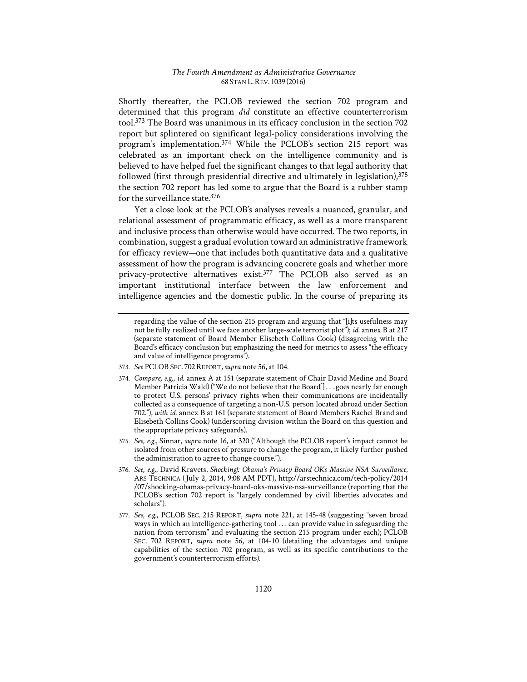Shortly thereafter, the PCLOB reviewed the section 702 program and determined that this program *did* constitute an effective counterterrorism tool.373 The Board was unanimous in its efficacy conclusion in the section 702 report but splintered on significant legal-policy considerations involving the program's implementation.374 While the PCLOB's section 215 report was celebrated as an important check on the intelligence community and is believed to have helped fuel the significant changes to that legal authority that followed (first through presidential directive and ultimately in legislation), $375$ the section 702 report has led some to argue that the Board is a rubber stamp for the surveillance state.376

Yet a close look at the PCLOB's analyses reveals a nuanced, granular, and relational assessment of programmatic efficacy, as well as a more transparent and inclusive process than otherwise would have occurred. The two reports, in combination, suggest a gradual evolution toward an administrative framework for efficacy review—one that includes both quantitative data and a qualitative assessment of how the program is advancing concrete goals and whether more privacy-protective alternatives exist.<sup>377</sup> The PCLOB also served as an important institutional interface between the law enforcement and intelligence agencies and the domestic public. In the course of preparing its

- 373. *See* PCLOB SEC. 702REPORT,*supra* note 56, at 104.
- 374. *Compare, e.g.*, *id.* annex A at 151 (separate statement of Chair David Medine and Board Member Patricia Wald) ("We do not believe that the Board[] . . . goes nearly far enough to protect U.S. persons' privacy rights when their communications are incidentally collected as a consequence of targeting a non-U.S. person located abroad under Section 702."), *with id.* annex B at 161 (separate statement of Board Members Rachel Brand and Elisebeth Collins Cook) (underscoring division within the Board on this question and the appropriate privacy safeguards).
- 375. *See, e.g.*, Sinnar, *supra* note 16, at 320 ("Although the PCLOB report's impact cannot be isolated from other sources of pressure to change the program, it likely further pushed the administration to agree to change course.").
- 376. *See, e.g.*, David Kravets, *Shocking!: Obama's Privacy Board OKs Massive NSA Surveillance*, ARS TECHNICA (1July 2, 2014, 9:08 AM PDT), http://arstechnica.com/tech-policy/2014 /07/shocking-obamas-privacy-board-oks-massive-nsa-surveillance (reporting that the PCLOB's section 702 report is "largely condemned by civil liberties advocates and scholars").
- 377. *See, e.g.*, PCLOB SEC. 215 REPORT, *supra* note 221, at 145-48 (suggesting "seven broad ways in which an intelligence-gathering tool . . . can provide value in safeguarding the nation from terrorism" and evaluating the section 215 program under each); PCLOB SEC. 702 REPORT, *supra* note 56, at 104-10 (detailing the advantages and unique capabilities of the section 702 program, as well as its specific contributions to the government's counterterrorism efforts).

regarding the value of the section 215 program and arguing that "[i]ts usefulness may not be fully realized until we face another large-scale terrorist plot"); *id.* annex B at 217 (separate statement of Board Member Elisebeth Collins Cook) (disagreeing with the Board's efficacy conclusion but emphasizing the need for metrics to assess "the efficacy and value of intelligence programs").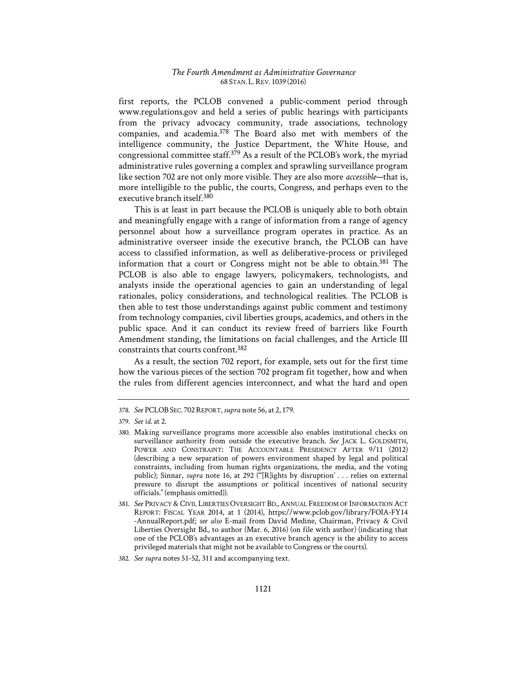first reports, the PCLOB convened a public-comment period through www.regulations.gov and held a series of public hearings with participants from the privacy advocacy community, trade associations, technology companies, and academia.378 The Board also met with members of the intelligence community, the Justice Department, the White House, and congressional committee staff.379 As a result of the PCLOB's work, the myriad administrative rules governing a complex and sprawling surveillance program like section 702 are not only more visible. They are also more *accessible*—that is, more intelligible to the public, the courts, Congress, and perhaps even to the executive branch itself.380

This is at least in part because the PCLOB is uniquely able to both obtain and meaningfully engage with a range of information from a range of agency personnel about how a surveillance program operates in practice. As an administrative overseer inside the executive branch, the PCLOB can have access to classified information, as well as deliberative-process or privileged information that a court or Congress might not be able to obtain.381 The PCLOB is also able to engage lawyers, policymakers, technologists, and analysts inside the operational agencies to gain an understanding of legal rationales, policy considerations, and technological realities. The PCLOB is then able to test those understandings against public comment and testimony from technology companies, civil liberties groups, academics, and others in the public space. And it can conduct its review freed of barriers like Fourth Amendment standing, the limitations on facial challenges, and the Article III constraints that courts confront.382

As a result, the section 702 report, for example, sets out for the first time how the various pieces of the section 702 program fit together, how and when the rules from different agencies interconnect, and what the hard and open

382. *See supra* notes 51-52, 311 and accompanying text.

<sup>378.</sup> *See* PCLOB SEC. 702REPORT,*supra* note 56, at 2, 179.

<sup>379.</sup> *See id.* at 2.

<sup>380.</sup> Making surveillance programs more accessible also enables institutional checks on surveillance authority from outside the executive branch. *See* JACK L. GOLDSMITH, POWER AND CONSTRAINT: THE ACCOUNTABLE PRESIDENCY AFTER 9/11 (2012) (describing a new separation of powers environment shaped by legal and political constraints, including from human rights organizations, the media, and the voting public); Sinnar, *supra* note 16, at 292 ("[R]ights by disruption' . . . relies on external pressure to disrupt the assumptions or political incentives of national security officials." (emphasis omitted)).

<sup>381.</sup> *See* PRIVACY & CIVIL LIBERTIES OVERSIGHT BD., ANNUAL FREEDOM OF INFORMATION ACT REPORT: FISCAL YEAR 2014, at 1 (2014), https://www.pclob.gov/library/FOIA-FY14 -AnnualReport.pdf; *see also* E-mail from David Medine, Chairman, Privacy & Civil Liberties Oversight Bd., to author (Mar. 6, 2016) (on file with author) (indicating that one of the PCLOB's advantages as an executive branch agency is the ability to access privileged materials that might not be available to Congress or the courts).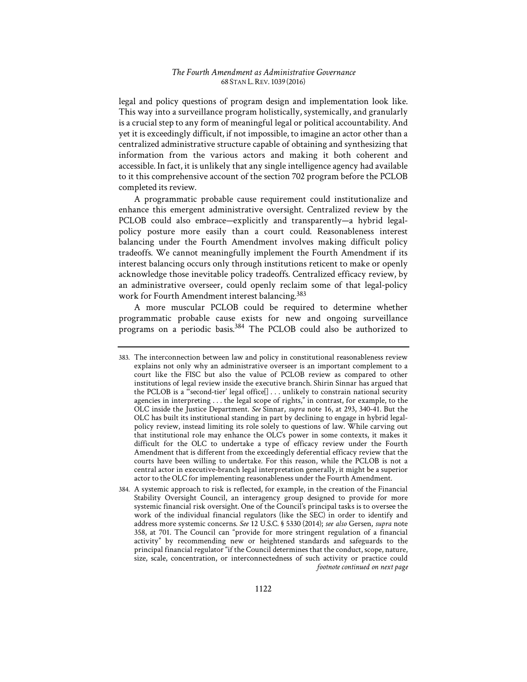legal and policy questions of program design and implementation look like. This way into a surveillance program holistically, systemically, and granularly is a crucial step to any form of meaningful legal or political accountability. And yet it is exceedingly difficult, if not impossible, to imagine an actor other than a centralized administrative structure capable of obtaining and synthesizing that information from the various actors and making it both coherent and accessible. In fact, it is unlikely that any single intelligence agency had available to it this comprehensive account of the section 702 program before the PCLOB completed its review.

A programmatic probable cause requirement could institutionalize and enhance this emergent administrative oversight. Centralized review by the PCLOB could also embrace—explicitly and transparently—a hybrid legalpolicy posture more easily than a court could. Reasonableness interest balancing under the Fourth Amendment involves making difficult policy tradeoffs. We cannot meaningfully implement the Fourth Amendment if its interest balancing occurs only through institutions reticent to make or openly acknowledge those inevitable policy tradeoffs. Centralized efficacy review, by an administrative overseer, could openly reclaim some of that legal-policy work for Fourth Amendment interest balancing.<sup>383</sup>

A more muscular PCLOB could be required to determine whether programmatic probable cause exists for new and ongoing surveillance programs on a periodic basis.384 The PCLOB could also be authorized to

<sup>383.</sup> The interconnection between law and policy in constitutional reasonableness review explains not only why an administrative overseer is an important complement to a court like the FISC but also the value of PCLOB review as compared to other institutions of legal review inside the executive branch. Shirin Sinnar has argued that the PCLOB is a "second-tier' legal office[] . . . unlikely to constrain national security agencies in interpreting . . . the legal scope of rights," in contrast, for example, to the OLC inside the Justice Department. *See* Sinnar, *supra* note 16, at 293, 340-41. But the OLC has built its institutional standing in part by declining to engage in hybrid legalpolicy review, instead limiting its role solely to questions of law. While carving out that institutional role may enhance the OLC's power in some contexts, it makes it difficult for the OLC to undertake a type of efficacy review under the Fourth Amendment that is different from the exceedingly deferential efficacy review that the courts have been willing to undertake. For this reason, while the PCLOB is not a central actor in executive-branch legal interpretation generally, it might be a superior actor to the OLC for implementing reasonableness under the Fourth Amendment.

<sup>384.</sup> A systemic approach to risk is reflected, for example, in the creation of the Financial Stability Oversight Council, an interagency group designed to provide for more systemic financial risk oversight. One of the Council's principal tasks is to oversee the work of the individual financial regulators (like the SEC) in order to identify and address more systemic concerns. *See* 12 U.S.C. § 5330 (2014); *see also* Gersen, *supra* note 358, at 701. The Council can "provide for more stringent regulation of a financial activity" by recommending new or heightened standards and safeguards to the principal financial regulator "if the Council determines that the conduct, scope, nature, size, scale, concentration, or interconnectedness of such activity or practice could *footnote continued on next page*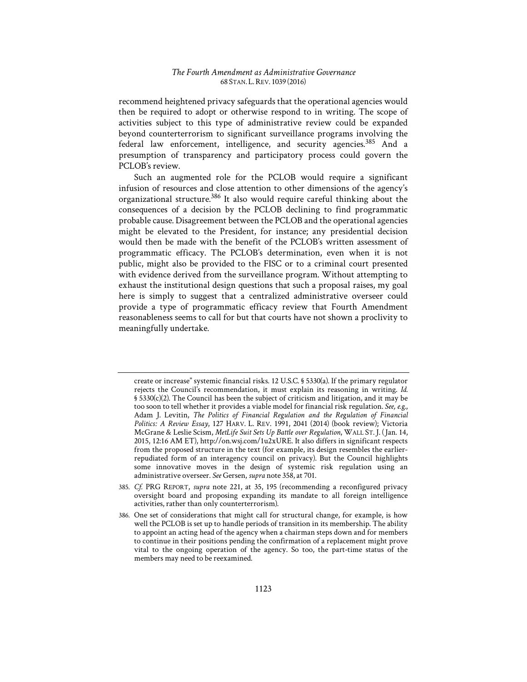recommend heightened privacy safeguards that the operational agencies would then be required to adopt or otherwise respond to in writing. The scope of activities subject to this type of administrative review could be expanded beyond counterterrorism to significant surveillance programs involving the federal law enforcement, intelligence, and security agencies.<sup>385</sup> And a presumption of transparency and participatory process could govern the PCLOB's review.

Such an augmented role for the PCLOB would require a significant infusion of resources and close attention to other dimensions of the agency's organizational structure.386 It also would require careful thinking about the consequences of a decision by the PCLOB declining to find programmatic probable cause. Disagreement between the PCLOB and the operational agencies might be elevated to the President, for instance; any presidential decision would then be made with the benefit of the PCLOB's written assessment of programmatic efficacy. The PCLOB's determination, even when it is not public, might also be provided to the FISC or to a criminal court presented with evidence derived from the surveillance program. Without attempting to exhaust the institutional design questions that such a proposal raises, my goal here is simply to suggest that a centralized administrative overseer could provide a type of programmatic efficacy review that Fourth Amendment reasonableness seems to call for but that courts have not shown a proclivity to meaningfully undertake.

create or increase" systemic financial risks. 12 U.S.C. § 5330(a). If the primary regulator rejects the Council's recommendation, it must explain its reasoning in writing. *Id.*  § 5330(c)(2). The Council has been the subject of criticism and litigation, and it may be too soon to tell whether it provides a viable model for financial risk regulation. *See, e.g.*, Adam J. Levitin, *The Politics of Financial Regulation and the Regulation of Financial Politics1: A Review Essay*, 127 HARV. L. REV. 1991, 2041 (2014) (book review); Victoria McGrane & Leslie Scism, *MetLife Suit Sets Up Battle over Regulation*, WALL ST. J. (1Jan. 14, 2015, 12:16 AM ET), http://on.wsj.com/1u2xURE. It also differs in significant respects from the proposed structure in the text (for example, its design resembles the earlierrepudiated form of an interagency council on privacy). But the Council highlights some innovative moves in the design of systemic risk regulation using an administrative overseer. *See* Gersen, *supra* note 358, at 701.

<sup>385.</sup> *Cf.* PRG REPORT, *supra* note 221, at 35, 195 (recommending a reconfigured privacy oversight board and proposing expanding its mandate to all foreign intelligence activities, rather than only counterterrorism).

<sup>386.</sup> One set of considerations that might call for structural change, for example, is how well the PCLOB is set up to handle periods of transition in its membership. The ability to appoint an acting head of the agency when a chairman steps down and for members to continue in their positions pending the confirmation of a replacement might prove vital to the ongoing operation of the agency. So too, the part-time status of the members may need to be reexamined.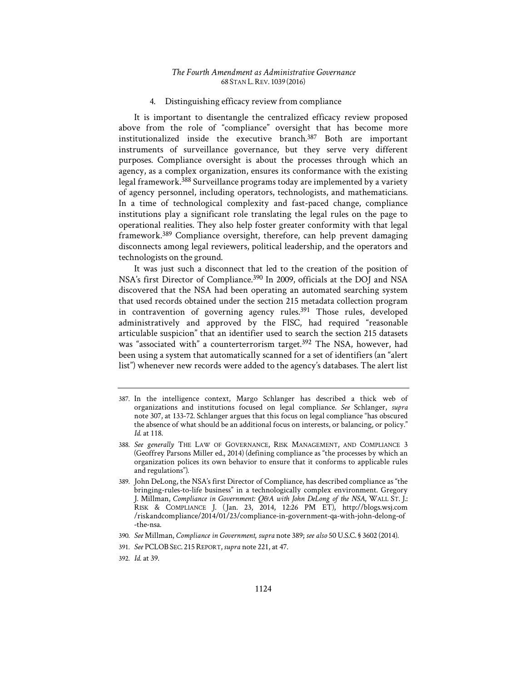# 4. Distinguishing efficacy review from compliance

It is important to disentangle the centralized efficacy review proposed above from the role of "compliance" oversight that has become more institutionalized inside the executive branch.387 Both are important instruments of surveillance governance, but they serve very different purposes. Compliance oversight is about the processes through which an agency, as a complex organization, ensures its conformance with the existing legal framework.388 Surveillance programs today are implemented by a variety of agency personnel, including operators, technologists, and mathematicians. In a time of technological complexity and fast-paced change, compliance institutions play a significant role translating the legal rules on the page to operational realities. They also help foster greater conformity with that legal framework.389 Compliance oversight, therefore, can help prevent damaging disconnects among legal reviewers, political leadership, and the operators and technologists on the ground.

It was just such a disconnect that led to the creation of the position of NSA's first Director of Compliance.390 In 2009, officials at the DOJ and NSA discovered that the NSA had been operating an automated searching system that used records obtained under the section 215 metadata collection program in contravention of governing agency rules.<sup>391</sup> Those rules, developed administratively and approved by the FISC, had required "reasonable articulable suspicion" that an identifier used to search the section 215 datasets was "associated with" a counterterrorism target.<sup>392</sup> The NSA, however, had been using a system that automatically scanned for a set of identifiers (an "alert list") whenever new records were added to the agency's databases. The alert list

<sup>387.</sup> In the intelligence context, Margo Schlanger has described a thick web of organizations and institutions focused on legal compliance. *See* Schlanger, *supra* note 307, at 133-72. Schlanger argues that this focus on legal compliance "has obscured the absence of what should be an additional focus on interests, or balancing, or policy." *Id.* at 118.

<sup>388.</sup> *See generally* THE LAW OF GOVERNANCE, RISK MANAGEMENT, AND COMPLIANCE 3 (Geoffrey Parsons Miller ed., 2014) (defining compliance as "the processes by which an organization polices its own behavior to ensure that it conforms to applicable rules and regulations").

<sup>389.</sup> John DeLong, the NSA's first Director of Compliance, has described compliance as "the bringing-rules-to-life business" in a technologically complex environment. Gregory J. Millman, *Compliance in Government: Q&A with John DeLong of the NSA*, WALL ST. J.: RISK & COMPLIANCE J. (1Jan. 23, 2014, 12:26 PM ET), http://blogs.wsj.com /riskandcompliance/2014/01/23/compliance-in-government-qa-with-john-delong-of -the-nsa.

<sup>390.</sup> *See* Millman, *Compliance in Government*, *supra* note 389; *see also* 50 U.S.C. § 3602 (2014).

<sup>391.</sup> *See* PCLOB SEC. 215REPORT,*supra* note 221, at 47.

<sup>392.</sup> *Id.* at 39.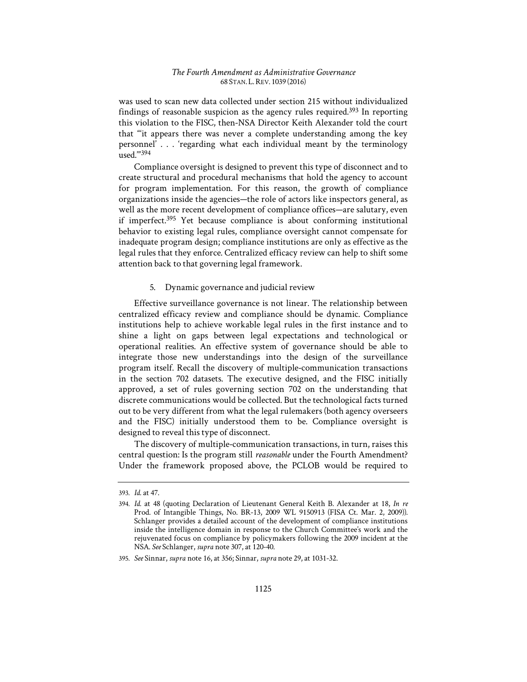was used to scan new data collected under section 215 without individualized findings of reasonable suspicion as the agency rules required.<sup>393</sup> In reporting this violation to the FISC, then-NSA Director Keith Alexander told the court that "'it appears there was never a complete understanding among the key personnel' . . . 'regarding what each individual meant by the terminology used.'"394

Compliance oversight is designed to prevent this type of disconnect and to create structural and procedural mechanisms that hold the agency to account for program implementation. For this reason, the growth of compliance organizations inside the agencies—the role of actors like inspectors general, as well as the more recent development of compliance offices—are salutary, even if imperfect.395 Yet because compliance is about conforming institutional behavior to existing legal rules, compliance oversight cannot compensate for inadequate program design; compliance institutions are only as effective as the legal rules that they enforce. Centralized efficacy review can help to shift some attention back to that governing legal framework.

### 5. Dynamic governance and judicial review

Effective surveillance governance is not linear. The relationship between centralized efficacy review and compliance should be dynamic. Compliance institutions help to achieve workable legal rules in the first instance and to shine a light on gaps between legal expectations and technological or operational realities. An effective system of governance should be able to integrate those new understandings into the design of the surveillance program itself. Recall the discovery of multiple-communication transactions in the section 702 datasets. The executive designed, and the FISC initially approved, a set of rules governing section 702 on the understanding that discrete communications would be collected. But the technological facts turned out to be very different from what the legal rulemakers (both agency overseers and the FISC) initially understood them to be. Compliance oversight is designed to reveal this type of disconnect.

The discovery of multiple-communication transactions, in turn, raises this central question: Is the program still *reasonable* under the Fourth Amendment? Under the framework proposed above, the PCLOB would be required to

<sup>393.</sup> *Id.* at 47.

<sup>394.</sup> *Id.* at 48 (quoting Declaration of Lieutenant General Keith B. Alexander at 18, *In re*  Prod. of Intangible Things, No. BR-13, 2009 WL 9150913 (FISA Ct. Mar. 2, 2009)). Schlanger provides a detailed account of the development of compliance institutions inside the intelligence domain in response to the Church Committee's work and the rejuvenated focus on compliance by policymakers following the 2009 incident at the NSA. *See* Schlanger, *supra* note 307, at 120-40.

<sup>395.</sup> *See* Sinnar, *supra* note 16, at 356; Sinnar, *supra* note 29, at 1031-32.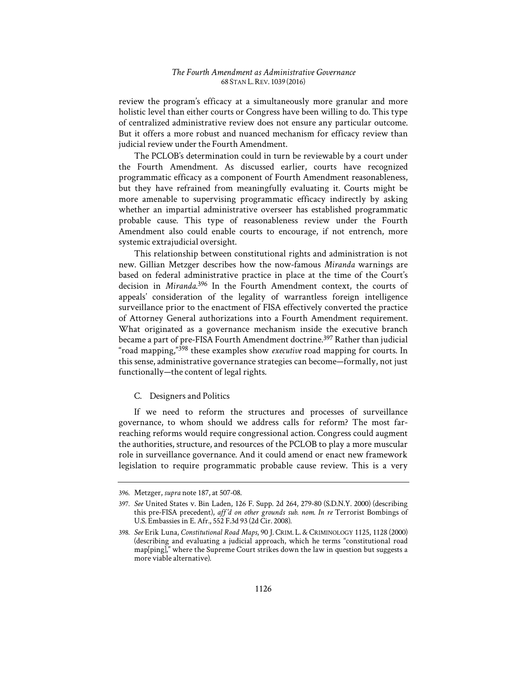review the program's efficacy at a simultaneously more granular and more holistic level than either courts or Congress have been willing to do. This type of centralized administrative review does not ensure any particular outcome. But it offers a more robust and nuanced mechanism for efficacy review than judicial review under the Fourth Amendment.

The PCLOB's determination could in turn be reviewable by a court under the Fourth Amendment. As discussed earlier, courts have recognized programmatic efficacy as a component of Fourth Amendment reasonableness, but they have refrained from meaningfully evaluating it. Courts might be more amenable to supervising programmatic efficacy indirectly by asking whether an impartial administrative overseer has established programmatic probable cause. This type of reasonableness review under the Fourth Amendment also could enable courts to encourage, if not entrench, more systemic extrajudicial oversight.

This relationship between constitutional rights and administration is not new. Gillian Metzger describes how the now-famous *Miranda* warnings are based on federal administrative practice in place at the time of the Court's decision in *Miranda*. 396 In the Fourth Amendment context, the courts of appeals' consideration of the legality of warrantless foreign intelligence surveillance prior to the enactment of FISA effectively converted the practice of Attorney General authorizations into a Fourth Amendment requirement. What originated as a governance mechanism inside the executive branch became a part of pre-FISA Fourth Amendment doctrine.<sup>397</sup> Rather than judicial "road mapping,"398 these examples show *executive* road mapping for courts. In this sense, administrative governance strategies can become—formally, not just functionally—the content of legal rights.

#### C. Designers and Politics

If we need to reform the structures and processes of surveillance governance, to whom should we address calls for reform? The most farreaching reforms would require congressional action. Congress could augment the authorities, structure, and resources of the PCLOB to play a more muscular role in surveillance governance. And it could amend or enact new framework legislation to require programmatic probable cause review. This is a very

<sup>396.</sup> Metzger, *supra* note 187, at 507-08.

<sup>397.</sup> *See* United States v. Bin Laden, 126 F. Supp. 2d 264, 279-80 (S.D.N.Y. 2000) (describing this pre-FISA precedent), *aff*1*'d on other grounds sub. nom. In re* Terrorist Bombings of U.S. Embassies in E. Afr., 552 F.3d 93 (2d Cir. 2008).

<sup>398.</sup> *See* Erik Luna, *Constitutional Road Maps*, 90 J. CRIM. L. & CRIMINOLOGY 1125, 1128 (2000) (describing and evaluating a judicial approach, which he terms "constitutional road map[ping]," where the Supreme Court strikes down the law in question but suggests a more viable alternative).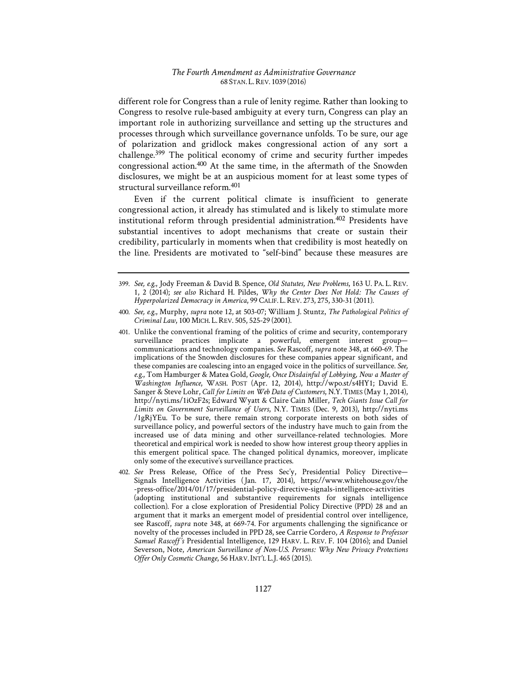different role for Congress than a rule of lenity regime. Rather than looking to Congress to resolve rule-based ambiguity at every turn, Congress can play an important role in authorizing surveillance and setting up the structures and processes through which surveillance governance unfolds. To be sure, our age of polarization and gridlock makes congressional action of any sort a challenge.399 The political economy of crime and security further impedes congressional action.400 At the same time, in the aftermath of the Snowden disclosures, we might be at an auspicious moment for at least some types of structural surveillance reform.401

Even if the current political climate is insufficient to generate congressional action, it already has stimulated and is likely to stimulate more institutional reform through presidential administration.402 Presidents have substantial incentives to adopt mechanisms that create or sustain their credibility, particularly in moments when that credibility is most heatedly on the line. Presidents are motivated to "self-bind" because these measures are

<sup>399.</sup> *See, e.g.*, Jody Freeman & David B. Spence, *Old Statutes, New Problems*, 163 U. PA. L. REV. 1, 2 (2014); see also Richard H. Pildes, *Why the Center Does Not Hold: The Causes of Hyperpolarized Democracy in America*, 99 CALIF. L.REV. 273, 275, 330-31 (2011).

<sup>400.</sup> *See, e.g.*, Murphy, *supra* note 12, at 503-07; William J. Stuntz, *The Pathological Politics of Criminal Law*, 100 MICH. L.REV. 505, 525-29 (2001).

<sup>401.</sup> Unlike the conventional framing of the politics of crime and security, contemporary surveillance practices implicate a powerful, emergent interest group communications and technology companies. *See* Rascoff, *supra* note 348, at 660-69. The implications of the Snowden disclosures for these companies appear significant, and these companies are coalescing into an engaged voice in the politics of surveillance. *See, e.g.*, Tom Hamburger & Matea Gold, *Google, Once Disdainful of Lobbying, Now a Master of Washington Influence*, WASH. POST (Apr. 12, 2014), http://wpo.st/s4HY1; David E. Sanger & Steve Lohr, *Call for Limits on Web Data of Customers*, N.Y.TIMES (May 1, 2014), http://nyti.ms/1iOzF2s; Edward Wyatt & Claire Cain Miller, *Tech Giants Issue Call for Limits on Government Surveillance of Users*, N.Y. TIMES (Dec. 9, 2013), http://nyti.ms /1gRjYEu. To be sure, there remain strong corporate interests on both sides of surveillance policy, and powerful sectors of the industry have much to gain from the increased use of data mining and other surveillance-related technologies. More theoretical and empirical work is needed to show how interest group theory applies in this emergent political space. The changed political dynamics, moreover, implicate only some of the executive's surveillance practices.

<sup>402.</sup> *See* Press Release, Office of the Press Sec'y, Presidential Policy Directive— Signals Intelligence Activities (Jan. 17, 2014), https://www.whitehouse.gov/the -press-office/2014/01/17/presidential-policy-directive-signals-intelligence-activities (adopting institutional and substantive requirements for signals intelligence collection). For a close exploration of Presidential Policy Directive (PPD) 28 and an argument that it marks an emergent model of presidential control over intelligence, see Rascoff, *supra* note 348, at 669-74. For arguments challenging the significance or novelty of the processes included in PPD 28, see Carrie Cordero, *A Response to Professor Samuel Rascoff's Presidential Intelligence, 129 HARV. L. REV. F. 104 (2016); and Daniel* Severson, Note, American Surveillance of Non-U.S. Persons: Why New Privacy Protections *Offer Only Cosmetic Change*, 56 HARV. INT'L L.J. 465 (2015).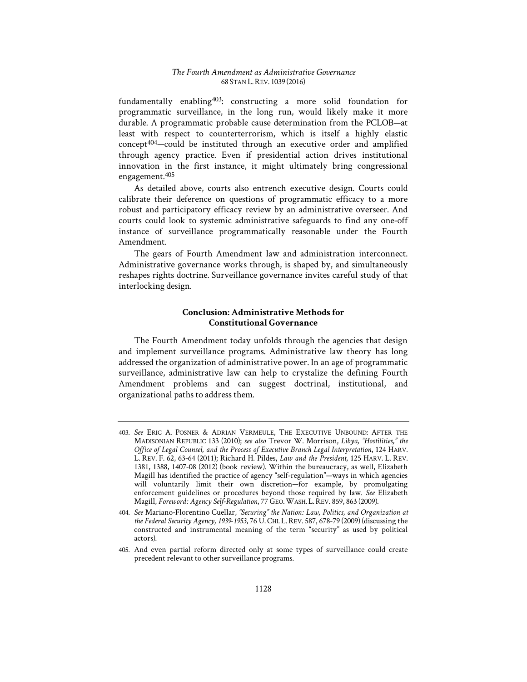fundamentally enabling403: constructing a more solid foundation for programmatic surveillance, in the long run, would likely make it more durable. A programmatic probable cause determination from the PCLOB—at least with respect to counterterrorism, which is itself a highly elastic concept404—could be instituted through an executive order and amplified through agency practice. Even if presidential action drives institutional innovation in the first instance, it might ultimately bring congressional engagement.405

As detailed above, courts also entrench executive design. Courts could calibrate their deference on questions of programmatic efficacy to a more robust and participatory efficacy review by an administrative overseer. And courts could look to systemic administrative safeguards to find any one-off instance of surveillance programmatically reasonable under the Fourth Amendment.

The gears of Fourth Amendment law and administration interconnect. Administrative governance works through, is shaped by, and simultaneously reshapes rights doctrine. Surveillance governance invites careful study of that interlocking design.

# **Conclusion: Administrative Methods for Constitutional Governance**

The Fourth Amendment today unfolds through the agencies that design and implement surveillance programs. Administrative law theory has long addressed the organization of administrative power. In an age of programmatic surveillance, administrative law can help to crystalize the defining Fourth Amendment problems and can suggest doctrinal, institutional, and organizational paths to address them.

<sup>403.</sup> *See* ERIC A. POSNER & ADRIAN VERMEULE, THE EXECUTIVE UNBOUND: AFTER THE MADISONIAN REPUBLIC 133 (2010); *see also* Trevor W. Morrison, *Libya, "Hostilities," the Office of Legal Counsel, and the Process of Executive Branch Legal Interpretation*, 124 HARV. L. REV. F. 62, 63-64 (2011); Richard H. Pildes, *Law and the President*, 125 HARV. L. REV. 1381, 1388, 1407-08 (2012) (book review). Within the bureaucracy, as well, Elizabeth Magill has identified the practice of agency "self-regulation"—ways in which agencies will voluntarily limit their own discretion—for example, by promulgating enforcement guidelines or procedures beyond those required by law. *See* Elizabeth Magill, *Foreword: Agency Self-Regulation*, 77 GEO. WASH. L. REV. 859, 863 (2009).

<sup>404.</sup> See Mariano-Florentino Cuellar, "Securing" the Nation: Law, Politics, and Organization at *the Federal Security Agency, 1939-1953*, 76 U. CHI. L. REV. 587, 678-79 (2009) (discussing the constructed and instrumental meaning of the term "security" as used by political actors).

<sup>405.</sup> And even partial reform directed only at some types of surveillance could create precedent relevant to other surveillance programs.